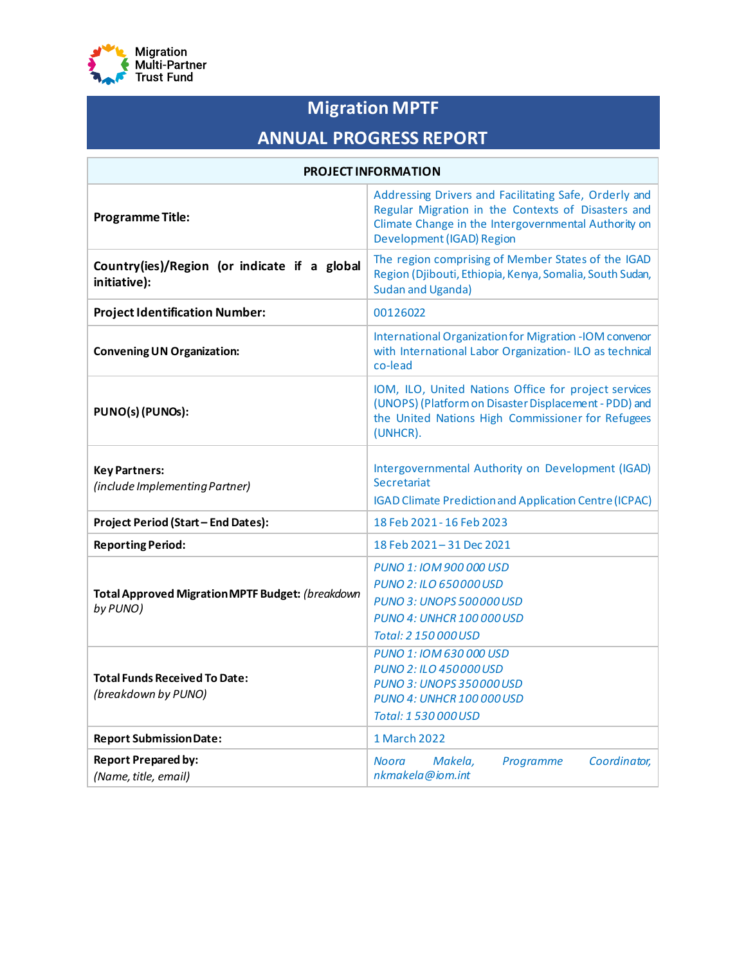

# **Migration MPTF**

# **ANNUAL PROGRESS REPORT**

| <b>PROJECT INFORMATION</b>                                          |                                                                                                                                                                                                  |  |  |  |  |  |  |
|---------------------------------------------------------------------|--------------------------------------------------------------------------------------------------------------------------------------------------------------------------------------------------|--|--|--|--|--|--|
| <b>Programme Title:</b>                                             | Addressing Drivers and Facilitating Safe, Orderly and<br>Regular Migration in the Contexts of Disasters and<br>Climate Change in the Intergovernmental Authority on<br>Development (IGAD) Region |  |  |  |  |  |  |
| Country(ies)/Region (or indicate if a global<br>initiative):        | The region comprising of Member States of the IGAD<br>Region (Djibouti, Ethiopia, Kenya, Somalia, South Sudan,<br><b>Sudan and Uganda)</b>                                                       |  |  |  |  |  |  |
| <b>Project Identification Number:</b>                               | 00126022                                                                                                                                                                                         |  |  |  |  |  |  |
| <b>Convening UN Organization:</b>                                   | International Organization for Migration -IOM convenor<br>with International Labor Organization-ILO as technical<br>co-lead                                                                      |  |  |  |  |  |  |
| PUNO(s) (PUNOs):                                                    | IOM, ILO, United Nations Office for project services<br>(UNOPS) (Platform on Disaster Displacement - PDD) and<br>the United Nations High Commissioner for Refugees<br>(UNHCR).                   |  |  |  |  |  |  |
| <b>Key Partners:</b><br>(include Implementing Partner)              | Intergovernmental Authority on Development (IGAD)<br>Secretariat<br><b>IGAD Climate Prediction and Application Centre (ICPAC)</b>                                                                |  |  |  |  |  |  |
| <b>Project Period (Start - End Dates):</b>                          | 18 Feb 2021 - 16 Feb 2023                                                                                                                                                                        |  |  |  |  |  |  |
| <b>Reporting Period:</b>                                            | 18 Feb 2021-31 Dec 2021                                                                                                                                                                          |  |  |  |  |  |  |
| <b>Total Approved Migration MPTF Budget: (breakdown</b><br>by PUNO) | PUNO 1: IOM 900 000 USD<br>PUNO 2: ILO 650000 USD<br><b>PUNO 3: UNOPS 500 000 USD</b><br><b>PUNO 4: UNHCR 100 000 USD</b><br>Total: 2 150 000 USD                                                |  |  |  |  |  |  |
| <b>Total Funds Received To Date:</b><br>(breakdown by PUNO)         | PUNO 1: IOM 630 000 USD<br>PUNO 2: ILO 450000 USD<br><b>PUNO 3: UNOPS 350000 USD</b><br><b>PUNO 4: UNHCR 100 000 USD</b><br>Total: 1 530 000 USD                                                 |  |  |  |  |  |  |
| <b>Report Submission Date:</b>                                      | 1 March 2022                                                                                                                                                                                     |  |  |  |  |  |  |
| <b>Report Prepared by:</b><br>(Name, title, email)                  | Noora<br>Makela,<br>Coordinator,<br>Programme<br>nkmakela@iom.int                                                                                                                                |  |  |  |  |  |  |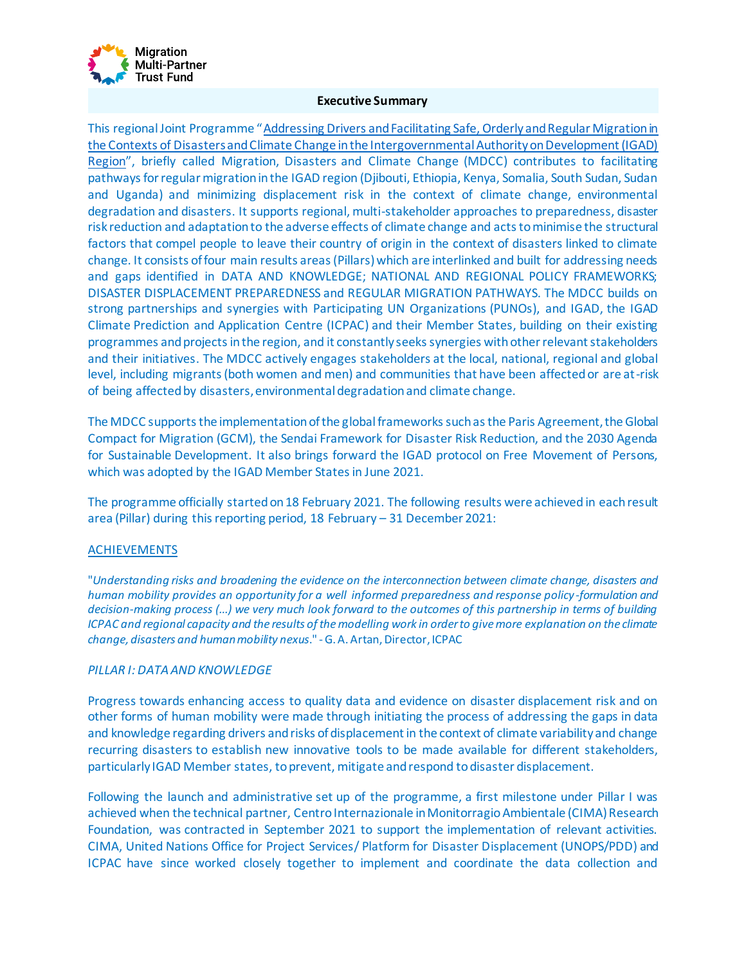

#### **Executive Summary**

This regional Joint Programme "[Addressing Drivers and Facilitating Safe, Orderly and Regular Migration in](https://environmentalmigration.iom.int/addressing-drivers-and-facilitating-safe-orderly-and-regular-migration-contexts-disasters-and-climate-change-igad-region)  [the Contexts of Disasters and Climate Change in the Intergovernmental Authority on Development \(IGAD\)](https://environmentalmigration.iom.int/addressing-drivers-and-facilitating-safe-orderly-and-regular-migration-contexts-disasters-and-climate-change-igad-region)  [Region](https://environmentalmigration.iom.int/addressing-drivers-and-facilitating-safe-orderly-and-regular-migration-contexts-disasters-and-climate-change-igad-region)", briefly called Migration, Disasters and Climate Change (MDCC) contributes to facilitating pathways for regular migration in the IGAD region (Djibouti, Ethiopia, Kenya, Somalia, South Sudan, Sudan and Uganda) and minimizing displacement risk in the context of climate change, environmental degradation and disasters. It supports regional, multi-stakeholder approaches to preparedness, disaster risk reduction and adaptation to the adverse effects of climate change and acts to minimise the structural factors that compel people to leave their country of origin in the context of disasters linked to climate change. It consists of four main results areas (Pillars) which are interlinked and built for addressing needs and gaps identified in DATA AND KNOWLEDGE; NATIONAL AND REGIONAL POLICY FRAMEWORKS; DISASTER DISPLACEMENT PREPAREDNESS and REGULAR MIGRATION PATHWAYS. The MDCC builds on strong partnerships and synergies with Participating UN Organizations (PUNOs), and IGAD, the IGAD Climate Prediction and Application Centre (ICPAC) and their Member States, building on their existing programmes and projects in the region, and it constantly seeks synergies with other relevant stakeholders and their initiatives. The MDCC actively engages stakeholders at the local, national, regional and global level, including migrants (both women and men) and communities that have been affected or are at-risk of being affected by disasters, environmental degradation and climate change.

The MDCC supports the implementation of the global frameworks such as the Paris Agreement, the Global Compact for Migration (GCM), the Sendai Framework for Disaster Risk Reduction, and the 2030 Agenda for Sustainable Development. It also brings forward the IGAD protocol on Free Movement of Persons, which was adopted by the IGAD Member States in June 2021.

The programme officially started on 18 February 2021. The following results were achieved in each result area (Pillar) during this reporting period, 18 February – 31 December 2021:

#### ACHIEVEMENTS

"*Understanding risks and broadening the evidence on the interconnection between climate change, disasters and human mobility provides an opportunity for a well informed preparedness and response policy -formulation and decision-making process (...) we very much look forward to the outcomes of this partnership in terms of building ICPAC and regional capacity and the results of the modelling work in order to give more explanation on the climate change, disasters and human mobility nexus*." -G. A. Artan, Director, ICPAC

# *PILLAR I: DATA AND KNOWLEDGE*

Progress towards enhancing access to quality data and evidence on disaster displacement risk and on other forms of human mobility were made through initiating the process of addressing the gaps in data and knowledge regarding drivers and risks of displacement in the context of climate variability and change recurring disasters to establish new innovative tools to be made available for different stakeholders, particularly IGAD Member states, to prevent, mitigate and respond to disaster displacement.

Following the launch and administrative set up of the programme, a first milestone under Pillar I was achieved when the technical partner, Centro Internazionale in Monitorragio Ambientale (CIMA) Research Foundation, was contracted in September 2021 to support the implementation of relevant activities. CIMA, United Nations Office for Project Services/ Platform for Disaster Displacement (UNOPS/PDD) and ICPAC have since worked closely together to implement and coordinate the data collection and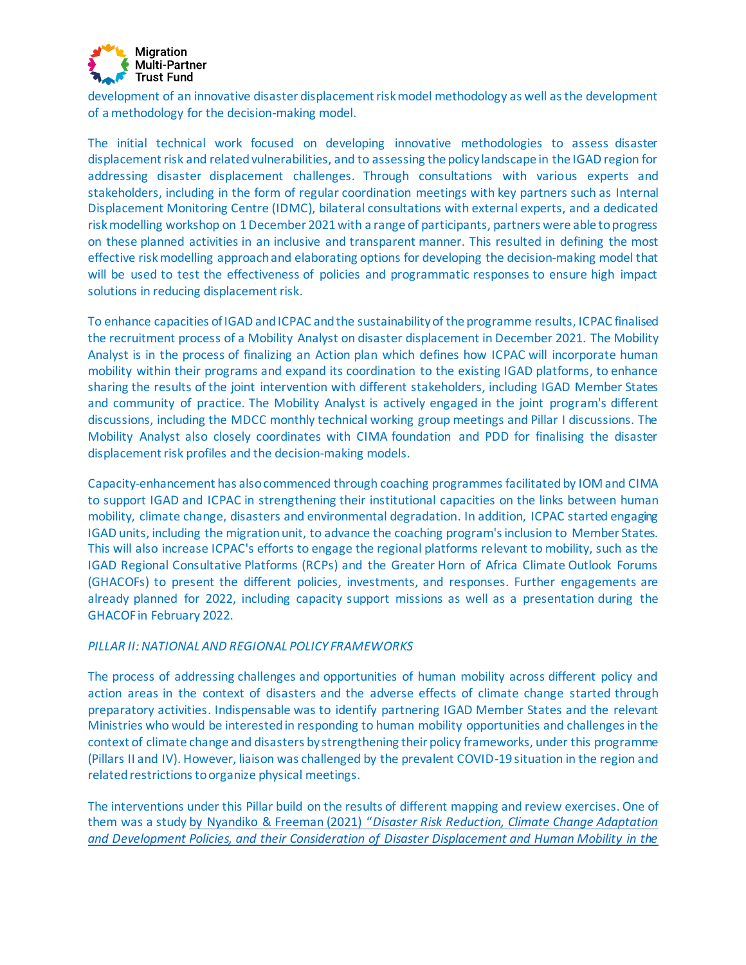

development of an innovative disaster displacement risk model methodology as well as the development of a methodology for the decision-making model.

The initial technical work focused on developing innovative methodologies to assess disaster displacement risk and related vulnerabilities, and to assessing the policy landscape in the IGAD region for addressing disaster displacement challenges. Through consultations with various experts and stakeholders, including in the form of regular coordination meetings with key partners such as Internal Displacement Monitoring Centre (IDMC), bilateral consultations with external experts, and a dedicated risk modelling workshop on 1 December 2021 with a range of participants, partners were able to progress on these planned activities in an inclusive and transparent manner. This resulted in defining the most effective risk modelling approach and elaborating options for developing the decision-making model that will be used to test the effectiveness of policies and programmatic responses to ensure high impact solutions in reducing displacement risk.

To enhance capacities of IGAD and ICPAC and the sustainability of the programme results, ICPAC finalised the recruitment process of a Mobility Analyst on disaster displacement in December 2021. The Mobility Analyst is in the process of finalizing an Action plan which defines how ICPAC will incorporate human mobility within their programs and expand its coordination to the existing IGAD platforms, to enhance sharing the results of the joint intervention with different stakeholders, including IGAD Member States and community of practice. The Mobility Analyst is actively engaged in the joint program's different discussions, including the MDCC monthly technical working group meetings and Pillar I discussions. The Mobility Analyst also closely coordinates with CIMA foundation and PDD for finalising the disaster displacement risk profiles and the decision-making models.

Capacity-enhancement has also commenced through coaching programmes facilitatedby IOM and CIMA to support IGAD and ICPAC in strengthening their institutional capacities on the links between human mobility, climate change, disasters and environmental degradation. In addition, ICPAC started engaging IGAD units, including the migration unit, to advance the coaching program's inclusion to Member States. This will also increase ICPAC's efforts to engage the regional platforms relevant to mobility, such as the IGAD Regional Consultative Platforms (RCPs) and the Greater Horn of Africa Climate Outlook Forums (GHACOFs) to present the different policies, investments, and responses. Further engagements are already planned for 2022, including capacity support missions as well as a presentation during the GHACOF in February 2022.

#### **PILLAR II: NATIONAL AND REGIONAL POLICY FRAMEWORKS**

The process of addressing challenges and opportunities of human mobility across different policy and action areas in the context of disasters and the adverse effects of climate change started through preparatory activities. Indispensable was to identify partnering IGAD Member States and the relevant Ministries who would be interested in responding to human mobility opportunities and challenges in the context of climate change and disasters by strengthening their policy frameworks, under this programme (Pillars II and IV). However, liaison was challenged by the prevalent COVID-19 situation in the region and related restrictions to organize physical meetings.

The interventions under this Pillar build on the results of different mapping and review exercises. One of them was a study by Nyandiko & Freeman (2021) "*[Disaster Risk Reduction, Climate Change Adaptation](https://disasterdisplacement.org/portfolio-item/drr-cca-development-policies-and-disaster-displacement-human-mobility-in-igad)  and Development Policies, and their [Consideration of Disaster Displacement and Human Mobility in the](https://disasterdisplacement.org/portfolio-item/drr-cca-development-policies-and-disaster-displacement-human-mobility-in-igad)*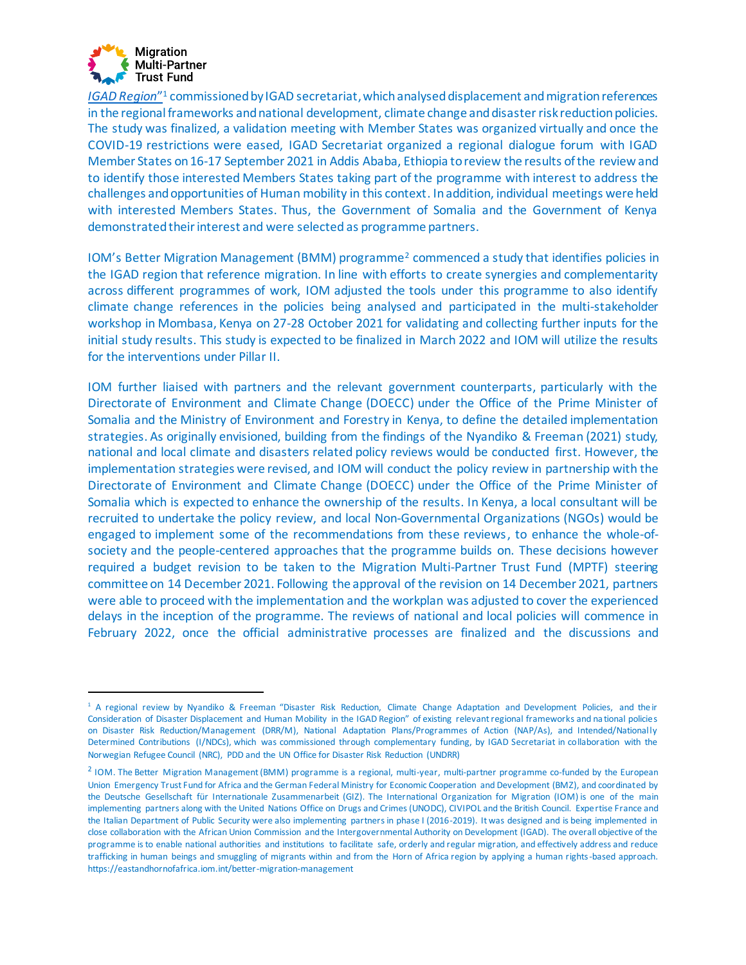

*[IGAD Region](https://disasterdisplacement.org/portfolio-item/drr-cca-development-policies-and-disaster-displacement-human-mobility-in-igad)*" <sup>1</sup> commissioned by IGAD secretariat, which analysed displacement and migration references in the regional frameworks and national development, climate change and disaster risk reduction policies. The study was finalized, a validation meeting with Member States was organized virtually and once the COVID-19 restrictions were eased, IGAD Secretariat organized a regional dialogue forum with IGAD Member States on 16-17 September 2021 in Addis Ababa, Ethiopia to review the results of the review and to identify those interested Members States taking part of the programme with interest to address the challenges and opportunities of Human mobility in this context. In addition, individual meetings were held with interested Members States. Thus, the Government of Somalia and the Government of Kenya demonstrated their interest and were selected as programme partners.

IOM's Better Migration Management (BMM) programme<sup>2</sup> commenced a study that identifies policies in the IGAD region that reference migration. In line with efforts to create synergies and complementarity across different programmes of work, IOM adjusted the tools under this programme to also identify climate change references in the policies being analysed and participated in the multi-stakeholder workshop in Mombasa, Kenya on 27-28 October 2021 for validating and collecting further inputs for the initial study results. This study is expected to be finalized in March 2022 and IOM will utilize the results for the interventions under Pillar II.

IOM further liaised with partners and the relevant government counterparts, particularly with the Directorate of Environment and Climate Change (DOECC) under the Office of the Prime Minister of Somalia and the Ministry of Environment and Forestry in Kenya, to define the detailed implementation strategies. As originally envisioned, building from the findings of the [Nyandiko & Freeman \(2021\)](https://disasterdisplacement.org/portfolio-item/drr-cca-development-policies-and-disaster-displacement-human-mobility-in-igad) study, national and local climate and disasters related policy reviews would be conducted first. However, the implementation strategies were revised, and IOM will conduct the policy review in partnership with the Directorate of Environment and Climate Change (DOECC) under the Office of the Prime Minister of Somalia which is expected to enhance the ownership of the results. In Kenya, a local consultant will be recruited to undertake the policy review, and local Non-Governmental Organizations (NGOs) would be engaged to implement some of the recommendations from these reviews, to enhance the whole-ofsociety and the people-centered approaches that the programme builds on. These decisions however required a budget revision to be taken to the Migration Multi-Partner Trust Fund (MPTF) steering committee on 14 December 2021. Following the approval of the revision on 14 December 2021, partners were able to proceed with the implementation and the workplan was adjusted to cover the experienced delays in the inception of the programme. The reviews of national and local policies will commence in February 2022, once the official administrative processes are finalized and the discussions and

<sup>&</sup>lt;sup>1</sup> A regional review by Nyandiko & Freeman "Disaster Risk Reduction, Climate Change Adaptation and Development Policies, and their Consideration of Disaster Displacement and Human Mobility in the IGAD Region" of existing relevant regional frameworks and na tional policies on Disaster Risk Reduction/Management (DRR/M), National Adaptation Plans/Programmes of Action (NAP/As), and Intended/Nationally Determined Contributions (I/NDCs), which was commissioned through complementary funding, by IGAD Secretariat in collaboration with the Norwegian Refugee Council (NRC), PDD and the UN Office for Disaster Risk Reduction (UNDRR)

<sup>&</sup>lt;sup>2</sup> IOM. The Better Migration Management (BMM) programme is a regional, multi-year, multi-partner programme co-funded by the European Union Emergency Trust Fund for Africa and the German Federal Ministry for Economic Cooperation and Development (BMZ), and coordinated by the Deutsche Gesellschaft für Internationale Zusammenarbeit (GIZ). The International Organization for Migration (IOM) is one of the main implementing partners along with the United Nations Office on Drugs and Crimes (UNODC), CIVIPOL and the British Council. Expertise France and the Italian Department of Public Security were also implementing partners in phase I (2016-2019). It was designed and is being implemented in close collaboration with the African Union Commission and the Intergovernmental Authority on Development (IGAD). The overall objective of the programme is to enable national authorities and institutions to facilitate safe, orderly and regular migration, and effectively address and reduce trafficking in human beings and smuggling of migrants within and from the Horn of Africa region by applying a human rights-based approach. https://eastandhornofafrica.iom.int/better-migration-management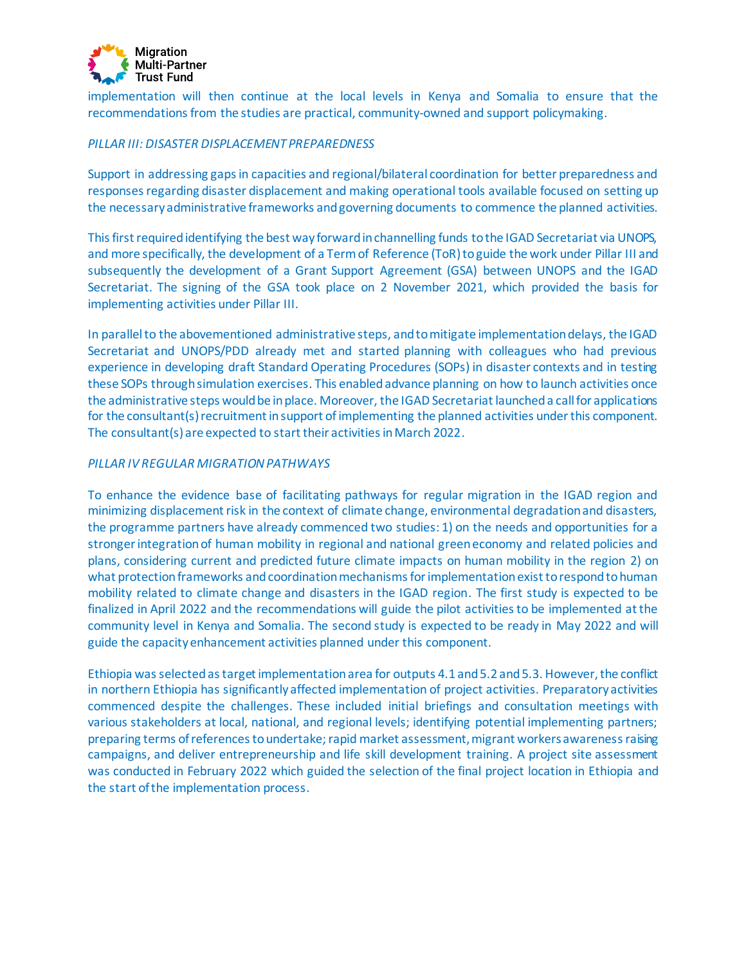

implementation will then continue at the local levels in Kenya and Somalia to ensure that the recommendations from the studies are practical, community-owned and support policymaking.

#### *PILLAR III: DISASTER DISPLACEMENT PREPAREDNESS*

Support in addressing gaps in capacities and regional/bilateral coordination for better preparedness and responses regarding disaster displacement and making operational tools available focused on setting up the necessary administrative frameworks and governing documents to commence the planned activities.

This first required identifying the best way forward in channelling funds to the IGAD Secretariat via UNOPS, and more specifically, the development of a Term of Reference (ToR) to guide the work under Pillar III and subsequently the development of a Grant Support Agreement (GSA) between UNOPS and the IGAD Secretariat. The signing of the GSA took place on 2 November 2021, which provided the basis for implementing activities under Pillar III.

In parallel to the abovementioned administrative steps, and to mitigate implementation delays, the IGAD Secretariat and UNOPS/PDD already met and started planning with colleagues who had previous experience in developing draft Standard Operating Procedures (SOPs) in disaster contexts and in testing these SOPs through simulation exercises. This enabled advance planning on how to launch activities once the administrative steps would be in place. Moreover, the IGAD Secretariat launched a call for applications for the consultant(s) recruitment in support of implementing the planned activities under this component. The consultant(s) are expected to start their activities in March 2022.

#### *PILLAR IV REGULAR MIGRATION PATHWAYS*

To enhance the evidence base of facilitating pathways for regular migration in the IGAD region and minimizing displacement risk in the context of climate change, environmental degradation and disasters, the programme partners have already commenced two studies: 1) on the needs and opportunities for a stronger integration of human mobility in regional and national green economy and related policies and plans, considering current and predicted future climate impacts on human mobility in the region 2) on what protection frameworks and coordination mechanisms for implementation exist to respond to human mobility related to climate change and disasters in the IGAD region. The first study is expected to be finalized in April 2022 and the recommendations will guide the pilot activities to be implemented at the community level in Kenya and Somalia. The second study is expected to be ready in May 2022 and will guide the capacity enhancement activities planned under this component.

Ethiopia was selected as target implementation area for outputs 4.1 and 5.2 and 5.3. However, the conflict in northern Ethiopia has significantly affected implementation of project activities. Preparatory activities commenced despite the challenges. These included initial briefings and consultation meetings with various stakeholders at local, national, and regional levels; identifying potential implementing partners; preparing terms of references to undertake; rapid market assessment, migrant workers awareness raising campaigns, and deliver entrepreneurship and life skill development training. A project site assessment was conducted in February 2022 which guided the selection of the final project location in Ethiopia and the start of the implementation process.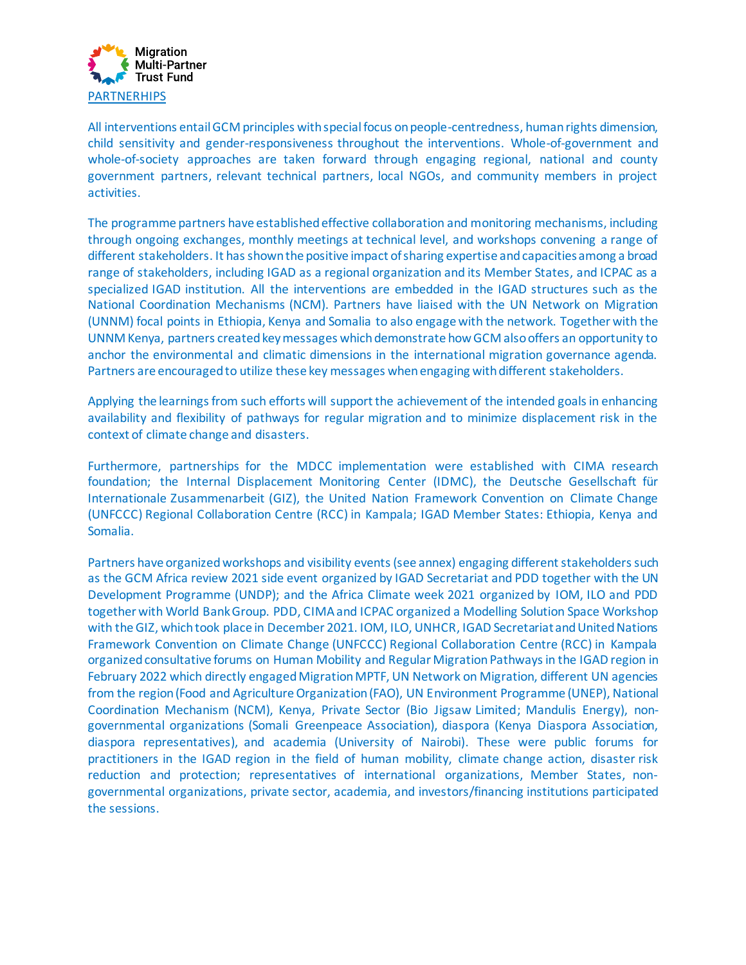

All interventions entail GCM principles with special focus on people-centredness, human rights dimension, child sensitivity and gender-responsiveness throughout the interventions. Whole-of-government and whole-of-society approaches are taken forward through engaging regional, national and county government partners, relevant technical partners, local NGOs, and community members in project activities.

The programme partners have established effective collaboration and monitoring mechanisms, including through ongoing exchanges, monthly meetings at technical level, and workshops convening a range of different stakeholders. It has shown the positive impact of sharing expertise and capacities among a broad range of stakeholders, including IGAD as a regional organization and its Member States, and ICPAC as a specialized IGAD institution. All the interventions are embedded in the IGAD structures such as the National Coordination Mechanisms (NCM). Partners have liaised with the UN Network on Migration (UNNM) focal points in Ethiopia, Kenya and Somalia to also engage with the network. Together with the UNNM Kenya, partners created key messages which demonstrate how GCM also offers an opportunity to anchor the environmental and climatic dimensions in the international migration governance agenda. Partners are encouraged to utilize these key messages when engaging with different stakeholders.

Applying the learnings from such efforts will support the achievement of the intended goals in enhancing availability and flexibility of pathways for regular migration and to minimize displacement risk in the context of climate change and disasters.

Furthermore, partnerships for the MDCC implementation were established with CIMA research foundation; the Internal Displacement Monitoring Center (IDMC), the Deutsche Gesellschaft für Internationale Zusammenarbeit (GIZ), the United Nation Framework Convention on Climate Change (UNFCCC) Regional Collaboration Centre (RCC) in Kampala; IGAD Member States: Ethiopia, Kenya and Somalia.

Partners have organized workshops and visibility events (see annex) engaging different stakeholders such as the GCM Africa review 2021 side event organized by IGAD Secretariat and PDD together with the UN Development Programme (UNDP); and the Africa Climate week 2021 organized by IOM, ILO and PDD together with World Bank Group. PDD, CIMA and ICPAC organized a Modelling Solution Space Workshop with the GIZ, which took place in December 2021. IOM, ILO, UNHCR, IGAD Secretariatand United Nations Framework Convention on Climate Change (UNFCCC) Regional Collaboration Centre (RCC) in Kampala organizedconsultative forums on Human Mobility and Regular Migration Pathwaysin the IGAD region in February 2022 which directly engaged Migration MPTF, UN Network on Migration, different UN agencies from the region (Food and Agriculture Organization (FAO), UN Environment Programme (UNEP), National Coordination Mechanism (NCM), Kenya, Private Sector (Bio Jigsaw Limited; Mandulis Energy), nongovernmental organizations (Somali Greenpeace Association), diaspora (Kenya Diaspora Association, diaspora representatives), and academia (University of Nairobi). These were public forums for practitioners in the IGAD region in the field of human mobility, climate change action, disaster risk reduction and protection; representatives of international organizations, Member States, nongovernmental organizations, private sector, academia, and investors/financing institutions participated the sessions.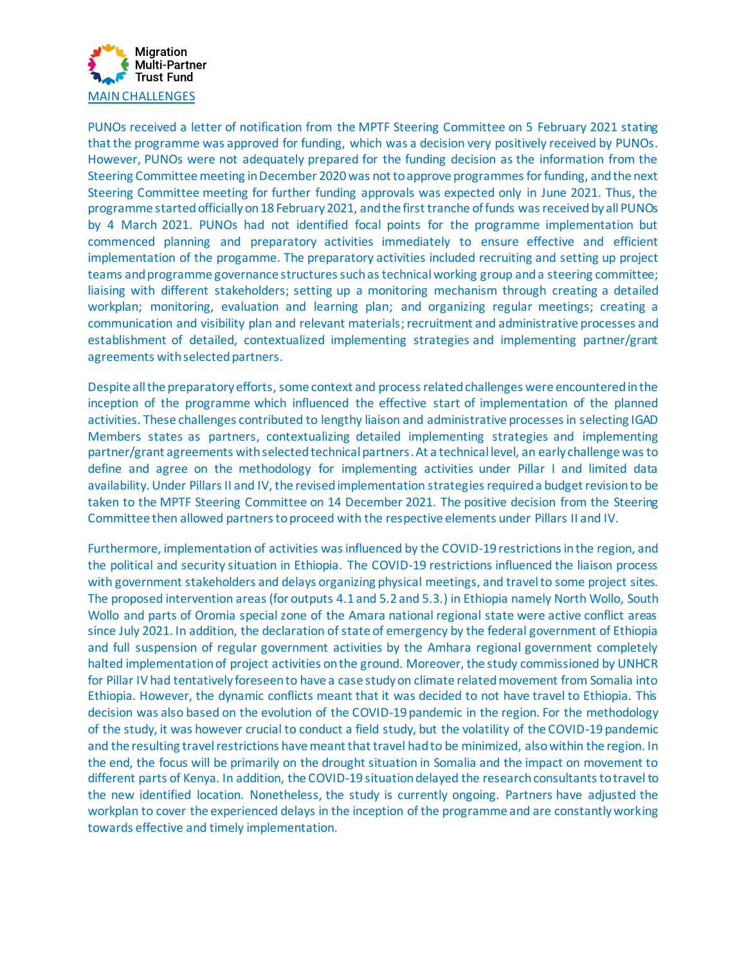

PUNOs received a letter of notification from the MPTF Steering Committee on 5 February 2021 stating that the programme was approved for funding, which was a decision very positively received by PUNOs. However, PUNOs were not adequately prepared for the funding decision as the information from the Steering Committee meeting in December 2020 was not to approve programmes for funding, and the next Steering Committee meeting for further funding approvals was expected only in June 2021. Thus, the programme started officially on 18 February 2021, and the first tranche offunds was receivedby all PUNOs by 4 March 2021. PUNOs had not identified focal points for the programme implementation but commenced planning and preparatory activities immediately to ensure effective and efficient implementation of the progamme. The preparatory activities included recruiting and setting up project teams and programme governance structures such as technical working group and a steering committee; liaising with different stakeholders; setting up a monitoring mechanism through creating a detailed workplan; monitoring, evaluation and learning plan; and organizing regular meetings; creating a communication and visibility plan and relevant materials;recruitment and administrative processes and establishment of detailed, contextualized implementing strategies and implementing partner/grant agreements with selected partners.

Despite all the preparatory efforts, some context and process related challenges were encountered in the inception of the programme which influenced the effective start of implementation of the planned activities. These challenges contributed to lengthy liaison and administrative processes in selecting IGAD Members states as partners, contextualizing detailed implementing strategies and implementing partner/grant agreements with selected technical partners.At a technical level, an early challenge was to define and agree on the methodology for implementing activities under Pillar I and limited data availability. Under Pillars II and IV, the revised implementation strategiesrequired a budget revision to be taken to the MPTF Steering Committee on 14 December 2021. The positive decision from the Steering Committee then allowed partners to proceed with the respective elements under Pillars II and IV.

Furthermore, implementation of activities was influenced by the COVID-19 restrictions in the region, and the political and security situation in Ethiopia. The COVID-19 restrictions influenced the liaison process with government stakeholders and delays organizing physical meetings, and travel to some project sites. The proposed intervention areas (for outputs 4.1 and 5.2 and 5.3.) in Ethiopia namely North Wollo, South Wollo and parts of Oromia special zone of the Amara national regional state were active conflict areas since July 2021. In addition, the declaration of state of emergency by the federal government of Ethiopia and full suspension of regular government activities by the Amhara regional government completely halted implementation of project activities on the ground. Moreover, the study commissioned by UNHCR for Pillar IV had tentatively foreseen to have a case study on climate related movement from Somalia into Ethiopia. However, the dynamic conflicts meant that it was decided to not have travel to Ethiopia. This decision was also based on the evolution of the COVID-19 pandemic in the region. For the methodology of the study, it was however crucial to conduct a field study, but the volatility of the COVID-19 pandemic and the resulting travel restrictions have meant that travel had to be minimized, also within the region. In the end, the focus will be primarily on the drought situation in Somalia and the impact on movement to different parts of Kenya. In addition, the COVID-19 situation delayed the research consultants to travel to the new identified location. Nonetheless, the study is currently ongoing. Partners have adjusted the workplan to cover the experienced delays in the inception of the programme and are constantly working towards effective and timely implementation.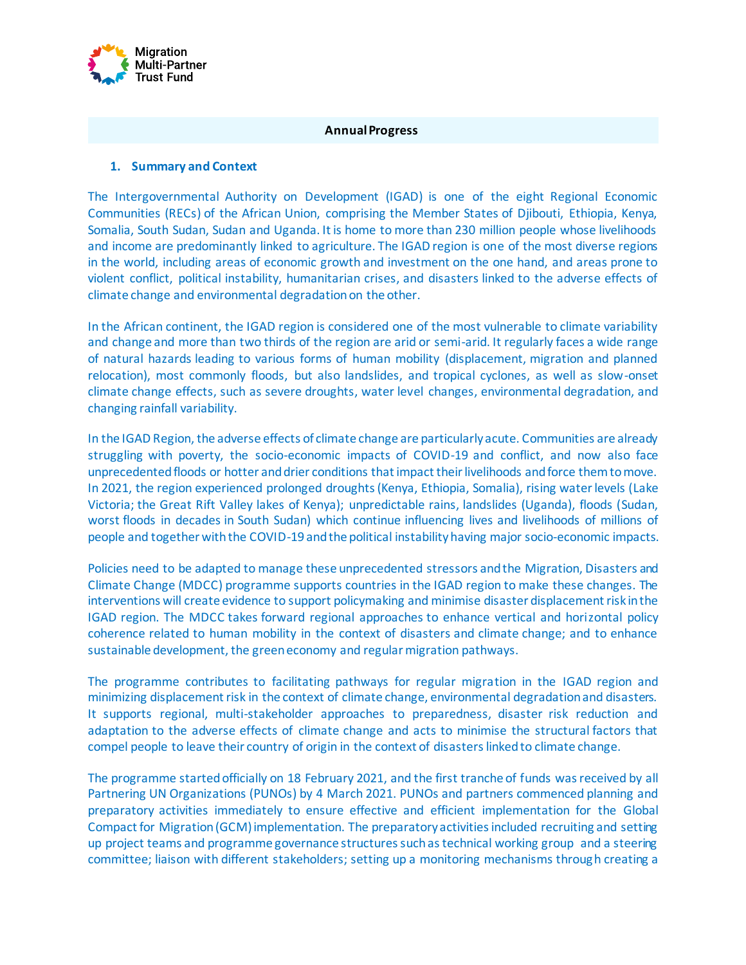

#### **Annual Progress**

#### **1. Summary and Context**

The Intergovernmental Authority on Development (IGAD) is one of the eight Regional Economic Communities (RECs) of the African Union, comprising the Member States of Djibouti, Ethiopia, Kenya, Somalia, South Sudan, Sudan and Uganda. It is home to more than 230 million people whose livelihoods and income are predominantly linked to agriculture. The IGAD region is one of the most diverse regions in the world, including areas of economic growth and investment on the one hand, and areas prone to violent conflict, political instability, humanitarian crises, and disasters linked to the adverse effects of climate change and environmental degradation on the other.

In the African continent, the IGAD region is considered one of the most vulnerable to climate variability and change and more than two thirds of the region are arid or semi-arid. It regularly faces a wide range of natural hazards leading to various forms of human mobility (displacement, migration and planned relocation), most commonly floods, but also landslides, and tropical cyclones, as well as slow-onset climate change effects, such as severe droughts, water level changes, environmental degradation, and changing rainfall variability.

In the IGAD Region, the adverse effects of climate change are particularly acute. Communities are already struggling with poverty, the socio-economic impacts of COVID-19 and conflict, and now also face unprecedented floods or hotter and drier conditions that impact their livelihoods and force them to move. In 2021, the region experienced prolonged droughts (Kenya, Ethiopia, Somalia), rising water levels (Lake Victoria; the Great Rift Valley lakes of Kenya); unpredictable rains, landslides (Uganda), floods (Sudan, worst floods in decades in South Sudan) which continue influencing lives and livelihoods of millions of people and together with the COVID-19 and the political instability having major socio-economic impacts.

Policies need to be adapted to manage these unprecedented stressors and the Migration, Disasters and Climate Change (MDCC) programme supports countries in the IGAD region to make these changes. The interventions will create evidence to support policymaking and minimise disaster displacement risk in the IGAD region. The MDCC takes forward regional approaches to enhance vertical and horizontal policy coherence related to human mobility in the context of disasters and climate change; and to enhance sustainable development, the green economy and regular migration pathways.

The programme contributes to facilitating pathways for regular migration in the IGAD region and minimizing displacement risk in the context of climate change, environmental degradation and disasters. It supports regional, multi-stakeholder approaches to preparedness, disaster risk reduction and adaptation to the adverse effects of climate change and acts to minimise the structural factors that compel people to leave their country of origin in the context of disasters linked to climate change.

The programme started officially on 18 February 2021, and the first tranche of funds was received by all Partnering UN Organizations (PUNOs) by 4 March 2021. PUNOs and partners commenced planning and preparatory activities immediately to ensure effective and efficient implementation for the Global Compact for Migration (GCM)implementation. The preparatory activities included recruiting and setting up project teams and programme governance structures such as technical working group and a steering committee; liaison with different stakeholders; setting up a monitoring mechanisms through creating a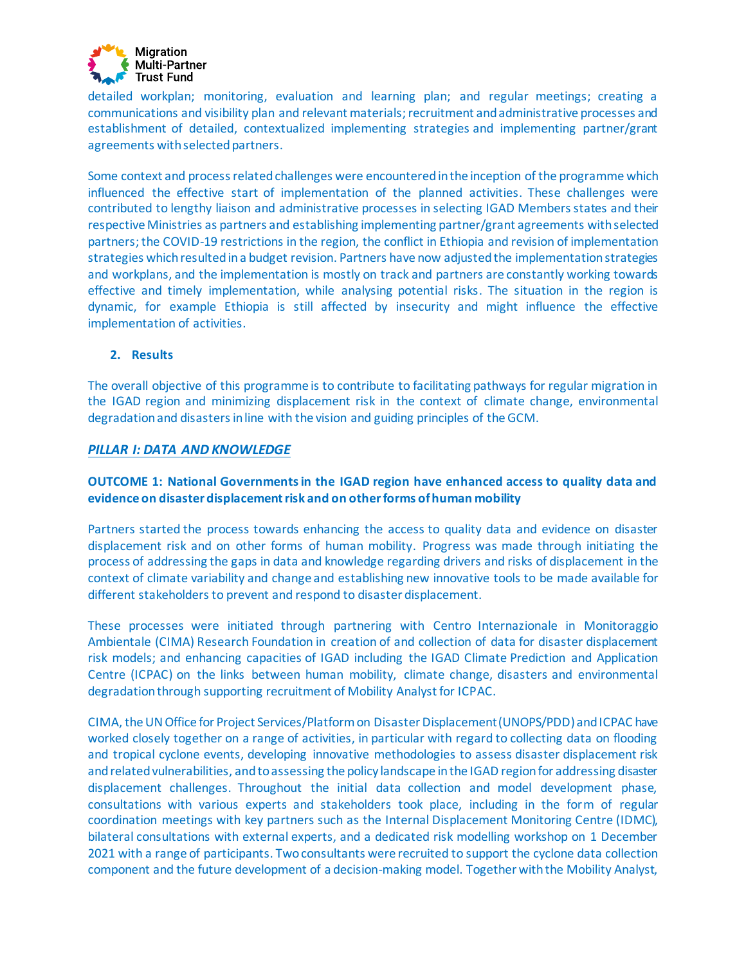

detailed workplan; monitoring, evaluation and learning plan; and regular meetings; creating a communications and visibility plan and relevant materials; recruitment and administrative processes and establishment of detailed, contextualized implementing strategies and implementing partner/grant agreements with selected partners.

Some context and process related challenges were encounteredin the inception of the programme which influenced the effective start of implementation of the planned activities. These challenges were contributed to lengthy liaison and administrative processes in selecting IGAD Members states and their respective Ministries as partners and establishing implementing partner/grant agreements with selected partners;the COVID-19 restrictions in the region, the conflict in Ethiopia and revision of implementation strategies which resulted in a budget revision. Partners have now adjusted the implementation strategies and workplans, and the implementation is mostly on track and partners are constantly working towards effective and timely implementation, while analysing potential risks. The situation in the region is dynamic, for example Ethiopia is still affected by insecurity and might influence the effective implementation of activities.

#### **2. Results**

The overall objective of this programme is to contribute to facilitating pathways for regular migration in the IGAD region and minimizing displacement risk in the context of climate change, environmental degradation and disasters in line with the vision and guiding principles of the GCM.

#### *PILLAR I: DATA AND KNOWLEDGE*

# **OUTCOME 1: National Governments in the IGAD region have enhanced access to quality data and evidence on disaster displacement risk and on other forms of human mobility**

Partners started the process towards enhancing the access to quality data and evidence on disaster displacement risk and on other forms of human mobility. Progress was made through initiating the process of addressing the gaps in data and knowledge regarding drivers and risks of displacement in the context of climate variability and change and establishing new innovative tools to be made available for different stakeholders to prevent and respond to disaster displacement.

These processes were initiated through partnering with Centro Internazionale in Monitoraggio Ambientale (CIMA) Research Foundation in creation of and collection of data for disaster displacement risk models; and enhancing capacities of IGAD including the IGAD Climate Prediction and Application Centre (ICPAC) on the links between human mobility, climate change, disasters and environmental degradation through supporting recruitment of Mobility Analyst for ICPAC.

CIMA, the UN Office for Project Services/Platform on Disaster Displacement (UNOPS/PDD) and ICPAC have worked closely together on a range of activities, in particular with regard to collecting data on flooding and tropical cyclone events, developing innovative methodologies to assess disaster displacement risk and related vulnerabilities, and to assessing the policy landscape in the IGAD region for addressing disaster displacement challenges. Throughout the initial data collection and model development phase, consultations with various experts and stakeholders took place, including in the form of regular coordination meetings with key partners such as the Internal Displacement Monitoring Centre (IDMC), bilateral consultations with external experts, and a dedicated risk modelling workshop on 1 December 2021 with a range of participants. Two consultants were recruited to support the cyclone data collection component and the future development of a decision-making model. Together with the Mobility Analyst,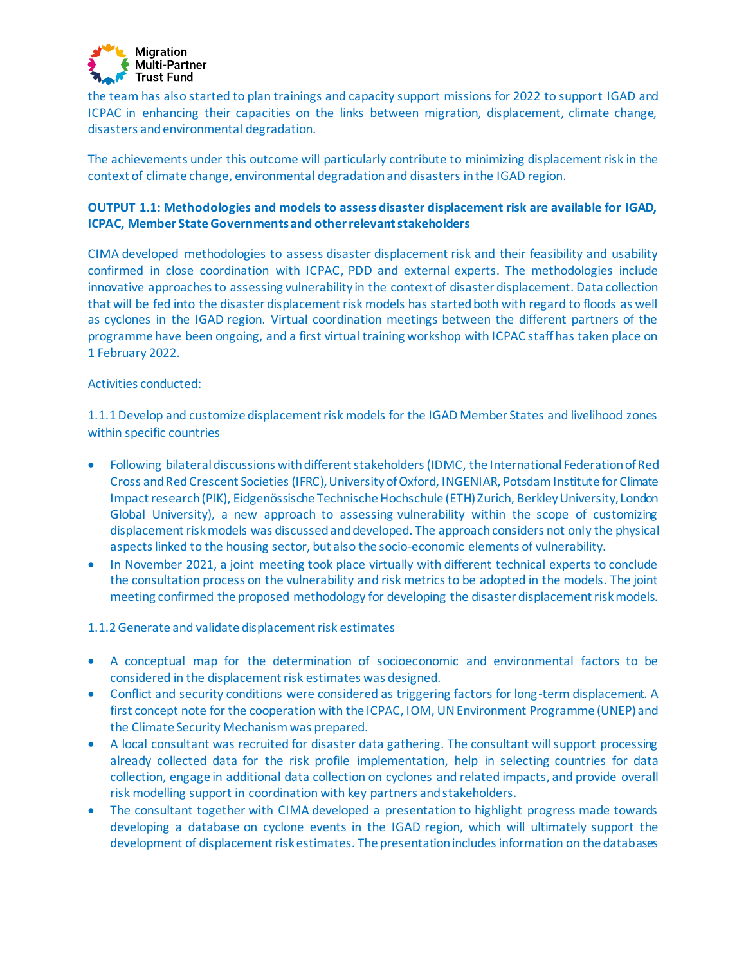

the team has also started to plan trainings and capacity support missions for 2022 to support IGAD and ICPAC in enhancing their capacities on the links between migration, displacement, climate change, disasters and environmental degradation.

The achievements under this outcome will particularly contribute to minimizing displacement risk in the context of climate change, environmental degradation and disasters in the IGAD region.

# **OUTPUT 1.1: Methodologies and models to assess disaster displacement risk are available for IGAD, ICPAC, Member State Governments and other relevant stakeholders**

CIMA developed methodologies to assess disaster displacement risk and their feasibility and usability confirmed in close coordination with ICPAC, PDD and external experts. The methodologies include innovative approaches to assessing vulnerability in the context of disaster displacement. Data collection that will be fed into the disaster displacement risk models has started both with regard to floods as well as cyclones in the IGAD region. Virtual coordination meetings between the different partners of the programme have been ongoing, and a first virtual training workshop with ICPAC staff has taken place on 1 February 2022.

#### Activities conducted:

1.1.1 Develop and customize displacement risk models for the IGAD Member States and livelihood zones within specific countries

- Following bilateral discussions with different stakeholders (IDMC, the International Federation of Red Cross and Red Crescent Societies (IFRC), University of Oxford, INGENIAR, Potsdam Institute for Climate Impact research (PIK), Eidgenössische Technische Hochschule (ETH) Zurich, Berkley University, London Global University), a new approach to assessing vulnerability within the scope of customizing displacement risk models was discussed and developed. The approach considers not only the physical aspects linked to the housing sector, but also the socio-economic elements of vulnerability.
- In November 2021, a joint meeting took place virtually with different technical experts to conclude the consultation process on the vulnerability and risk metrics to be adopted in the models. The joint meeting confirmed the proposed methodology for developing the disaster displacement risk models.
- 1.1.2 Generate and validate displacement risk estimates
- A conceptual map for the determination of socioeconomic and environmental factors to be considered in the displacement risk estimates was designed.
- Conflict and security conditions were considered as triggering factors for long-term displacement. A first concept note for the cooperation with the ICPAC, IOM, UN Environment Programme (UNEP) and the Climate Security Mechanismwas prepared.
- A local consultant was recruited for disaster data gathering. The consultant will support processing already collected data for the risk profile implementation, help in selecting countries for data collection, engage in additional data collection on cyclones and related impacts, and provide overall risk modelling support in coordination with key partners and stakeholders.
- The consultant together with CIMA developed a presentation to highlight progress made towards developing a database on cyclone events in the IGAD region, which will ultimately support the development of displacement risk estimates. The presentation includes information on the databases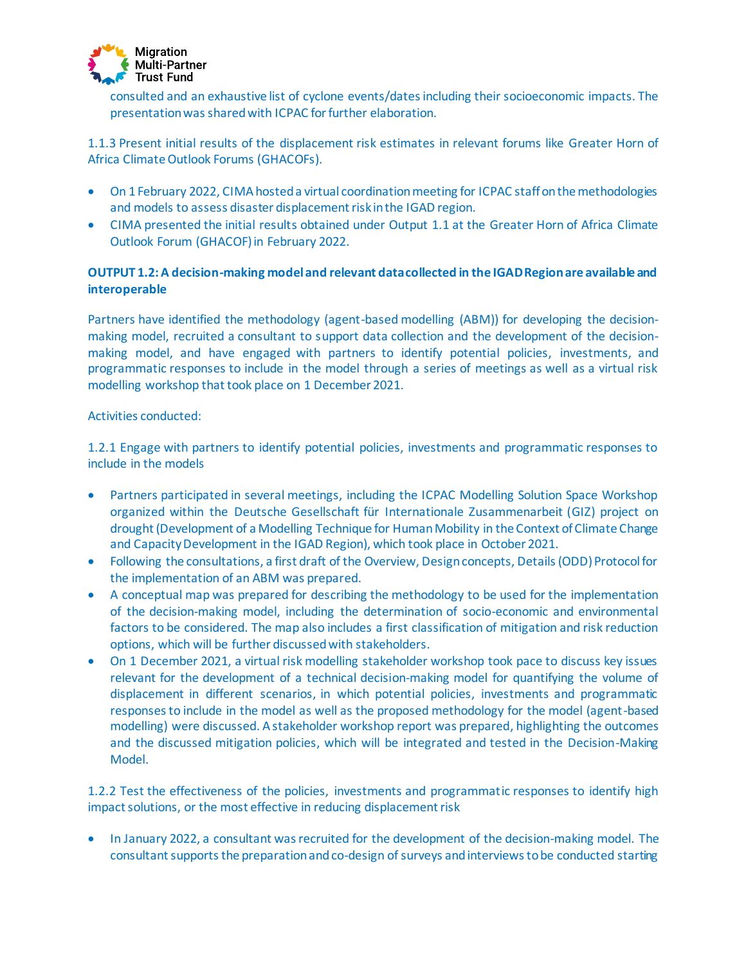

consulted and an exhaustive list of cyclone events/dates including their socioeconomic impacts. The presentation was shared with ICPAC for further elaboration.

1.1.3 Present initial results of the displacement risk estimates in relevant forums like Greater Horn of Africa Climate Outlook Forums (GHACOFs).

- On 1 February 2022, CIMA hosted a virtual coordination meeting for ICPAC staff on the methodologies and models to assess disaster displacement risk in the IGAD region.
- CIMA presented the initial results obtained under Output 1.1 at the Greater Horn of Africa Climate Outlook Forum (GHACOF) in February 2022.

# **OUTPUT 1.2: A decision-making model and relevant data collected in the IGAD Region are available and interoperable**

Partners have identified the methodology (agent-based modelling (ABM)) for developing the decisionmaking model, recruited a consultant to support data collection and the development of the decisionmaking model, and have engaged with partners to identify potential policies, investments, and programmatic responses to include in the model through a series of meetings as well as a virtual risk modelling workshop that took place on 1 December 2021.

#### Activities conducted:

1.2.1 Engage with partners to identify potential policies, investments and programmatic responses to include in the models

- Partners participated in several meetings, including the ICPAC Modelling Solution Space Workshop organized within the Deutsche Gesellschaft für Internationale Zusammenarbeit (GIZ) project on drought (Development of a Modelling Technique for Human Mobility in the Context of Climate Change and Capacity Development in the IGAD Region), which took place in October 2021.
- Following the consultations, a first draft of the Overview, Design concepts, Details (ODD) Protocol for the implementation of an ABM was prepared.
- A conceptual map was prepared for describing the methodology to be used for the implementation of the decision-making model, including the determination of socio-economic and environmental factors to be considered. The map also includes a first classification of mitigation and risk reduction options, which will be further discussed with stakeholders.
- On 1 December 2021, a virtual risk modelling stakeholder workshop took pace to discuss key issues relevant for the development of a technical decision-making model for quantifying the volume of displacement in different scenarios, in which potential policies, investments and programmatic responses to include in the model as well as the proposed methodology for the model (agent-based modelling) were discussed. A stakeholder workshop report was prepared, highlighting the outcomes and the discussed mitigation policies, which will be integrated and tested in the Decision-Making Model.

1.2.2 Test the effectiveness of the policies, investments and programmatic responses to identify high impact solutions, or the most effective in reducing displacement risk

• In January 2022, a consultant was recruited for the development of the decision-making model. The consultant supports the preparation and co-design of surveys and interviews to be conducted starting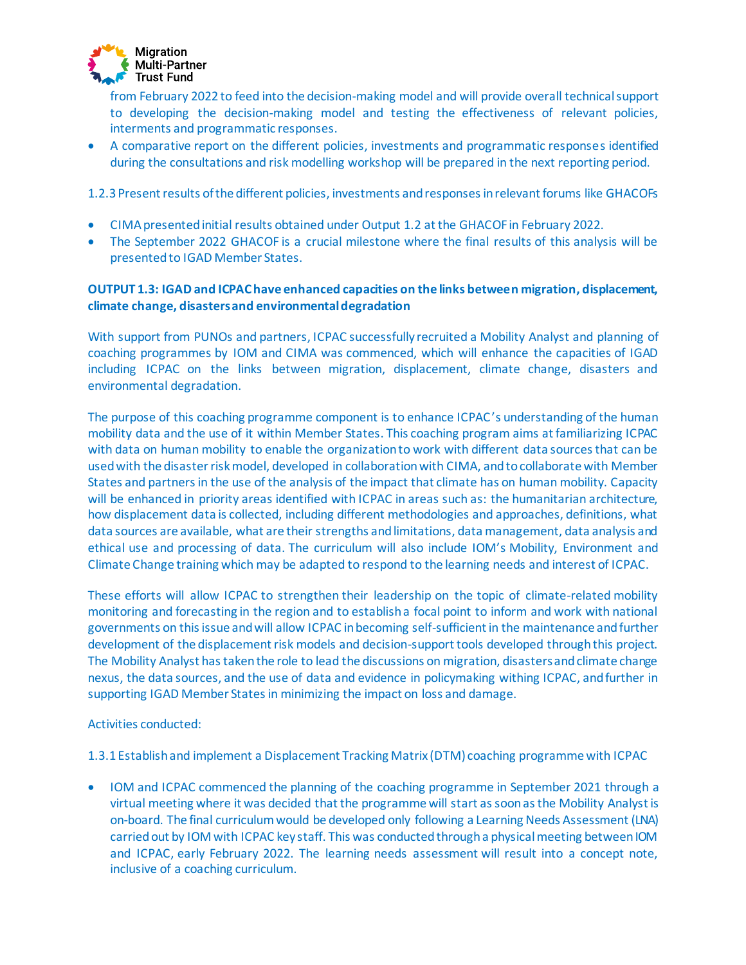

from February 2022 to feed into the decision-making model and will provide overall technical support to developing the decision-making model and testing the effectiveness of relevant policies, interments and programmatic responses.

• A comparative report on the different policies, investments and programmatic responses identified during the consultations and risk modelling workshop will be prepared in the next reporting period.

1.2.3 Present results of the different policies, investments and responses in relevant forums like GHACOFs

- CIMA presented initial results obtained under Output 1.2 at the GHACOF in February 2022.
- The September 2022 GHACOF is a crucial milestone where the final results of this analysis will be presented to IGAD Member States.

# **OUTPUT 1.3: IGAD and ICPAC have enhanced capacities on the links between migration, displacement, climate change, disasters and environmental degradation**

With support from PUNOs and partners, ICPAC successfully recruited a Mobility Analyst and planning of coaching programmes by IOM and CIMA was commenced, which will enhance the capacities of IGAD including ICPAC on the links between migration, displacement, climate change, disasters and environmental degradation.

The purpose of this coaching programme component is to enhance ICPAC's understanding of the human mobility data and the use of it within Member States. This coaching program aims at familiarizing ICPAC with data on human mobility to enable the organization to work with different data sources that can be used with the disaster risk model, developed in collaboration with CIMA, and to collaborate with Member States and partners in the use of the analysis of the impact that climate has on human mobility. Capacity will be enhanced in priority areas identified with ICPAC in areas such as: the humanitarian architecture, how displacement data is collected, including different methodologies and approaches, definitions, what data sources are available, what are their strengths and limitations, data management, data analysis and ethical use and processing of data. The curriculum will also include IOM's Mobility, Environment and Climate Change training which may be adapted to respond to the learning needs and interest of ICPAC.

These efforts will allow ICPAC to strengthen their leadership on the topic of climate-related mobility monitoring and forecasting in the region and to establish a focal point to inform and work with national governments on this issue and will allow ICPAC in becoming self-sufficient in the maintenance and further development of the displacement risk models and decision-support tools developed through this project. The Mobility Analyst has taken the role to lead the discussions on migration, disasters and climate change nexus, the data sources, and the use of data and evidence in policymaking withing ICPAC, and further in supporting IGAD Member States in minimizing the impact on loss and damage.

Activities conducted:

1.3.1 Establish and implement a Displacement Tracking Matrix (DTM) coaching programme with ICPAC

• IOM and ICPAC commenced the planning of the coaching programme in September 2021 through a virtual meeting where it was decided that the programme will start as soon as the Mobility Analyst is on-board. The final curriculum would be developed only following a Learning Needs Assessment (LNA) carried out by IOM with ICPAC key staff. This was conducted through a physical meeting between IOM and ICPAC, early February 2022. The learning needs assessment will result into a concept note, inclusive of a coaching curriculum.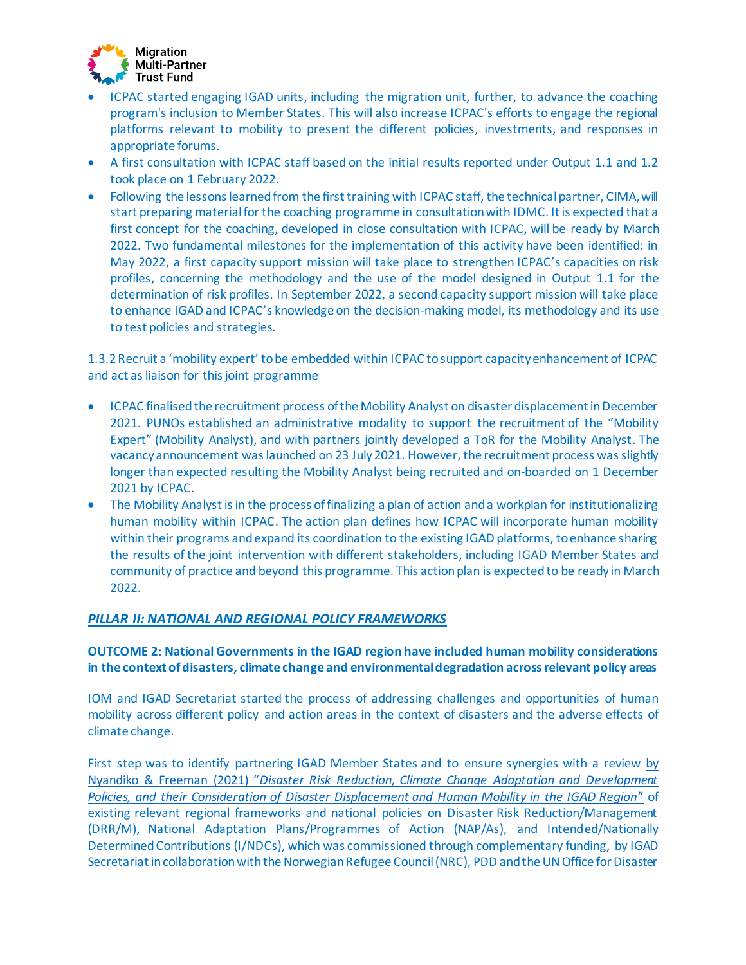

- ICPAC started engaging IGAD units, including the migration unit, further, to advance the coaching program's inclusion to Member States. This will also increase ICPAC's efforts to engage the regional platforms relevant to mobility to present the different policies, investments, and responses in appropriate forums.
- A first consultation with ICPAC staff based on the initial results reported under Output 1.1 and 1.2 took place on 1 February 2022.
- Following the lessons learned from the first training with ICPAC staff, the technical partner, CIMA, will start preparing material for the coaching programme in consultation with IDMC. It is expected that a first concept for the coaching, developed in close consultation with ICPAC, will be ready by March 2022. Two fundamental milestones for the implementation of this activity have been identified: in May 2022, a first capacity support mission will take place to strengthen ICPAC's capacities on risk profiles, concerning the methodology and the use of the model designed in Output 1.1 for the determination of risk profiles. In September 2022, a second capacity support mission will take place to enhance IGAD and ICPAC's knowledge on the decision-making model, its methodology and its use to test policies and strategies.

1.3.2 Recruit a 'mobility expert' to be embedded within ICPAC to support capacity enhancement of ICPAC and act as liaison for this joint programme

- ICPAC finalised the recruitment process of the Mobility Analyst on disaster displacement in December 2021. PUNOs established an administrative modality to support the recruitment of the "Mobility Expert" (Mobility Analyst), and with partners jointly developed a ToR for the Mobility Analyst. The vacancy announcement was launched on 23 July 2021. However, the recruitment process was slightly longer than expected resulting the Mobility Analyst being recruited and on-boarded on 1 December 2021 by ICPAC.
- The Mobility Analyst is in the process of finalizing a plan of action and a workplan for institutionalizing human mobility within ICPAC. The action plan defines how ICPAC will incorporate human mobility within their programs and expand its coordination to the existing IGAD platforms, to enhance sharing the results of the joint intervention with different stakeholders, including IGAD Member States and community of practice and beyond this programme. This action plan is expected to be ready in March 2022.

#### *PILLAR II: NATIONAL AND REGIONAL POLICY FRAMEWORKS*

#### **OUTCOME 2: National Governments in the IGAD region have included human mobility considerations in the context of disasters, climate change and environmental degradation across relevant policy areas**

IOM and IGAD Secretariat started the process of addressing challenges and opportunities of human mobility across different policy and action areas in the context of disasters and the adverse effects of climate change.

First step was to identify partnering IGAD Member States and to ensure synergies with a review [by](https://disasterdisplacement.org/portfolio-item/drr-cca-development-policies-and-disaster-displacement-human-mobility-in-igad)  Nyandiko & Freeman (2021) "*[Disaster Risk Reduction, Climate Change Adaptation and Development](https://disasterdisplacement.org/portfolio-item/drr-cca-development-policies-and-disaster-displacement-human-mobility-in-igad)  Policies, and their [Consideration of Disaster Displacement and Human Mobility in the IGAD Region](https://disasterdisplacement.org/portfolio-item/drr-cca-development-policies-and-disaster-displacement-human-mobility-in-igad)*" of existing relevant regional frameworks and national policies on Disaster Risk Reduction/Management (DRR/M), National Adaptation Plans/Programmes of Action (NAP/As), and Intended/Nationally Determined Contributions (I/NDCs), which was commissioned through complementary funding, by IGAD Secretariat in collaboration with the Norwegian Refugee Council (NRC), PDD and the UN Office for Disaster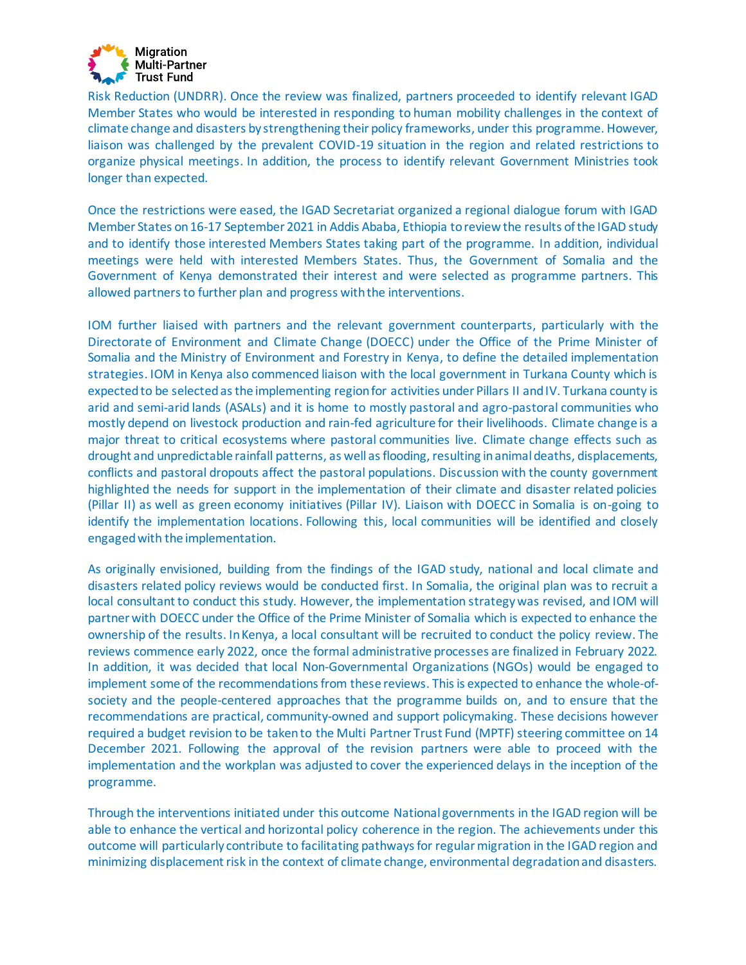

Risk Reduction (UNDRR). Once the review was finalized, partners proceeded to identify relevant IGAD Member States who would be interested in responding to human mobility challenges in the context of climate change and disasters by strengthening their policy frameworks, under this programme. However, liaison was challenged by the prevalent COVID-19 situation in the region and related restrictions to organize physical meetings. In addition, the process to identify relevant Government Ministries took longer than expected.

Once the restrictions were eased, the IGAD Secretariat organized a regional dialogue forum with IGAD Member States on 16-17 September 2021 in Addis Ababa, Ethiopia to review the results of the IGAD study and to identify those interested Members States taking part of the programme. In addition, individual meetings were held with interested Members States. Thus, the Government of Somalia and the Government of Kenya demonstrated their interest and were selected as programme partners. This allowed partners to further plan and progress with the interventions.

IOM further liaised with partners and the relevant government counterparts, particularly with the Directorate of Environment and Climate Change (DOECC) under the Office of the Prime Minister of Somalia and the Ministry of Environment and Forestry in Kenya, to define the detailed implementation strategies. IOM in Kenya also commenced liaison with the local government in Turkana County which is expected to be selected as the implementing region for activities under Pillars II and IV. Turkana county is arid and semi-arid lands (ASALs) and it is home to mostly pastoral and agro-pastoral communities who mostly depend on livestock production and rain-fed agriculture for their livelihoods. Climate change is a major threat to critical ecosystems where pastoral communities live. Climate change effects such as drought and unpredictable rainfall patterns, as well as flooding, resulting in animal deaths, displacements, conflicts and pastoral dropouts affect the pastoral populations. Discussion with the county government highlighted the needs for support in the implementation of their climate and disaster related policies (Pillar II) as well as green economy initiatives (Pillar IV). Liaison with DOECC in Somalia is on-going to identify the implementation locations. Following this, local communities will be identified and closely engaged with the implementation.

As originally envisioned, building from the findings of the IGAD study, national and local climate and disasters related policy reviews would be conducted first. In Somalia, the original plan was to recruit a local consultant to conduct this study. However, the implementation strategy was revised, and IOM will partner with DOECC under the Office of the Prime Minister of Somalia which is expected to enhance the ownership of the results. In Kenya, a local consultant will be recruited to conduct the policy review. The reviews commence early 2022, once the formal administrative processes are finalized in February 2022. In addition, it was decided that local Non-Governmental Organizations (NGOs) would be engaged to implement some of the recommendations from these reviews. This is expected to enhance the whole-ofsociety and the people-centered approaches that the programme builds on, and to ensure that the recommendations are practical, community-owned and support policymaking. These decisions however required a budget revision to be taken to the Multi Partner Trust Fund (MPTF) steering committee on 14 December 2021. Following the approval of the revision partners were able to proceed with the implementation and the workplan was adjusted to cover the experienced delays in the inception of the programme.

Through the interventions initiated under this outcome National governments in the IGAD region will be able to enhance the vertical and horizontal policy coherence in the region. The achievements under this outcome will particularly contribute to facilitating pathways for regular migration in the IGAD region and minimizing displacement risk in the context of climate change, environmental degradation and disasters.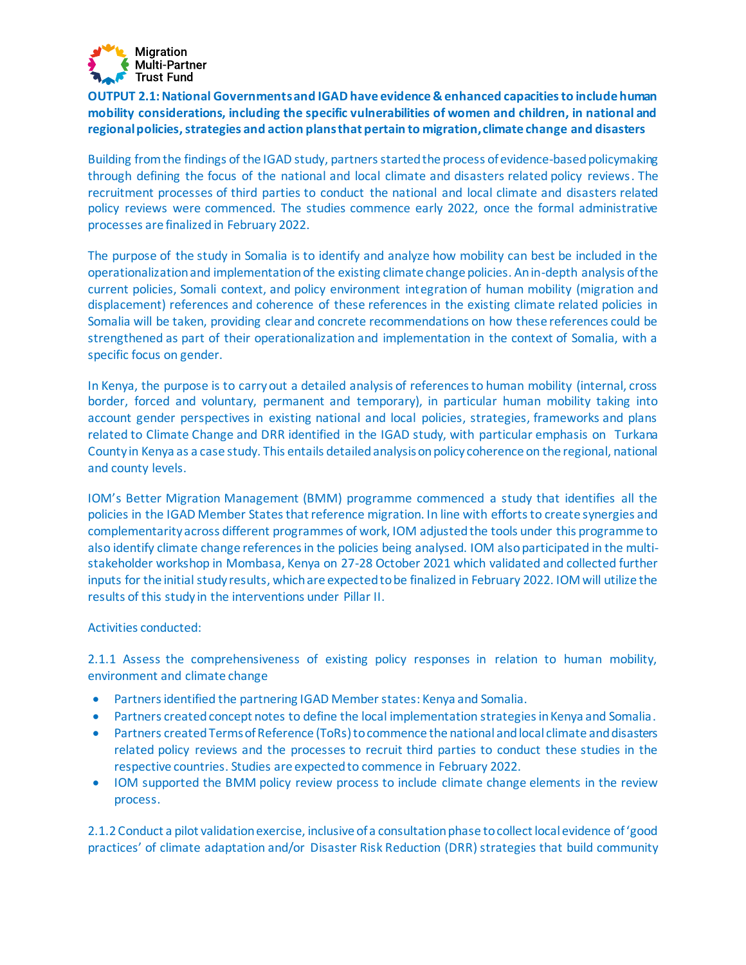

**OUTPUT 2.1: National Governments and IGAD have evidence & enhanced capacities to include human mobility considerations, including the specific vulnerabilities of women and children, in national and regional policies, strategies and action plans that pertain to migration, climate change and disasters** 

Building from the findings of the IGAD study, partners started the process of evidence-based policymaking through defining the focus of the national and local climate and disasters related policy reviews. The recruitment processes of third parties to conduct the national and local climate and disasters related policy reviews were commenced. The studies commence early 2022, once the formal administrative processes are finalized in February 2022.

The purpose of the study in Somalia is to identify and analyze how mobility can best be included in the operationalization and implementation of the existing climate change policies. An in-depth analysis of the current policies, Somali context, and policy environment integration of human mobility (migration and displacement) references and coherence of these references in the existing climate related policies in Somalia will be taken, providing clear and concrete recommendations on how these references could be strengthened as part of their operationalization and implementation in the context of Somalia, with a specific focus on gender.

In Kenya, the purpose is to carry out a detailed analysis of references to human mobility (internal, cross border, forced and voluntary, permanent and temporary), in particular human mobility taking into account gender perspectives in existing national and local policies, strategies, frameworks and plans related to Climate Change and DRR identified in the IGAD study, with particular emphasis on Turkana County in Kenya as a case study. This entails detailed analysis on policy coherence on the regional, national and county levels.

IOM's Better Migration Management (BMM) programme commenced a study that identifies all the policies in the IGAD Member States that reference migration. In line with efforts to create synergies and complementarity across different programmes of work, IOM adjusted the tools under this programme to also identify climate change references in the policies being analysed. IOM also participated in the multistakeholder workshop in Mombasa, Kenya on 27-28 October 2021 which validated and collected further inputs for the initial study results, which are expected to be finalized in February 2022. IOM will utilize the results of this study in the interventions under Pillar II.

#### Activities conducted:

2.1.1 Assess the comprehensiveness of existing policy responses in relation to human mobility, environment and climate change

- Partners identified the partnering IGAD Member states: Kenya and Somalia.
- Partners created concept notes to define the local implementation strategies in Kenya and Somalia.
- Partners created Terms of Reference (ToRs) to commence the national and local climate and disasters related policy reviews and the processes to recruit third parties to conduct these studies in the respective countries. Studies are expected to commence in February 2022.
- IOM supported the BMM policy review process to include climate change elements in the review process.

2.1.2 Conduct a pilot validation exercise, inclusive of a consultation phase to collect local evidence of 'good practices' of climate adaptation and/or Disaster Risk Reduction (DRR) strategies that build community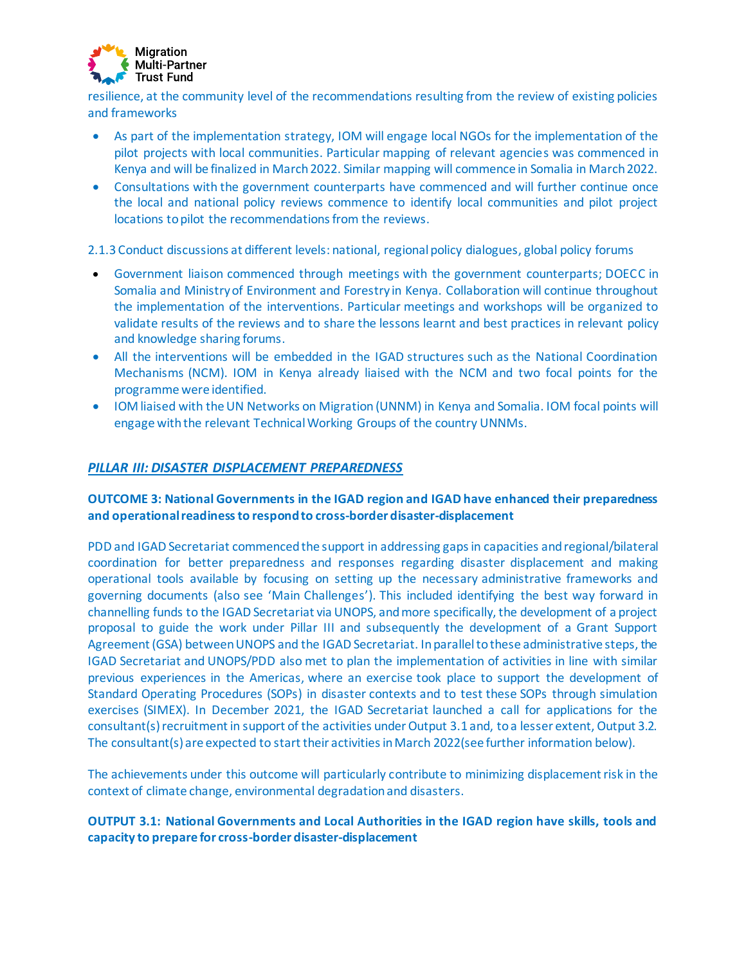

resilience, at the community level of the recommendations resulting from the review of existing policies and frameworks

- As part of the implementation strategy, IOM will engage local NGOs for the implementation of the pilot projects with local communities. Particular mapping of relevant agencies was commenced in Kenya and will be finalized in March 2022. Similar mapping will commence in Somalia in March 2022.
- Consultations with the government counterparts have commenced and will further continue once the local and national policy reviews commence to identify local communities and pilot project locations to pilot the recommendations from the reviews.

2.1.3 Conduct discussions at different levels: national, regional policy dialogues, global policy forums

- Government liaison commenced through meetings with the government counterparts; DOECC in Somalia and Ministry of Environment and Forestry in Kenya. Collaboration will continue throughout the implementation of the interventions. Particular meetings and workshops will be organized to validate results of the reviews and to share the lessons learnt and best practices in relevant policy and knowledge sharing forums.
- All the interventions will be embedded in the IGAD structures such as the National Coordination Mechanisms (NCM). IOM in Kenya already liaised with the NCM and two focal points for the programme were identified.
- IOM liaised with the UN Networks on Migration (UNNM) in Kenya and Somalia. IOM focal points will engage with the relevant Technical Working Groups of the country UNNMs.

#### *PILLAR III: DISASTER DISPLACEMENT PREPAREDNESS*

# **OUTCOME 3: National Governments in the IGAD region and IGAD have enhanced their preparedness and operational readiness to respond to cross-border disaster-displacement**

PDD and IGAD Secretariat commenced the support in addressing gaps in capacities and regional/bilateral coordination for better preparedness and responses regarding disaster displacement and making operational tools available by focusing on setting up the necessary administrative frameworks and governing documents (also see 'Main Challenges'). This included identifying the best way forward in channelling funds to the IGAD Secretariat via UNOPS, and more specifically, the development of a project proposal to guide the work under Pillar III and subsequently the development of a Grant Support Agreement (GSA) between UNOPS and the IGAD Secretariat. In parallel to these administrative steps, the IGAD Secretariat and UNOPS/PDD also met to plan the implementation of activities in line with similar previous experiences in the Americas, where an exercise took place to support the development of Standard Operating Procedures (SOPs) in disaster contexts and to test these SOPs through simulation exercises (SIMEX). In December 2021, the IGAD Secretariat launched a call for applications for the consultant(s) recruitment in support of the activities under Output 3.1 and, to a lesser extent, Output 3.2. The consultant(s) are expected to start their activities in March 2022(see further information below).

The achievements under this outcome will particularly contribute to minimizing displacement risk in the context of climate change, environmental degradation and disasters.

#### **OUTPUT 3.1: National Governments and Local Authorities in the IGAD region have skills, tools and capacity to prepare for cross-border disaster-displacement**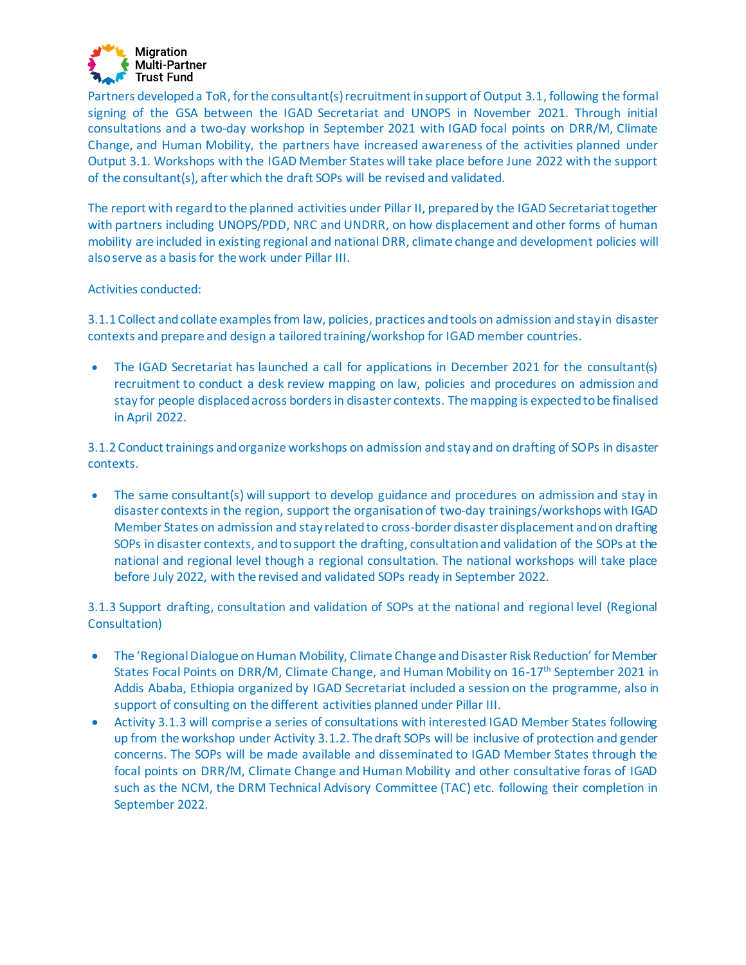

Partners developed a ToR, for the consultant(s) recruitment in support of Output 3.1, following the formal signing of the GSA between the IGAD Secretariat and UNOPS in November 2021. Through initial consultations and a two-day workshop in September 2021 with IGAD focal points on DRR/M, Climate Change, and Human Mobility, the partners have increased awareness of the activities planned under Output 3.1. Workshops with the IGAD Member States will take place before June 2022 with the support of the consultant(s), after which the draft SOPs will be revised and validated.

The report with regard to the planned activities under Pillar II, prepared by the IGAD Secretariat together with partners including UNOPS/PDD, NRC and UNDRR, on how displacement and other forms of human mobility are included in existing regional and national DRR, climate change and development policies will also serve as a basis for the work under Pillar III.

#### Activities conducted:

3.1.1 Collect and collate examples from law, policies, practices and tools on admission and stay in disaster contexts and prepare and design a tailored training/workshop for IGAD member countries.

• The IGAD Secretariat has launched a call for applications in December 2021 for the consultant(s) recruitment to conduct a desk review mapping on law, policies and procedures on admission and stay for people displaced across borders in disaster contexts. The mapping is expected to be finalised in April 2022.

3.1.2 Conduct trainings and organize workshops on admission and stay and on drafting of SOPs in disaster contexts.

• The same consultant(s) will support to develop guidance and procedures on admission and stay in disaster contexts in the region, support the organisation of two-day trainings/workshops with IGAD Member States on admission and stay related to cross-border disaster displacement and on drafting SOPs in disaster contexts, and to support the drafting, consultation and validation of the SOPs at the national and regional level though a regional consultation. The national workshops will take place before July 2022, with the revised and validated SOPs ready in September 2022.

3.1.3 Support drafting, consultation and validation of SOPs at the national and regional level (Regional Consultation)

- The 'Regional Dialogue on Human Mobility, Climate Change and Disaster Risk Reduction' for Member States Focal Points on DRR/M, Climate Change, and Human Mobility on 16-17<sup>th</sup> September 2021 in Addis Ababa, Ethiopia organized by IGAD Secretariat included a session on the programme, also in support of consulting on the different activities planned under Pillar III.
- Activity 3.1.3 will comprise a series of consultations with interested IGAD Member States following up from the workshop under Activity 3.1.2. The draft SOPs will be inclusive of protection and gender concerns. The SOPs will be made available and disseminated to IGAD Member States through the focal points on DRR/M, Climate Change and Human Mobility and other consultative foras of IGAD such as the NCM, the DRM Technical Advisory Committee (TAC) etc. following their completion in September 2022.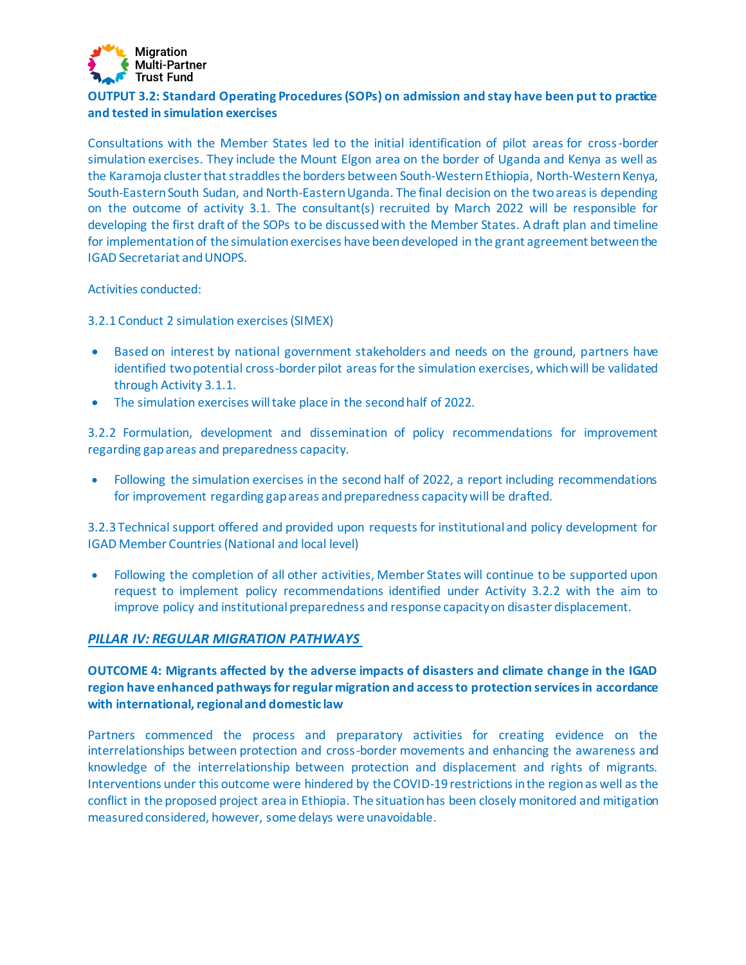

# **OUTPUT 3.2: Standard Operating Procedures (SOPs) on admission and stay have been put to practice and tested in simulation exercises**

Consultations with the Member States led to the initial identification of pilot areas for cross-border simulation exercises. They include the Mount Elgon area on the border of Uganda and Kenya as well as the Karamoja cluster that straddles the borders between South-Western Ethiopia, North-Western Kenya, South-Eastern South Sudan, and North-Eastern Uganda. The final decision on the two areas is depending on the outcome of activity 3.1. The consultant(s) recruited by March 2022 will be responsible for developing the first draft of the SOPs to be discussed with the Member States. A draft plan and timeline for implementation of the simulation exercises have been developed in the grant agreement between the IGAD Secretariat and UNOPS.

Activities conducted:

3.2.1 Conduct 2 simulation exercises (SIMEX)

- Based on interest by national government stakeholders and needs on the ground, partners have identified two potential cross-border pilot areas for the simulation exercises, which will be validated through Activity 3.1.1.
- The simulation exercises will take place in the second half of 2022.

3.2.2 Formulation, development and dissemination of policy recommendations for improvement regarding gap areas and preparedness capacity.

• Following the simulation exercises in the second half of 2022, a report including recommendations for improvement regarding gap areas and preparedness capacity will be drafted.

3.2.3 Technical support offered and provided upon requests for institutional and policy development for IGAD Member Countries (National and local level)

• Following the completion of all other activities, Member States will continue to be supported upon request to implement policy recommendations identified under Activity 3.2.2 with the aim to improve policy and institutional preparedness and response capacity on disaster displacement.

#### *PILLAR IV: REGULAR MIGRATION PATHWAYS*

# **OUTCOME 4: Migrants affected by the adverse impacts of disasters and climate change in the IGAD region have enhanced pathways for regular migration and access to protection services in accordance with international, regional and domestic law**

Partners commenced the process and preparatory activities for creating evidence on the interrelationships between protection and cross-border movements and enhancing the awareness and knowledge of the interrelationship between protection and displacement and rights of migrants. Interventions under this outcome were hindered by the COVID-19 restrictions in the region as well as the conflict in the proposed project area in Ethiopia. The situation has been closely monitored and mitigation measured considered, however, some delays were unavoidable.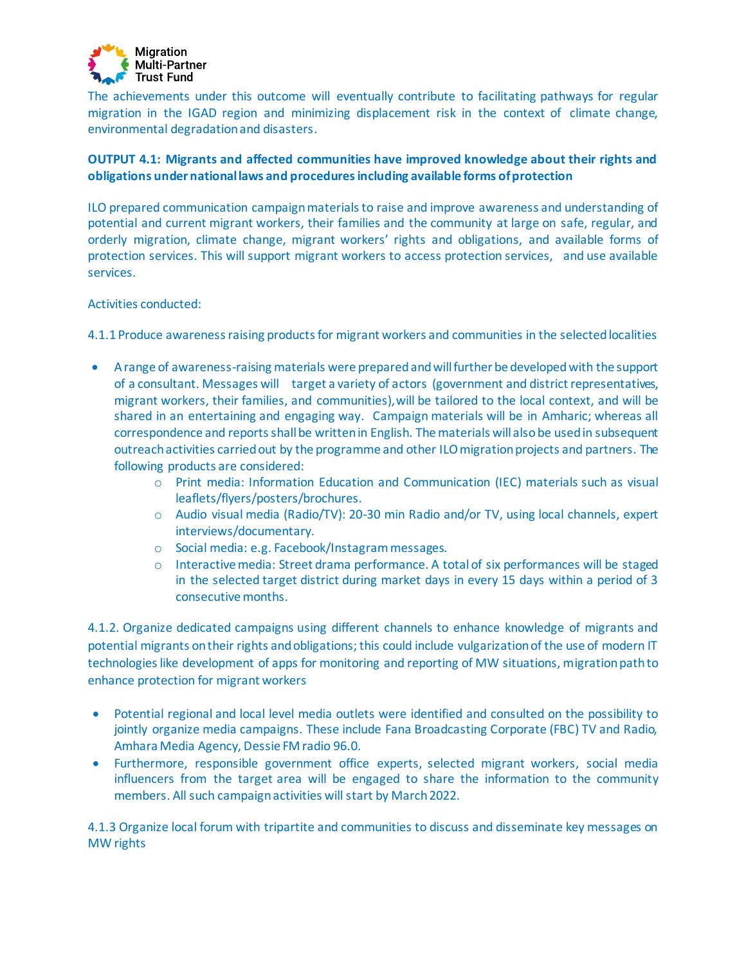

The achievements under this outcome will eventually contribute to facilitating pathways for regular migration in the IGAD region and minimizing displacement risk in the context of climate change, environmental degradation and disasters.

# **OUTPUT 4.1: Migrants and affected communities have improved knowledge about their rights and obligations under national laws and procedures including available forms of protection**

ILO prepared communication campaign materials to raise and improve awareness and understanding of potential and current migrant workers, their families and the community at large on safe, regular, and orderly migration, climate change, migrant workers' rights and obligations, and available forms of protection services. This will support migrant workers to access protection services, and use available services.

#### Activities conducted:

4.1.1 Produce awareness raising products for migrant workers and communities in the selected localities

- A range of awareness-raising materials were preparedand will further be developed with the support of a consultant. Messages will target a variety of actors (government and district representatives, migrant workers, their families, and communities),will be tailored to the local context, and will be shared in an entertaining and engaging way. Campaign materials will be in Amharic; whereas all correspondence and reports shall be written in English. The materials will also be usedin subsequent outreach activities carried out by the programme and other ILO migration projects and partners. The following products are considered:
	- o Print media: Information Education and Communication (IEC) materials such as visual leaflets/flyers/posters/brochures.
	- o Audio visual media (Radio/TV): 20-30 min Radio and/or TV, using local channels, expert interviews/documentary.
	- o Social media: e.g. Facebook/Instagrammessages.
	- $\circ$  Interactive media: Street drama performance. A total of six performances will be staged in the selected target district during market days in every 15 days within a period of 3 consecutive months.

4.1.2. Organize dedicated campaigns using different channels to enhance knowledge of migrants and potential migrants on their rights and obligations; this could include vulgarization of the use of modern IT technologies like development of apps for monitoring and reporting of MW situations, migration path to enhance protection for migrant workers

- Potential regional and local level media outlets were identified and consulted on the possibility to jointly organize media campaigns. These include Fana Broadcasting Corporate (FBC) TV and Radio, Amhara Media Agency, Dessie FM radio 96.0.
- Furthermore, responsible government office experts, selected migrant workers, social media influencers from the target area will be engaged to share the information to the community members. All such campaign activities will start by March 2022.

4.1.3 Organize local forum with tripartite and communities to discuss and disseminate key messages on MW rights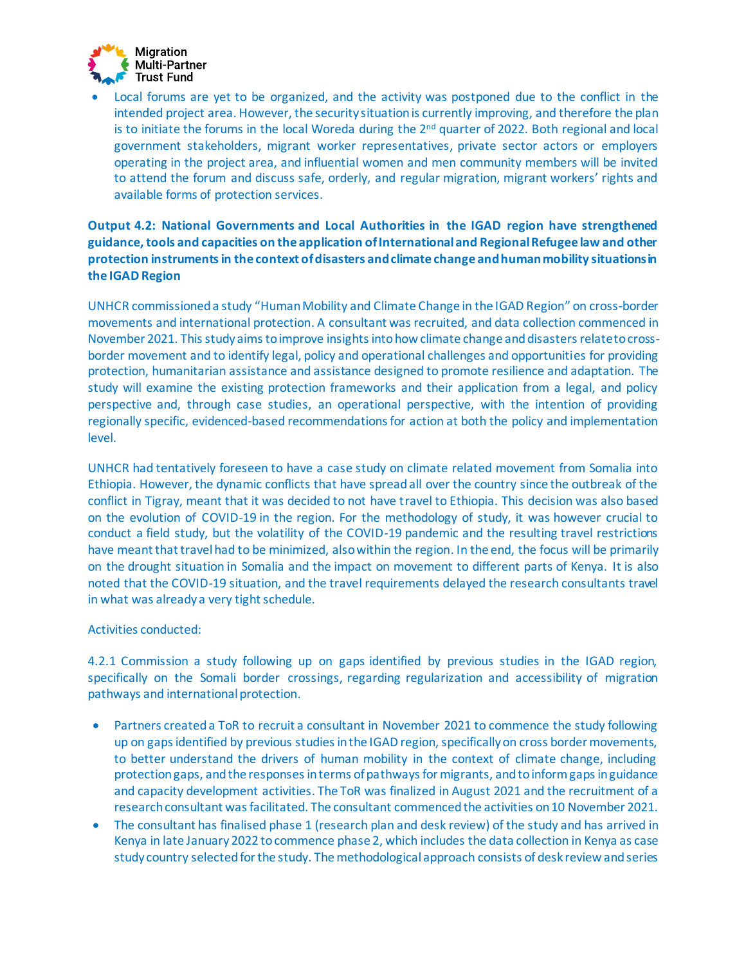

• Local forums are yet to be organized, and the activity was postponed due to the conflict in the intended project area. However, the security situation is currently improving, and therefore the plan is to initiate the forums in the local Woreda during the  $2<sup>nd</sup>$  quarter of 2022. Both regional and local government stakeholders, migrant worker representatives, private sector actors or employers operating in the project area, and influential women and men community members will be invited to attend the forum and discuss safe, orderly, and regular migration, migrant workers' rights and available forms of protection services.

# **Output 4.2: National Governments and Local Authorities in the IGAD region have strengthened guidance, tools and capacities on the application of International and Regional Refugee law and other protection instruments in the context of disasters and climate change and human mobility situations in the IGAD Region**

UNHCR commissioneda study "Human Mobility and Climate Change in the IGAD Region" on cross-border movements and international protection. A consultant was recruited, and data collection commenced in November 2021. This study aims to improve insights into how climate change and disasters relate to crossborder movement and to identify legal, policy and operational challenges and opportunities for providing protection, humanitarian assistance and assistance designed to promote resilience and adaptation. The study will examine the existing protection frameworks and their application from a legal, and policy perspective and, through case studies, an operational perspective, with the intention of providing regionally specific, evidenced-based recommendations for action at both the policy and implementation level.

UNHCR had tentatively foreseen to have a case study on climate related movement from Somalia into Ethiopia. However, the dynamic conflicts that have spread all over the country since the outbreak of the conflict in Tigray, meant that it was decided to not have travel to Ethiopia. This decision was also based on the evolution of COVID-19 in the region. For the methodology of study, it was however crucial to conduct a field study, but the volatility of the COVID-19 pandemic and the resulting travel restrictions have meant that travel had to be minimized, also within the region. In the end, the focus will be primarily on the drought situation in Somalia and the impact on movement to different parts of Kenya. It is also noted that the COVID-19 situation, and the travel requirements delayed the research consultants travel in what was already a very tight schedule.

#### Activities conducted:

4.2.1 Commission a study following up on gaps identified by previous studies in the IGAD region, specifically on the Somali border crossings, regarding regularization and accessibility of migration pathways and international protection.

- Partners created a ToR to recruit a consultant in November 2021 to commence the study following up on gaps identified by previous studies in the IGAD region, specifically on cross border movements, to better understand the drivers of human mobility in the context of climate change, including protection gaps, and the responses in terms of pathways for migrants, and to inform gaps in guidance and capacity development activities. The ToR was finalized in August 2021 and the recruitment of a research consultant was facilitated. The consultant commenced the activities on10 November 2021.
- The consultant has finalised phase 1 (research plan and desk review) of the study and has arrived in Kenya in late January 2022 to commence phase 2, which includes the data collection in Kenya as case study country selected for the study. The methodological approach consists of desk review and series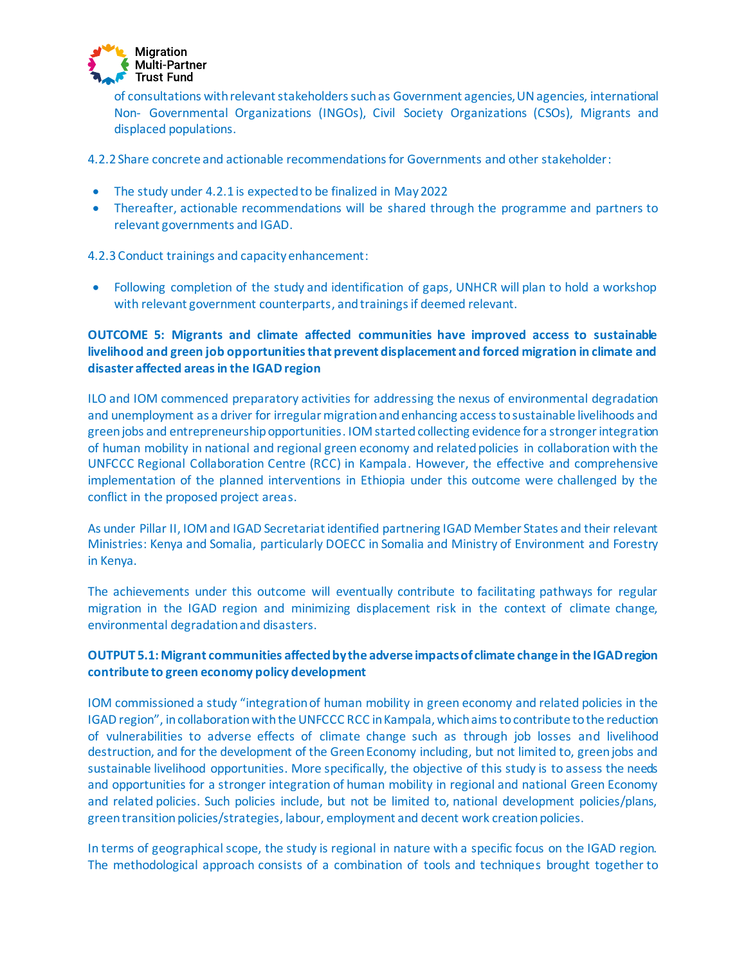

of consultations with relevant stakeholders such as Government agencies, UN agencies, international Non- Governmental Organizations (INGOs), Civil Society Organizations (CSOs), Migrants and displaced populations.

4.2.2 Share concrete and actionable recommendations for Governments and other stakeholder:

- The study under 4.2.1 is expected to be finalized in May 2022
- Thereafter, actionable recommendations will be shared through the programme and partners to relevant governments and IGAD.

4.2.3 Conduct trainings and capacity enhancement:

• Following completion of the study and identification of gaps, UNHCR will plan to hold a workshop with relevant government counterparts, and trainings if deemed relevant.

# **OUTCOME 5: Migrants and climate affected communities have improved access to sustainable livelihood and green job opportunities that prevent displacement and forced migration in climate and disaster affected areas in the IGAD region**

ILO and IOM commenced preparatory activities for addressing the nexus of environmental degradation and unemployment as a driver for irregular migration and enhancing access to sustainable livelihoods and green jobs and entrepreneurship opportunities. IOM started collecting evidence for a stronger integration of human mobility in national and regional green economy and related policies in collaboration with the UNFCCC Regional Collaboration Centre (RCC) in Kampala. However, the effective and comprehensive implementation of the planned interventions in Ethiopia under this outcome were challenged by the conflict in the proposed project areas.

As under Pillar II, IOM and IGAD Secretariat identified partnering IGAD Member States and their relevant Ministries: Kenya and Somalia, particularly DOECC in Somalia and Ministry of Environment and Forestry in Kenya.

The achievements under this outcome will eventually contribute to facilitating pathways for regular migration in the IGAD region and minimizing displacement risk in the context of climate change, environmental degradation and disasters.

# **OUTPUT 5.1: Migrant communities affected by the adverse impacts of climate change in the IGAD region contribute to green economy policy development**

IOM commissioned a study "integration of human mobility in green economy and related policies in the IGAD region", in collaboration with the UNFCCC RCC in Kampala, which aims to contribute to the reduction of vulnerabilities to adverse effects of climate change such as through job losses and livelihood destruction, and for the development of the Green Economy including, but not limited to, green jobs and sustainable livelihood opportunities. More specifically, the objective of this study is to assess the needs and opportunities for a stronger integration of human mobility in regional and national Green Economy and related policies. Such policies include, but not be limited to, national development policies/plans, green transition policies/strategies, labour, employment and decent work creation policies.

In terms of geographical scope, the study is regional in nature with a specific focus on the IGAD region. The methodological approach consists of a combination of tools and techniques brought together to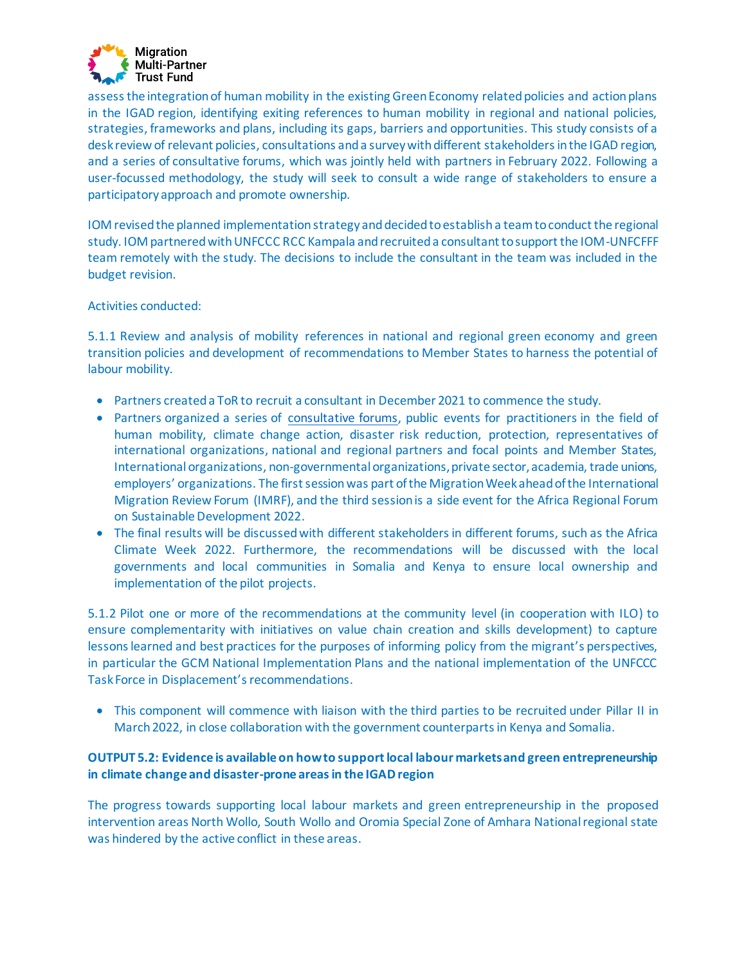

assess the integration of human mobility in the existing Green Economy related policies and action plans in the IGAD region, identifying exiting references to human mobility in regional and national policies, strategies, frameworks and plans, including its gaps, barriers and opportunities. This study consists of a desk review of relevant policies, consultations and a survey with different stakeholders in the IGAD region, and a series of consultative forums, which was jointly held with partners in February 2022. Following a user-focussed methodology, the study will seek to consult a wide range of stakeholders to ensure a participatory approach and promote ownership.

IOM revised the planned implementation strategy and decided to establish a team to conduct the regional study. IOM partnered with UNFCCC RCC Kampala and recruited a consultant to support the IOM-UNFCFFF team remotely with the study. The decisions to include the consultant in the team was included in the budget revision.

#### Activities conducted:

5.1.1 Review and analysis of mobility references in national and regional green economy and green transition policies and development of recommendations to Member States to harness the potential of labour mobility.

- Partners created a ToR to recruit a consultant in December 2021 to commence the study.
- Partners organized a series of [consultative forums,](https://environmentalmigration.iom.int/events/human-mobility-and-regular-migration-pathways-consultative-forums) public events for practitioners in the field of human mobility, climate change action, disaster risk reduction, protection, representatives of international organizations, national and regional partners and focal points and Member States, International organizations, non-governmental organizations, private sector, academia, trade unions, employers' organizations. The first session was part of the Migration Week ahead of the International Migration Review Forum (IMRF), and the third session is a side event for the Africa Regional Forum on Sustainable Development 2022.
- The final results will be discussed with different stakeholders in different forums, such as the Africa Climate Week 2022. Furthermore, the recommendations will be discussed with the local governments and local communities in Somalia and Kenya to ensure local ownership and implementation of the pilot projects.

5.1.2 Pilot one or more of the recommendations at the community level (in cooperation with ILO) to ensure complementarity with initiatives on value chain creation and skills development) to capture lessons learned and best practices for the purposes of informing policy from the migrant's perspectives, in particular the GCM National Implementation Plans and the national implementation of the UNFCCC Task Force in Displacement's recommendations.

• This component will commence with liaison with the third parties to be recruited under Pillar II in March 2022, in close collaboration with the government counterparts in Kenya and Somalia.

# **OUTPUT 5.2: Evidence is available on how to support local labour markets and green entrepreneurship in climate change and disaster-prone areas in the IGAD region**

The progress towards supporting local labour markets and green entrepreneurship in the proposed intervention areas North Wollo, South Wollo and Oromia Special Zone of Amhara National regional state was hindered by the active conflict in these areas.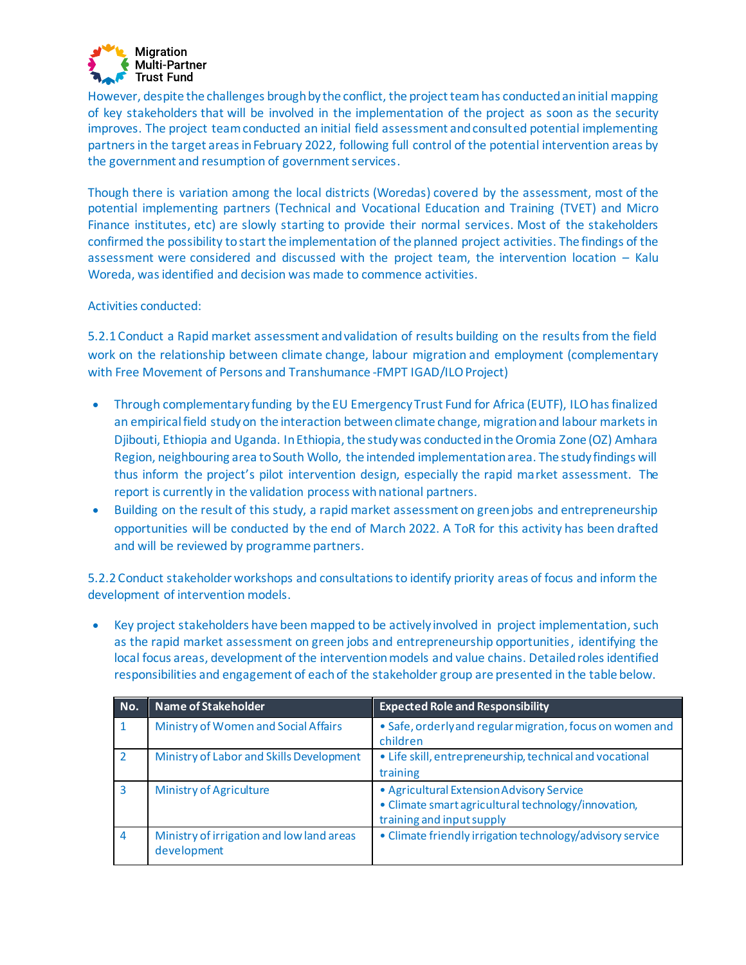

However, despite the challenges brough by the conflict, the project team has conducted an initial mapping of key stakeholders that will be involved in the implementation of the project as soon as the security improves. The project team conducted an initial field assessment and consulted potential implementing partners in the target areas in February 2022, following full control of the potential intervention areas by the government and resumption of government services.

Though there is variation among the local districts (Woredas) covered by the assessment, most of the potential implementing partners (Technical and Vocational Education and Training (TVET) and Micro Finance institutes, etc) are slowly starting to provide their normal services. Most of the stakeholders confirmed the possibility to start the implementation of the planned project activities. The findings of the assessment were considered and discussed with the project team, the intervention location – Kalu Woreda, was identified and decision was made to commence activities.

#### Activities conducted:

5.2.1 Conduct a Rapid market assessment and validation of results building on the results from the field work on the relationship between climate change, labour migration and employment (complementary with Free Movement of Persons and Transhumance -FMPT IGAD/ILO Project)

- Through complementary funding by the EU Emergency Trust Fund for Africa (EUTF), ILO has finalized an empirical field study on the interaction between climate change, migration and labour markets in Djibouti, Ethiopia and Uganda. In Ethiopia, the study was conducted in the Oromia Zone (OZ) Amhara Region, neighbouring area to South Wollo, the intended implementation area. The study findings will thus inform the project's pilot intervention design, especially the rapid market assessment. The report is currently in the validation process with national partners.
- Building on the result of this study, a rapid market assessment on green jobs and entrepreneurship opportunities will be conducted by the end of March 2022. A ToR for this activity has been drafted and will be reviewed by programme partners.

5.2.2 Conduct stakeholder workshops and consultations to identify priority areas of focus and inform the development of intervention models.

• Key project stakeholders have been mapped to be actively involved in project implementation, such as the rapid market assessment on green jobs and entrepreneurship opportunities, identifying the local focus areas, development of the intervention models and value chains. Detailed roles identified responsibilities and engagement of each of the stakeholder group are presented in the table below.

| No.            | Name of Stakeholder                                      | <b>Expected Role and Responsibility</b>                                                                                       |
|----------------|----------------------------------------------------------|-------------------------------------------------------------------------------------------------------------------------------|
|                | Ministry of Women and Social Affairs                     | • Safe, orderly and regular migration, focus on women and<br>children                                                         |
| $\overline{2}$ | Ministry of Labor and Skills Development                 | • Life skill, entrepreneurship, technical and vocational<br>training                                                          |
| з              | <b>Ministry of Agriculture</b>                           | • Agricultural Extension Advisory Service<br>• Climate smart agricultural technology/innovation,<br>training and input supply |
| $\overline{4}$ | Ministry of irrigation and low land areas<br>development | • Climate friendly irrigation technology/advisory service                                                                     |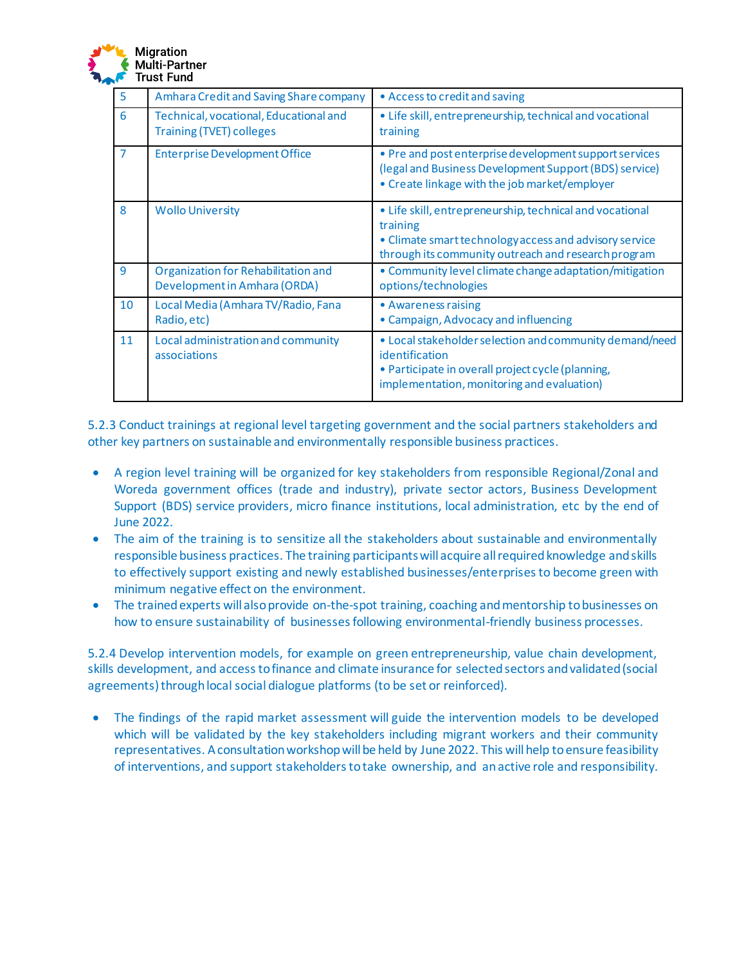

| 5  | Amhara Credit and Saving Share company                                    | • Access to credit and saving                                                                                                                                                         |
|----|---------------------------------------------------------------------------|---------------------------------------------------------------------------------------------------------------------------------------------------------------------------------------|
| 6  | Technical, vocational, Educational and<br><b>Training (TVET) colleges</b> | • Life skill, entrepreneurship, technical and vocational<br>training                                                                                                                  |
| 7  | <b>Enterprise Development Office</b>                                      | • Pre and post enterprise development support services<br>(legal and Business Development Support (BDS) service)<br>• Create linkage with the job market/employer                     |
| 8  | <b>Wollo University</b>                                                   | • Life skill, entrepreneurship, technical and vocational<br>training<br>• Climate smart technology access and advisory service<br>through its community outreach and research program |
| 9  | Organization for Rehabilitation and<br>Development in Amhara (ORDA)       | • Community level climate change adaptation/mitigation<br>options/technologies                                                                                                        |
| 10 | Local Media (Amhara TV/Radio, Fana<br>Radio, etc)                         | • Awareness raising<br>• Campaign, Advocacy and influencing                                                                                                                           |
| 11 | Local administration and community<br>associations                        | • Local stakeholder selection and community demand/need<br>identification<br>• Participate in overall project cycle (planning,<br>implementation, monitoring and evaluation)          |

5.2.3 Conduct trainings at regional level targeting government and the social partners stakeholders and other key partners on sustainable and environmentally responsible business practices.

- A region level training will be organized for key stakeholders from responsible Regional/Zonal and Woreda government offices (trade and industry), private sector actors, Business Development Support (BDS) service providers, micro finance institutions, local administration, etc by the end of June 2022.
- The aim of the training is to sensitize all the stakeholders about sustainable and environmentally responsible business practices. The training participants will acquire all required knowledge and skills to effectively support existing and newly established businesses/enterprises to become green with minimum negative effect on the environment.
- The trained experts will also provide on-the-spot training, coaching and mentorship to businesses on how to ensure sustainability of businesses following environmental-friendly business processes.

5.2.4 Develop intervention models, for example on green entrepreneurship, value chain development, skills development, and access to finance and climate insurance for selected sectors and validated (social agreements) through local social dialogue platforms (to be set or reinforced).

The findings of the rapid market assessment will guide the intervention models to be developed which will be validated by the key stakeholders including migrant workers and their community representatives. A consultation workshop will be held by June 2022. This will help to ensure feasibility of interventions, and support stakeholders to take ownership, and an active role and responsibility.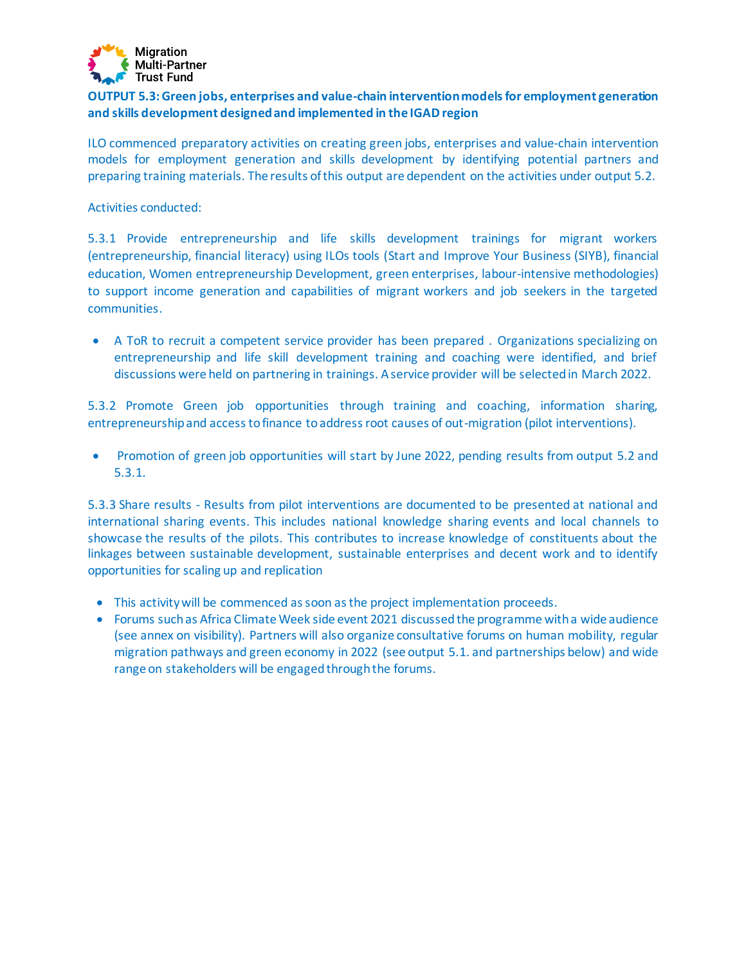

# **OUTPUT 5.3: Green jobs, enterprises and value-chain intervention models for employment generation and skills development designed and implemented in the IGAD region**

ILO commenced preparatory activities on creating green jobs, enterprises and value-chain intervention models for employment generation and skills development by identifying potential partners and preparing training materials. The results of this output are dependent on the activities under output 5.2.

Activities conducted:

5.3.1 Provide entrepreneurship and life skills development trainings for migrant workers (entrepreneurship, financial literacy) using ILOs tools (Start and Improve Your Business (SIYB), financial education, Women entrepreneurship Development, green enterprises, labour-intensive methodologies) to support income generation and capabilities of migrant workers and job seekers in the targeted communities.

• A ToR to recruit a competent service provider has been prepared . Organizations specializing on entrepreneurship and life skill development training and coaching were identified, and brief discussions were held on partnering in trainings. A service provider will be selected in March 2022.

5.3.2 Promote Green job opportunities through training and coaching, information sharing, entrepreneurship and access to finance to address root causes of out-migration (pilot interventions).

• Promotion of green job opportunities will start by June 2022, pending results from output 5.2 and 5.3.1.

5.3.3 Share results - Results from pilot interventions are documented to be presented at national and international sharing events. This includes national knowledge sharing events and local channels to showcase the results of the pilots. This contributes to increase knowledge of constituents about the linkages between sustainable development, sustainable enterprises and decent work and to identify opportunities for scaling up and replication

- This activity will be commenced as soon as the project implementation proceeds.
- Forums such as Africa Climate Week side event 2021 discussedthe programme with a wide audience (see annex on visibility). Partners will also organize consultative forums on human mobility, regular migration pathways and green economy in 2022 (see output 5.1. and partnerships below) and wide range on stakeholders will be engaged through the forums.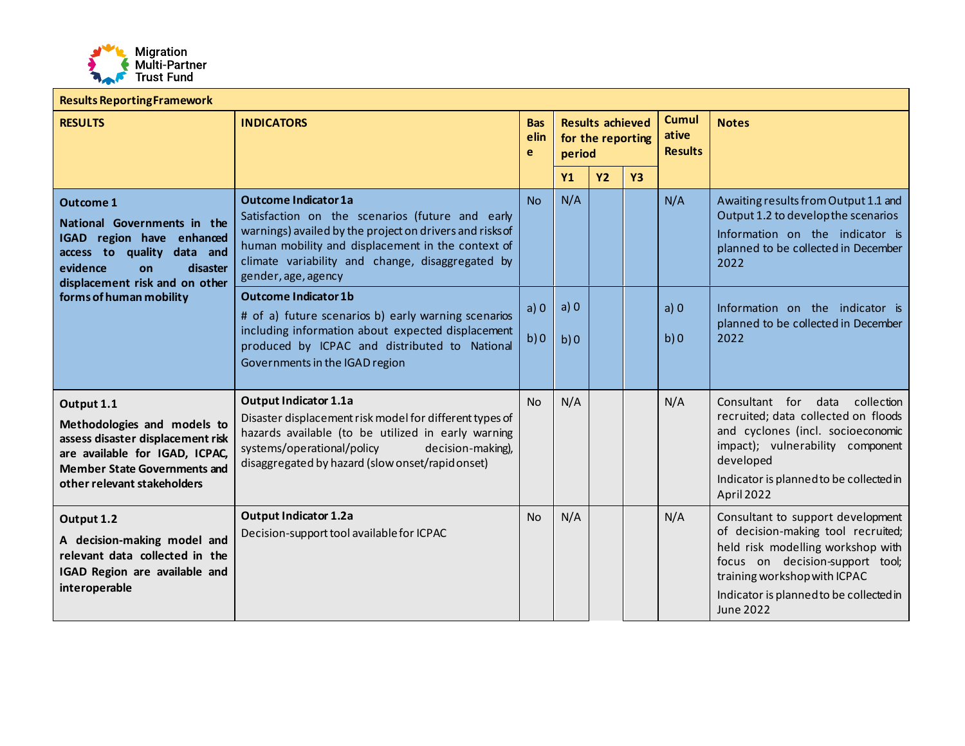

| <b>Results Reporting Framework</b>                                                                                                                                                     |                                                                                                                                                                                                                                                                            |                                                              |            |                                                              |           |            |                                                                                                                                                                                                                                                |  |
|----------------------------------------------------------------------------------------------------------------------------------------------------------------------------------------|----------------------------------------------------------------------------------------------------------------------------------------------------------------------------------------------------------------------------------------------------------------------------|--------------------------------------------------------------|------------|--------------------------------------------------------------|-----------|------------|------------------------------------------------------------------------------------------------------------------------------------------------------------------------------------------------------------------------------------------------|--|
| <b>RESULTS</b>                                                                                                                                                                         | <b>INDICATORS</b>                                                                                                                                                                                                                                                          | <b>Results achieved</b><br><b>Bas</b><br>elin<br>e<br>period |            | <b>Cumul</b><br>ative<br>for the reporting<br><b>Results</b> |           |            | <b>Notes</b>                                                                                                                                                                                                                                   |  |
|                                                                                                                                                                                        |                                                                                                                                                                                                                                                                            |                                                              | Y1         | <b>Y2</b>                                                    | <b>Y3</b> |            |                                                                                                                                                                                                                                                |  |
| <b>Outcome 1</b><br>National Governments in the<br>IGAD region have enhanced<br>access to quality data and<br>evidence<br>disaster<br><b>on</b><br>displacement risk and on other      | <b>Outcome Indicator 1a</b><br>Satisfaction on the scenarios (future and early<br>warnings) availed by the project on drivers and risks of<br>human mobility and displacement in the context of<br>climate variability and change, disaggregated by<br>gender, age, agency |                                                              |            |                                                              |           | N/A        | Awaiting results from Output 1.1 and<br>Output 1.2 to develop the scenarios<br>Information on the indicator is<br>planned to be collected in December<br>2022                                                                                  |  |
| forms of human mobility                                                                                                                                                                | <b>Outcome Indicator 1b</b><br># of a) future scenarios b) early warning scenarios<br>including information about expected displacement<br>produced by ICPAC and distributed to National<br>Governments in the IGAD region                                                 | a) 0<br>b)0                                                  | a)0<br>b)0 |                                                              |           | a)0<br>b)0 | Information on the indicator is<br>planned to be collected in December<br>2022                                                                                                                                                                 |  |
| Output 1.1<br>Methodologies and models to<br>assess disaster displacement risk<br>are available for IGAD, ICPAC,<br><b>Member State Governments and</b><br>other relevant stakeholders | <b>Output Indicator 1.1a</b><br>Disaster displacement risk model for different types of<br>hazards available (to be utilized in early warning<br>decision-making),<br>systems/operational/policy<br>disaggregated by hazard (slow onset/rapid onset)                       | <b>No</b>                                                    | N/A        |                                                              |           | N/A        | Consultant for data<br>collection<br>recruited; data collected on floods<br>and cyclones (incl. socioeconomic<br>impact); vulnerability component<br>developed<br>Indicator is planned to be collected in<br>April 2022                        |  |
| Output 1.2<br>A decision-making model and<br>relevant data collected in the<br>IGAD Region are available and<br>interoperable                                                          | <b>Output Indicator 1.2a</b><br>Decision-support tool available for ICPAC                                                                                                                                                                                                  | <b>No</b>                                                    | N/A        |                                                              |           | N/A        | Consultant to support development<br>of decision-making tool recruited;<br>held risk modelling workshop with<br>focus on decision-support tool;<br>training workshop with ICPAC<br>Indicator is planned to be collected in<br><b>June 2022</b> |  |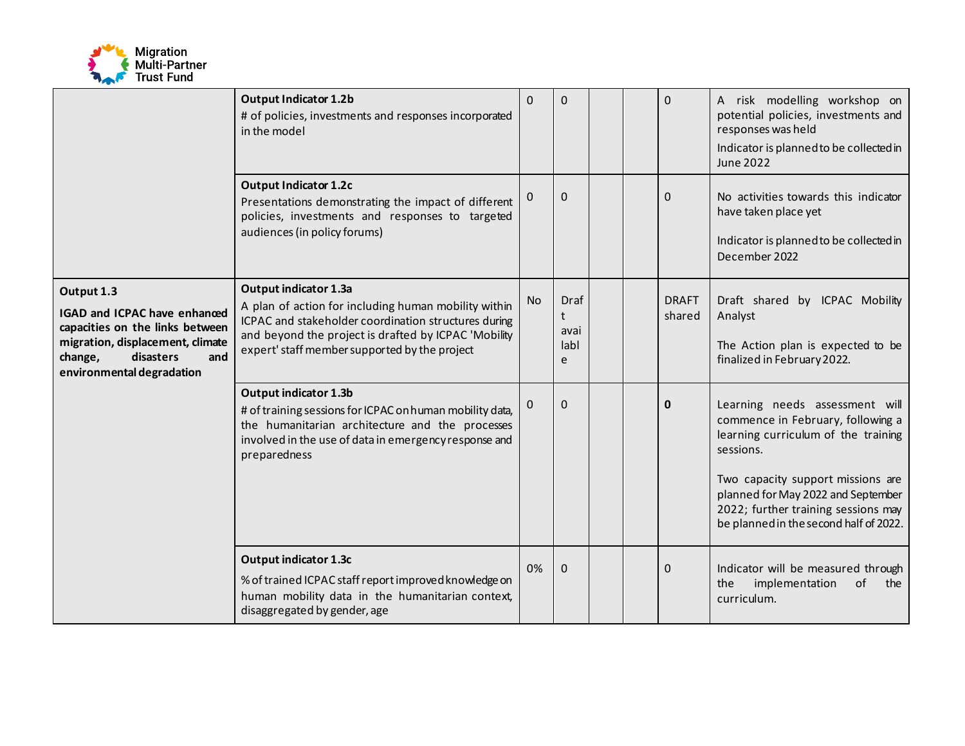

|                                                                                                                                                                                      | <b>Output Indicator 1.2b</b><br>$\Omega$<br># of policies, investments and responses incorporated<br>in the model                                                                                                  |                                |          |  |                        | 0                                                                                                                        | A risk modelling workshop on<br>potential policies, investments and<br>responses was held<br>Indicator is planned to be collected in<br><b>June 2022</b>                                                                                                                            |
|--------------------------------------------------------------------------------------------------------------------------------------------------------------------------------------|--------------------------------------------------------------------------------------------------------------------------------------------------------------------------------------------------------------------|--------------------------------|----------|--|------------------------|--------------------------------------------------------------------------------------------------------------------------|-------------------------------------------------------------------------------------------------------------------------------------------------------------------------------------------------------------------------------------------------------------------------------------|
|                                                                                                                                                                                      | 0                                                                                                                                                                                                                  | $\Omega$                       |          |  | $\Omega$               | No activities towards this indicator<br>have taken place yet<br>Indicator is planned to be collected in<br>December 2022 |                                                                                                                                                                                                                                                                                     |
| Output 1.3<br><b>IGAD and ICPAC have enhanced</b><br>capacities on the links between<br>migration, displacement, climate<br>change,<br>disasters<br>and<br>environmental degradation | No                                                                                                                                                                                                                 | Draf<br>t<br>avai<br>labl<br>e |          |  | <b>DRAFT</b><br>shared | Draft shared by ICPAC Mobility<br>Analyst<br>The Action plan is expected to be<br>finalized in February 2022.            |                                                                                                                                                                                                                                                                                     |
|                                                                                                                                                                                      | Output indicator 1.3b<br>0<br># of training sessions for ICPAC on human mobility data,<br>the humanitarian architecture and the processes<br>involved in the use of data in emergency response and<br>preparedness |                                |          |  |                        | 0                                                                                                                        | Learning needs assessment will<br>commence in February, following a<br>learning curriculum of the training<br>sessions.<br>Two capacity support missions are<br>planned for May 2022 and September<br>2022; further training sessions may<br>be planned in the second half of 2022. |
|                                                                                                                                                                                      | Output indicator 1.3c<br>% of trained ICPAC staff report improved knowledge on<br>human mobility data in the humanitarian context,<br>disaggregated by gender, age                                                 | 0%                             | $\Omega$ |  |                        | $\Omega$                                                                                                                 | Indicator will be measured through<br>implementation<br>of<br>the<br>the<br>curriculum.                                                                                                                                                                                             |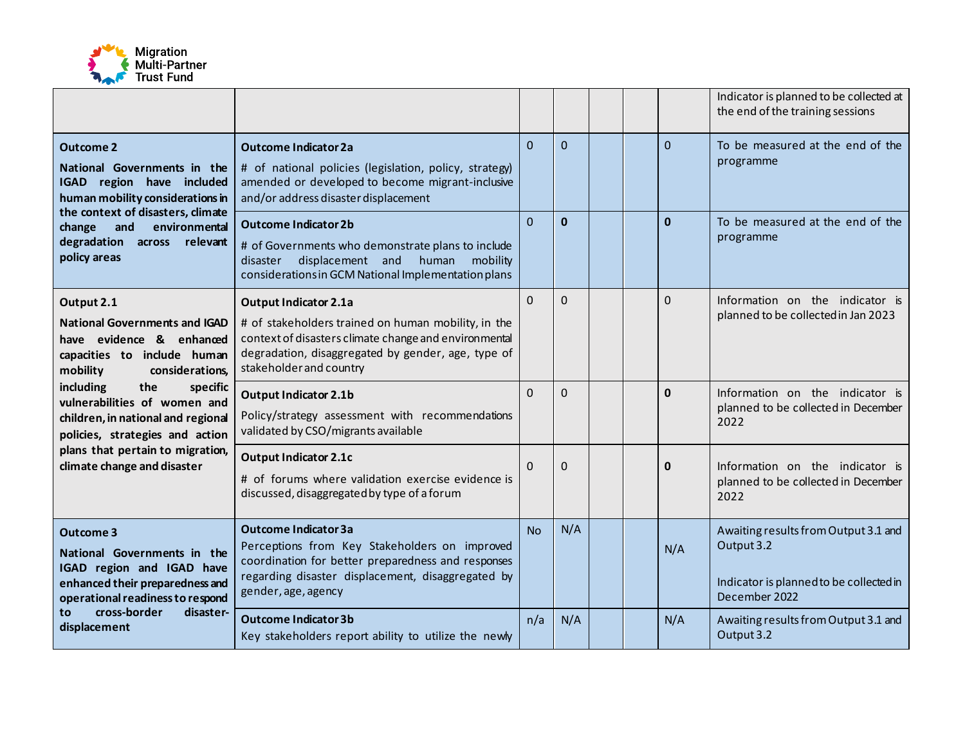

|                                                                                                                                                                                                 |                                                                                                                                                                                                                               |           |              |  |              | Indicator is planned to be collected at<br>the end of the training sessions                                    |
|-------------------------------------------------------------------------------------------------------------------------------------------------------------------------------------------------|-------------------------------------------------------------------------------------------------------------------------------------------------------------------------------------------------------------------------------|-----------|--------------|--|--------------|----------------------------------------------------------------------------------------------------------------|
| <b>Outcome 2</b><br>National Governments in the<br>IGAD region have included<br>human mobility considerations in                                                                                | <b>Outcome Indicator 2a</b><br># of national policies (legislation, policy, strategy)<br>amended or developed to become migrant-inclusive<br>and/or address disaster displacement                                             | $\Omega$  | $\Omega$     |  | $\Omega$     | To be measured at the end of the<br>programme                                                                  |
| the context of disasters, climate<br>environmental<br>and<br>change<br>degradation across<br>relevant<br>policy areas                                                                           | <b>Outcome Indicator 2b</b><br># of Governments who demonstrate plans to include<br>displacement and human<br>mobility<br>disaster<br>considerations in GCM National Implementation plans                                     | $\Omega$  | $\mathbf{0}$ |  | $\mathbf{0}$ | To be measured at the end of the<br>programme                                                                  |
| Output 2.1<br><b>National Governments and IGAD</b><br>have evidence & enhanced<br>capacities to include human<br>mobility<br>considerations,                                                    | <b>Output Indicator 2.1a</b><br># of stakeholders trained on human mobility, in the<br>context of disasters climate change and environmental<br>degradation, disaggregated by gender, age, type of<br>stakeholder and country | $\Omega$  | $\Omega$     |  | $\Omega$     | Information on the indicator is<br>planned to be collected in Jan 2023                                         |
| including<br>the<br>specific<br>vulnerabilities of women and<br>children, in national and regional<br>policies, strategies and action                                                           | <b>Output Indicator 2.1b</b><br>Policy/strategy assessment with recommendations<br>validated by CSO/migrants available                                                                                                        | $\Omega$  | $\Omega$     |  | $\mathbf{0}$ | Information on the indicator is<br>planned to be collected in December<br>2022                                 |
| plans that pertain to migration,<br>climate change and disaster                                                                                                                                 | <b>Output Indicator 2.1c</b><br># of forums where validation exercise evidence is<br>discussed, disaggregated by type of a forum                                                                                              | $\Omega$  | $\Omega$     |  | 0            | Information on the indicator is<br>planned to be collected in December<br>2022                                 |
| Outcome 3<br>National Governments in the<br>IGAD region and IGAD have<br>enhanced their preparedness and<br>operational readiness to respond<br>cross-border<br>disaster-<br>to<br>displacement | <b>Outcome Indicator 3a</b><br>Perceptions from Key Stakeholders on improved<br>coordination for better preparedness and responses<br>regarding disaster displacement, disaggregated by<br>gender, age, agency                | <b>No</b> | N/A          |  | N/A          | Awaiting results from Output 3.1 and<br>Output 3.2<br>Indicator is planned to be collected in<br>December 2022 |
|                                                                                                                                                                                                 | <b>Outcome Indicator 3b</b><br>Key stakeholders report ability to utilize the newly                                                                                                                                           | n/a       | N/A          |  | N/A          | Awaiting results from Output 3.1 and<br>Output 3.2                                                             |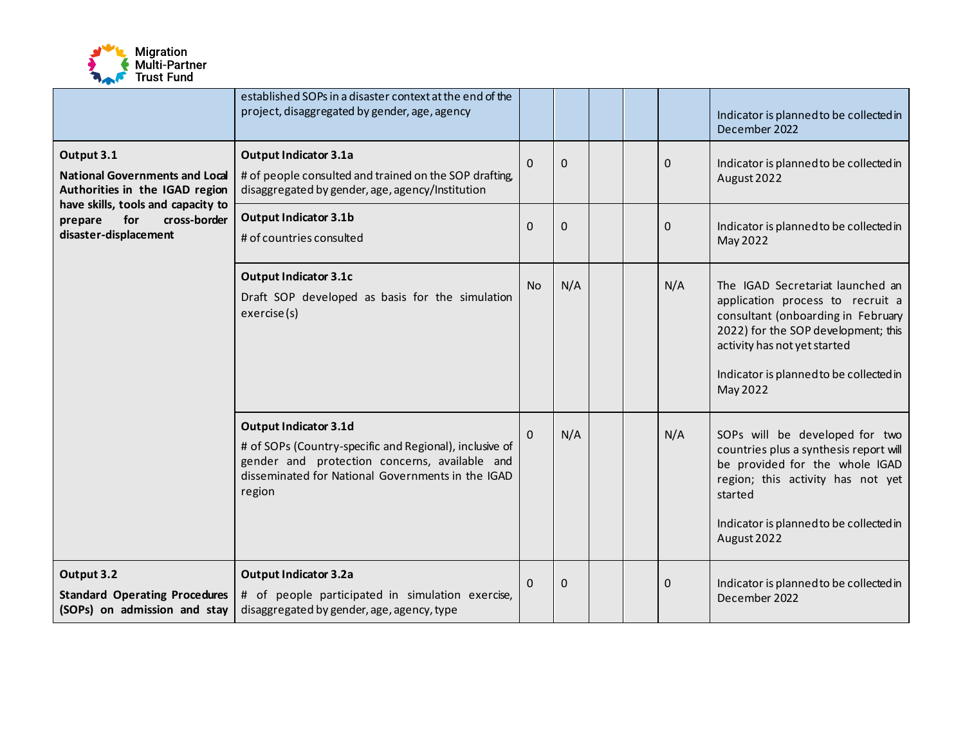

|                                                                                                                                                                                                         | established SOPs in a disaster context at the end of the<br>project, disaggregated by gender, age, agency                                  |                |          |  |              | Indicator is planned to be collected in<br>December 2022                                                                                                                                                                                 |
|---------------------------------------------------------------------------------------------------------------------------------------------------------------------------------------------------------|--------------------------------------------------------------------------------------------------------------------------------------------|----------------|----------|--|--------------|------------------------------------------------------------------------------------------------------------------------------------------------------------------------------------------------------------------------------------------|
| Output 3.1<br><b>National Governments and Local</b><br>Authorities in the IGAD region                                                                                                                   | <b>Output Indicator 3.1a</b><br># of people consulted and trained on the SOP drafting,<br>disaggregated by gender, age, agency/Institution | $\Omega$       | $\Omega$ |  | 0            | Indicator is planned to be collected in<br>August 2022                                                                                                                                                                                   |
| have skills, tools and capacity to<br>cross-border<br>for<br>prepare<br>disaster-displacement                                                                                                           | <b>Output Indicator 3.1b</b><br># of countries consulted                                                                                   | $\overline{0}$ | $\Omega$ |  | $\mathbf{0}$ | Indicator is planned to be collected in<br>May 2022                                                                                                                                                                                      |
|                                                                                                                                                                                                         | <b>Output Indicator 3.1c</b><br>Draft SOP developed as basis for the simulation<br>exercise(s)                                             | <b>No</b>      | N/A      |  | N/A          | The IGAD Secretariat launched an<br>application process to recruit a<br>consultant (onboarding in February<br>2022) for the SOP development; this<br>activity has not yet started<br>Indicator is planned to be collected in<br>May 2022 |
| <b>Output Indicator 3.1d</b><br># of SOPs (Country-specific and Regional), inclusive of<br>gender and protection concerns, available and<br>disseminated for National Governments in the IGAD<br>region |                                                                                                                                            |                |          |  | N/A          | SOPs will be developed for two<br>countries plus a synthesis report will<br>be provided for the whole IGAD<br>region; this activity has not yet<br>started<br>Indicator is planned to be collected in<br>August 2022                     |
| Output 3.2<br><b>Standard Operating Procedures</b><br>(SOPs) on admission and stay                                                                                                                      | <b>Output Indicator 3.2a</b><br># of people participated in simulation exercise,<br>disaggregated by gender, age, agency, type             | $\Omega$       | $\Omega$ |  | 0            | Indicator is planned to be collected in<br>December 2022                                                                                                                                                                                 |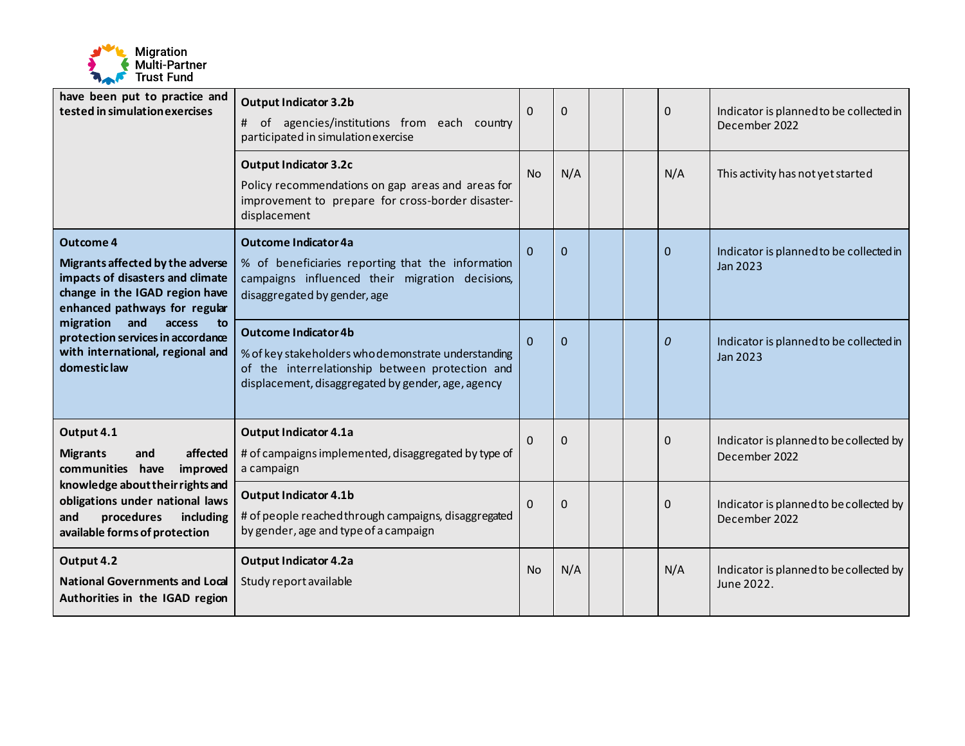

| have been put to practice and<br>tested in simulation exercises                                                                                             | <b>Output Indicator 3.2b</b><br># of agencies/institutions from each country<br>participated in simulation exercise                                                                         | $\Omega$  | $\Omega$    |              | $\Omega$                                            | Indicator is planned to be collected in<br>December 2022 |
|-------------------------------------------------------------------------------------------------------------------------------------------------------------|---------------------------------------------------------------------------------------------------------------------------------------------------------------------------------------------|-----------|-------------|--------------|-----------------------------------------------------|----------------------------------------------------------|
|                                                                                                                                                             | <b>Output Indicator 3.2c</b><br>Policy recommendations on gap areas and areas for<br>improvement to prepare for cross-border disaster-<br>displacement                                      | <b>No</b> | N/A         |              | N/A                                                 | This activity has not yet started                        |
| <b>Outcome 4</b><br>Migrants affected by the adverse<br>impacts of disasters and climate<br>change in the IGAD region have<br>enhanced pathways for regular | $\Omega$                                                                                                                                                                                    | $\Omega$  |             | $\mathbf{0}$ | Indicator is planned to be collected in<br>Jan 2023 |                                                          |
| and<br>migration<br>access<br>to<br>protection services in accordance<br>with international, regional and<br>domestic law                                   | <b>Outcome Indicator 4b</b><br>% of key stakeholders who demonstrate understanding<br>of the interrelationship between protection and<br>displacement, disaggregated by gender, age, agency | $\Omega$  | $\Omega$    |              | 0                                                   | Indicator is planned to be collected in<br>Jan 2023      |
| Output 4.1<br>affected<br><b>Migrants</b><br>and<br>communities have<br>improved                                                                            | <b>Output Indicator 4.1a</b><br># of campaigns implemented, disaggregated by type of<br>a campaign                                                                                          | $\Omega$  | $\mathbf 0$ |              | 0                                                   | Indicator is planned to be collected by<br>December 2022 |
| knowledge about their rights and<br>obligations under national laws<br>and<br>procedures<br>including<br>available forms of protection                      | <b>Output Indicator 4.1b</b><br># of people reached through campaigns, disaggregated<br>by gender, age and type of a campaign                                                               | $\Omega$  | $\Omega$    |              | 0                                                   | Indicator is planned to be collected by<br>December 2022 |
| Output 4.2<br><b>National Governments and Local</b><br>Authorities in the IGAD region                                                                       | <b>Output Indicator 4.2a</b><br>Study report available                                                                                                                                      | <b>No</b> | N/A         |              | N/A                                                 | Indicator is planned to be collected by<br>June 2022.    |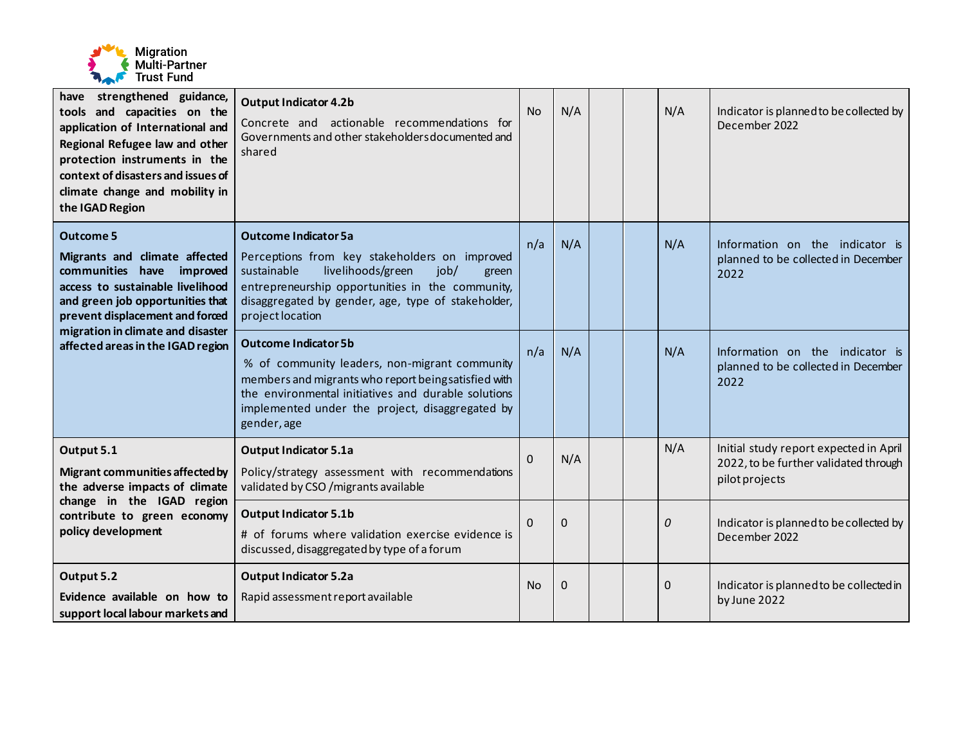

| have strengthened guidance,<br>tools and capacities on the<br>application of International and<br>Regional Refugee law and other<br>protection instruments in the<br>context of disasters and issues of<br>climate change and mobility in<br>the IGAD Region | <b>Output Indicator 4.2b</b><br>Concrete and actionable recommendations for<br>Governments and other stakeholders documented and<br>shared                                                                                                                      | <b>No</b>    | N/A      |  | N/A         | Indicator is planned to be collected by<br>December 2022                                          |
|--------------------------------------------------------------------------------------------------------------------------------------------------------------------------------------------------------------------------------------------------------------|-----------------------------------------------------------------------------------------------------------------------------------------------------------------------------------------------------------------------------------------------------------------|--------------|----------|--|-------------|---------------------------------------------------------------------------------------------------|
| <b>Outcome 5</b><br>Migrants and climate affected<br>communities have<br>improved<br>access to sustainable livelihood<br>and green job opportunities that<br>prevent displacement and forced                                                                 | <b>Outcome Indicator 5a</b><br>Perceptions from key stakeholders on improved<br>sustainable<br>livelihoods/green<br>job/<br>green<br>entrepreneurship opportunities in the community,<br>disaggregated by gender, age, type of stakeholder,<br>project location | n/a          | N/A      |  | N/A         | Information on the indicator is<br>planned to be collected in December<br>2022                    |
| migration in climate and disaster<br>affected areas in the IGAD region                                                                                                                                                                                       | <b>Outcome Indicator 5b</b><br>% of community leaders, non-migrant community<br>members and migrants who report beingsatisfied with<br>the environmental initiatives and durable solutions<br>implemented under the project, disaggregated by<br>gender, age    | n/a          | N/A      |  | N/A         | Information on the indicator is<br>planned to be collected in December<br>2022                    |
| Output 5.1<br>Migrant communities affected by<br>the adverse impacts of climate                                                                                                                                                                              | <b>Output Indicator 5.1a</b><br>Policy/strategy assessment with recommendations<br>validated by CSO / migrants available                                                                                                                                        | $\mathbf{0}$ | N/A      |  | N/A         | Initial study report expected in April<br>2022, to be further validated through<br>pilot projects |
| change in the IGAD region<br>contribute to green economy<br>policy development                                                                                                                                                                               | <b>Output Indicator 5.1b</b><br># of forums where validation exercise evidence is<br>discussed, disaggregated by type of a forum                                                                                                                                | $\Omega$     | $\Omega$ |  | 0           | Indicator is planned to be collected by<br>December 2022                                          |
| Output 5.2<br>Evidence available on how to<br>support local labour markets and                                                                                                                                                                               | <b>Output Indicator 5.2a</b><br>Rapid assessment report available                                                                                                                                                                                               | <b>No</b>    | 0        |  | $\mathbf 0$ | Indicator is planned to be collected in<br>by June 2022                                           |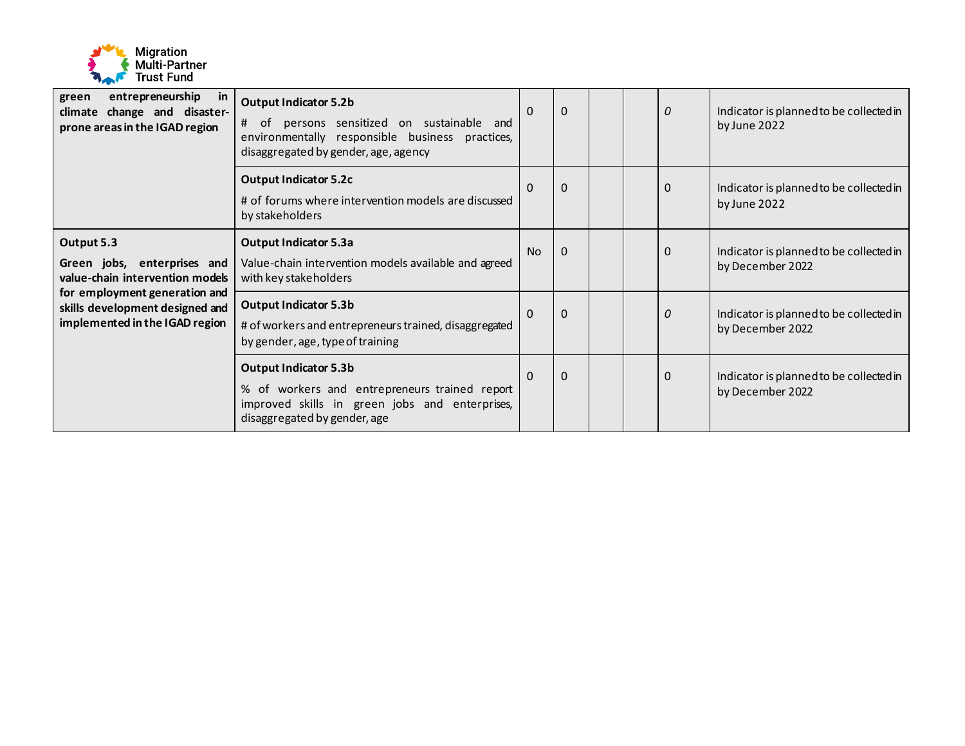

| entrepreneurship<br>green<br>in.<br>climate change and disaster-<br>prone areas in the IGAD region                                                                                 | <b>Output Indicator 5.2b</b><br># of persons sensitized on sustainable and<br>environmentally responsible business practices,<br>disaggregated by gender, age, agency | $\Omega$  | $\Omega$ |  | $\theta$    | Indicator is planned to be collected in<br>by June 2022     |
|------------------------------------------------------------------------------------------------------------------------------------------------------------------------------------|-----------------------------------------------------------------------------------------------------------------------------------------------------------------------|-----------|----------|--|-------------|-------------------------------------------------------------|
|                                                                                                                                                                                    | <b>Output Indicator 5.2c</b><br># of forums where intervention models are discussed<br>by stakeholders                                                                | $\Omega$  | $\Omega$ |  | $\mathbf 0$ | Indicator is planned to be collected in<br>by June 2022     |
| Output 5.3<br>Green jobs, enterprises and<br>value-chain intervention models<br>for employment generation and<br>skills development designed and<br>implemented in the IGAD region | <b>Output Indicator 5.3a</b><br>Value-chain intervention models available and agreed<br>with key stakeholders                                                         | <b>No</b> | $\Omega$ |  | 0           | Indicator is planned to be collected in<br>by December 2022 |
|                                                                                                                                                                                    | <b>Output Indicator 5.3b</b><br># of workers and entrepreneurs trained, disaggregated<br>by gender, age, type of training                                             | $\Omega$  | $\Omega$ |  | 0           | Indicator is planned to be collected in<br>by December 2022 |
|                                                                                                                                                                                    | <b>Output Indicator 5.3b</b><br>% of workers and entrepreneurs trained report<br>improved skills in green jobs and enterprises,<br>disaggregated by gender, age       | $\Omega$  | $\Omega$ |  | $\Omega$    | Indicator is planned to be collected in<br>by December 2022 |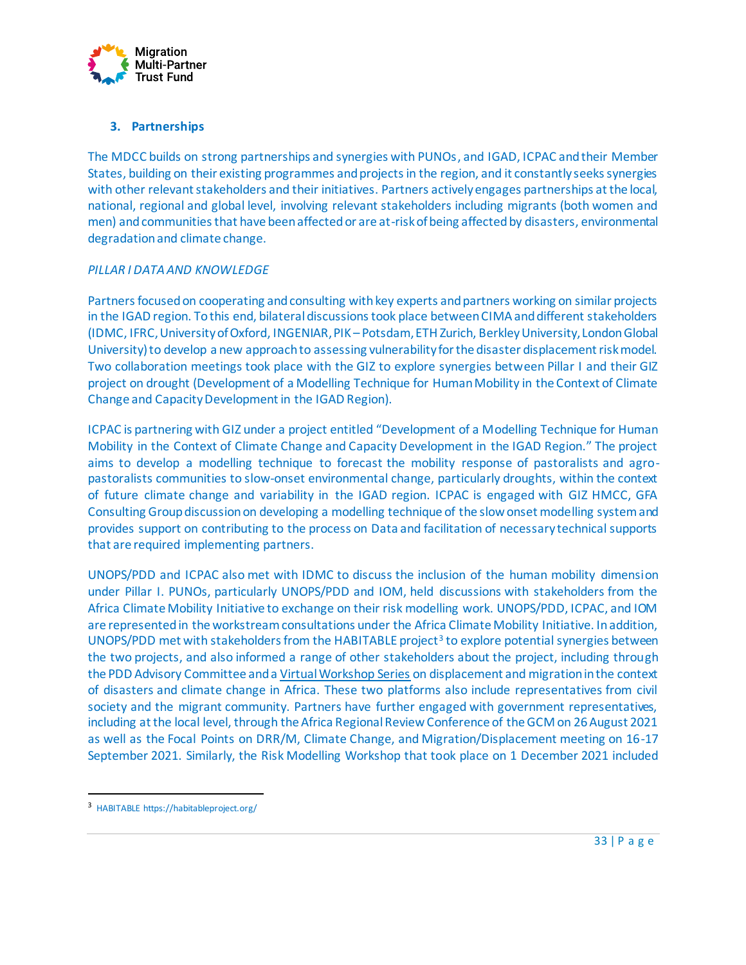

# **3. Partnerships**

The MDCC builds on strong partnerships and synergies with PUNOs, and IGAD, ICPAC and their Member States, building on their existing programmes and projects in the region, and it constantly seeks synergies with other relevant stakeholders and their initiatives. Partners actively engages partnerships at the local, national, regional and global level, involving relevant stakeholders including migrants (both women and men) and communities that have been affected or are at-risk of being affected by disasters, environmental degradation and climate change.

#### *PILLAR I DATA AND KNOWLEDGE*

Partners focused on cooperating and consulting with key experts and partners working on similar projects in the IGAD region. To this end, bilateral discussions took place between CIMA and different stakeholders (IDMC, IFRC, University of Oxford, INGENIAR, PIK – Potsdam, ETH Zurich, Berkley University, London Global University) to develop a new approach to assessing vulnerability for the disaster displacement risk model. Two collaboration meetings took place with the GIZ to explore synergies between Pillar I and their GIZ project on drought (Development of a Modelling Technique for Human Mobility in the Context of Climate Change and Capacity Development in the IGAD Region).

ICPAC is partnering with GIZ under a project entitled "Development of a Modelling Technique for Human Mobility in the Context of Climate Change and Capacity Development in the IGAD Region." The project aims to develop a modelling technique to forecast the mobility response of pastoralists and agropastoralists communities to slow-onset environmental change, particularly droughts, within the context of future climate change and variability in the IGAD region. ICPAC is engaged with GIZ HMCC, GFA Consulting Group discussion on developing a modelling technique of the slow onset modelling system and provides support on contributing to the process on Data and facilitation of necessary technical supports that are required implementing partners.

UNOPS/PDD and ICPAC also met with IDMC to discuss the inclusion of the human mobility dimension under Pillar I. PUNOs, particularly UNOPS/PDD and IOM, held discussions with stakeholders from the Africa Climate Mobility Initiative to exchange on their risk modelling work. UNOPS/PDD, ICPAC, and IOM are represented in the workstream consultations under the Africa Climate Mobility Initiative. In addition, UNOPS/PDD met with stakeholders from the HABITABLE project<sup>3</sup> to explore potential synergies between the two projects, and also informed a range of other stakeholders about the project, including through the PDD Advisory Committee and [a Virtual Workshop Series](https://www.kaldorcentre.unsw.edu.au/Virtual_workshop_series-all-sessions) on displacement and migration in the context of disasters and climate change in Africa. These two platforms also include representatives from civil society and the migrant community. Partners have further engaged with government representatives, including at the local level, through the Africa Regional Review Conference of the GCM on 26 August 2021 as well as the Focal Points on DRR/M, Climate Change, and Migration/Displacement meeting on 16-17 September 2021. Similarly, the Risk Modelling Workshop that took place on 1 December 2021 included

<sup>3</sup> HABITABLE https://habitableproject.org/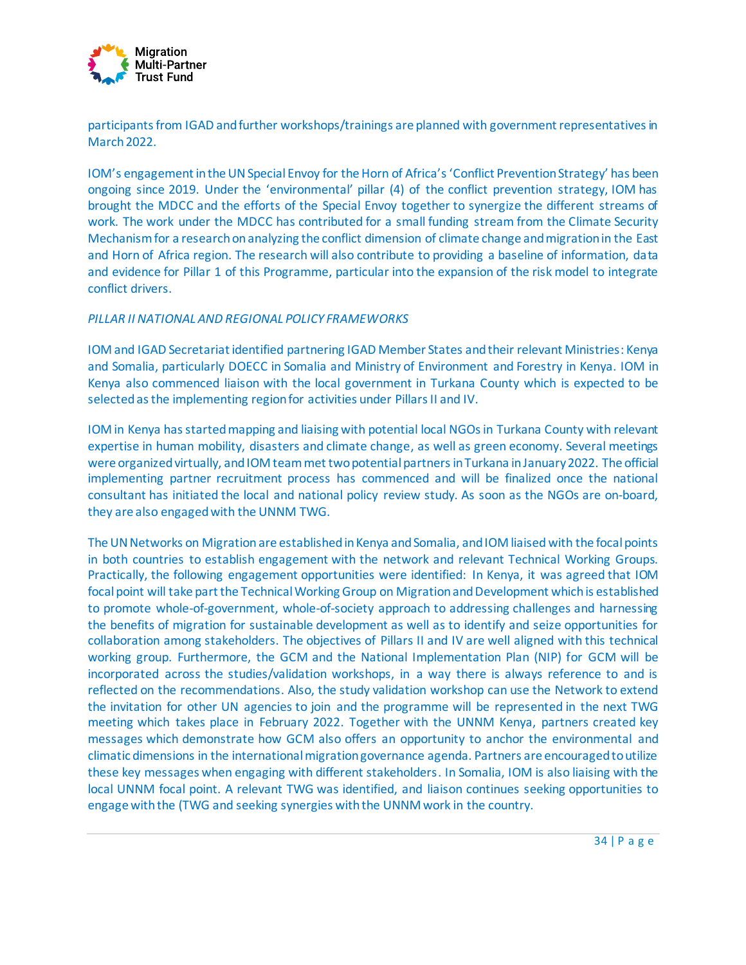

participants from IGAD and further workshops/trainings are planned with government representatives in March 2022.

IOM's engagement in the UN Special Envoy for the Horn of Africa's 'Conflict Prevention Strategy' has been ongoing since 2019. Under the 'environmental' pillar (4) of the conflict prevention strategy, IOM has brought the MDCC and the efforts of the Special Envoy together to synergize the different streams of work. The work under the MDCC has contributed for a small funding stream from the Climate Security Mechanism for a research on analyzing the conflict dimension of climate change and migration in the East and Horn of Africa region. The research will also contribute to providing a baseline of information, data and evidence for Pillar 1 of this Programme, particular into the expansion of the risk model to integrate conflict drivers.

#### *PILLAR II NATIONAL AND REGIONAL POLICY FRAMEWORKS*

IOM and IGAD Secretariat identified partnering IGAD Member States and their relevant Ministries: Kenya and Somalia, particularly DOECC in Somalia and Ministry of Environment and Forestry in Kenya. IOM in Kenya also commenced liaison with the local government in Turkana County which is expected to be selected as the implementing region for activities under Pillars II and IV.

IOM in Kenya has started mapping and liaising with potential local NGOs in Turkana County with relevant expertise in human mobility, disasters and climate change, as well as green economy. Several meetings were organized virtually, and IOM team met two potential partners in Turkana in January 2022. The official implementing partner recruitment process has commenced and will be finalized once the national consultant has initiated the local and national policy review study. As soon as the NGOs are on-board, they are also engaged with the UNNM TWG.

The UN Networks on Migration are established in Kenya and Somalia, and IOM liaised with the focal points in both countries to establish engagement with the network and relevant Technical Working Groups. Practically, the following engagement opportunities were identified: In Kenya, it was agreed that IOM focal point will take part the Technical Working Group on Migration and Development which is established to promote whole-of-government, whole-of-society approach to addressing challenges and harnessing the benefits of migration for sustainable development as well as to identify and seize opportunities for collaboration among stakeholders. The objectives of Pillars II and IV are well aligned with this technical working group. Furthermore, the GCM and the National Implementation Plan (NIP) for GCM will be incorporated across the studies/validation workshops, in a way there is always reference to and is reflected on the recommendations. Also, the study validation workshop can use the Network to extend the invitation for other UN agencies to join and the programme will be represented in the next TWG meeting which takes place in February 2022. Together with the UNNM Kenya, partners created key messages which demonstrate how GCM also offers an opportunity to anchor the environmental and climatic dimensions in the international migration governance agenda. Partners are encouraged to utilize these key messages when engaging with different stakeholders. In Somalia, IOM is also liaising with the local UNNM focal point. A relevant TWG was identified, and liaison continues seeking opportunities to engage with the (TWG and seeking synergies with the UNNM work in the country.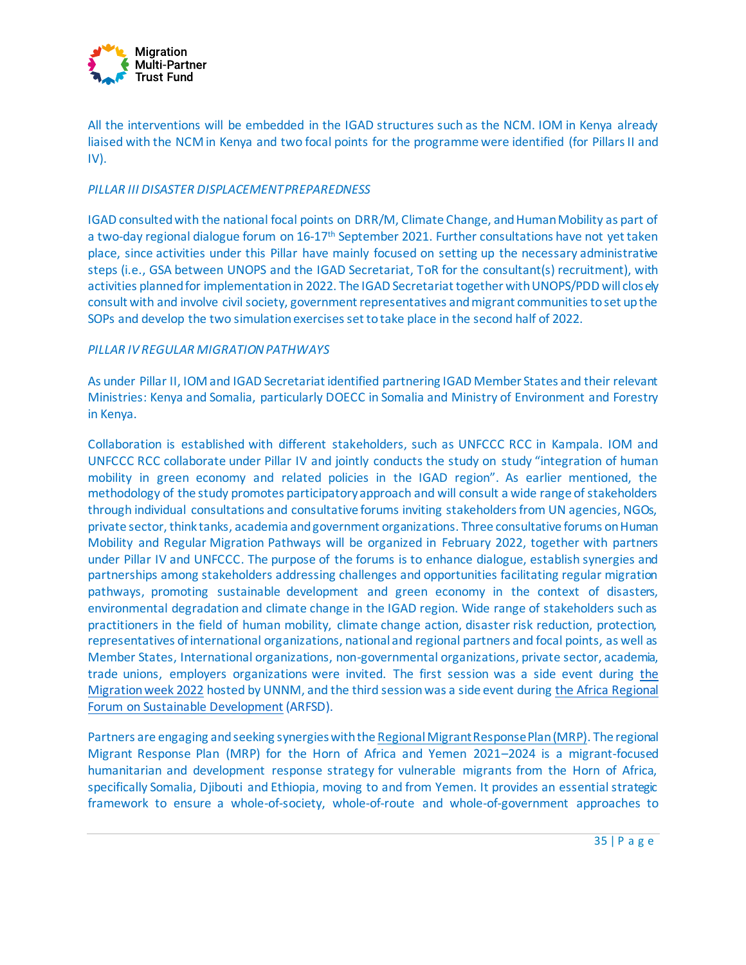

All the interventions will be embedded in the IGAD structures such as the NCM. IOM in Kenya already liaised with the NCM in Kenya and two focal points for the programme were identified (for Pillars II and IV).

#### *PILLAR III DISASTER DISPLACEMENT PREPAREDNESS*

IGAD consulted with the national focal points on DRR/M, Climate Change, and Human Mobility as part of a two-day regional dialogue forum on 16-17<sup>th</sup> September 2021. Further consultations have not yet taken place, since activities under this Pillar have mainly focused on setting up the necessary administrative steps (i.e., GSA between UNOPS and the IGAD Secretariat, ToR for the consultant(s) recruitment), with activities planned for implementation in 2022. The IGAD Secretariat together with UNOPS/PDD will closely consult with and involve civil society, government representatives and migrant communities to set up the SOPs and develop the two simulation exercises set to take place in the second half of 2022.

#### *PILLAR IV REGULAR MIGRATION PATHWAYS*

As under Pillar II, IOM and IGAD Secretariat identified partnering IGAD Member States and their relevant Ministries: Kenya and Somalia, particularly DOECC in Somalia and Ministry of Environment and Forestry in Kenya.

Collaboration is established with different stakeholders, such as UNFCCC RCC in Kampala. IOM and UNFCCC RCC collaborate under Pillar IV and jointly conducts the study on study "integration of human mobility in green economy and related policies in the IGAD region". As earlier mentioned, the methodology of the study promotes participatory approach and will consult a wide range of stakeholders through individual consultations and consultative forums inviting stakeholders from UN agencies, NGOs, private sector, think tanks, academia and government organizations. Three consultative forums on Human Mobility and Regular Migration Pathways will be organized in February 2022, together with partners under Pillar IV and UNFCCC. The purpose of the forums is to enhance dialogue, establish synergies and partnerships among stakeholders addressing challenges and opportunities facilitating regular migration pathways, promoting sustainable development and green economy in the context of disasters, environmental degradation and climate change in the IGAD region. Wide range of stakeholders such as practitioners in the field of human mobility, climate change action, disaster risk reduction, protection, representatives of international organizations, national and regional partners and focal points, as well as Member States, International organizations, non-governmental organizations, private sector, academia, trade unions, employers organizations were invited. The first session was a side event during [the](https://migrationnetwork.un.org/migration-week)  [Migration week 2022](https://migrationnetwork.un.org/migration-week) hosted by UNNM, and the third session was a side event during [the Africa Regional](https://sdg.iisd.org/events/africa-regional-forum-on-sustainable-development-2022/)  [Forum on Sustainable Development](https://sdg.iisd.org/events/africa-regional-forum-on-sustainable-development-2022/) (ARFSD).

Partners are engaging and seeking synergies with th[e Regional Migrant Response Plan \(MRP\)](https://reliefweb.int/report/yemen/regional-migrant-response-plan-horn-africa-and-yemen-2021-2024). The regional Migrant Response Plan (MRP) for the Horn of Africa and Yemen 2021–2024 is a migrant-focused humanitarian and development response strategy for vulnerable migrants from the Horn of Africa, specifically Somalia, Djibouti and Ethiopia, moving to and from Yemen. It provides an essential strategic framework to ensure a whole-of-society, whole-of-route and whole-of-government approaches to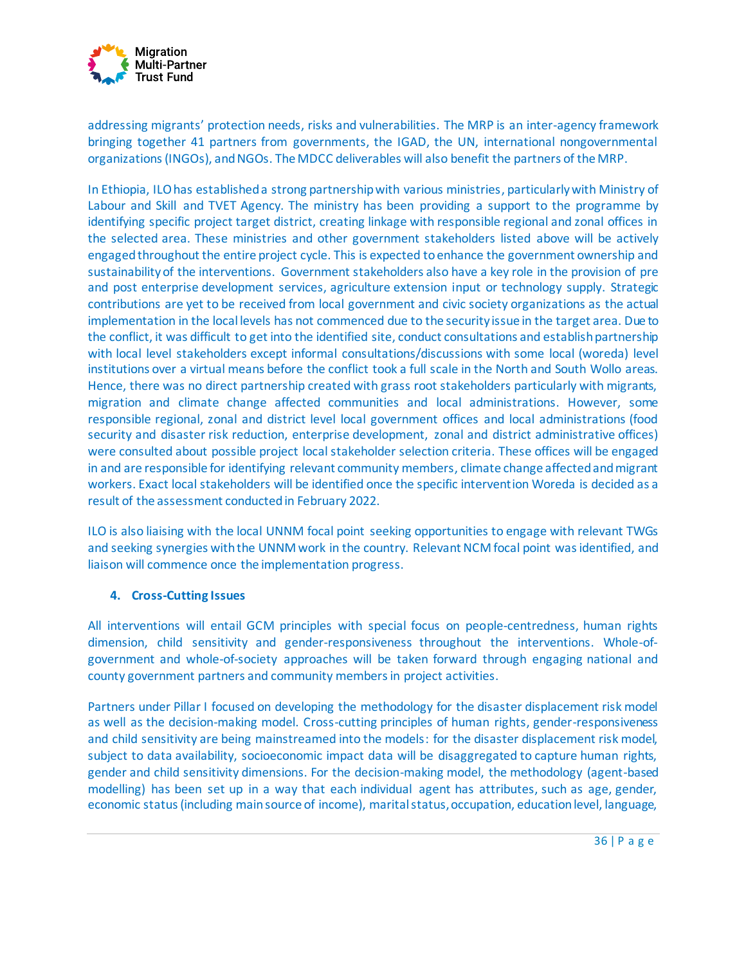

addressing migrants' protection needs, risks and vulnerabilities. The MRP is an inter-agency framework bringing together 41 partners from governments, the IGAD, the UN, international nongovernmental organizations (INGOs), and NGOs. The MDCC deliverables will also benefit the partners of the MRP.

In Ethiopia, ILO has established a strong partnership with various ministries, particularly with Ministry of Labour and Skill and TVET Agency. The ministry has been providing a support to the programme by identifying specific project target district, creating linkage with responsible regional and zonal offices in the selected area. These ministries and other government stakeholders listed above will be actively engaged throughout the entire project cycle. This is expected to enhance the government ownership and sustainability of the interventions. Government stakeholders also have a key role in the provision of pre and post enterprise development services, agriculture extension input or technology supply. Strategic contributions are yet to be received from local government and civic society organizations as the actual implementation in the local levels has not commenced due to the security issue in the target area. Due to the conflict, it was difficult to get into the identified site, conduct consultations and establish partnership with local level stakeholders except informal consultations/discussions with some local (woreda) level institutions over a virtual means before the conflict took a full scale in the North and South Wollo areas. Hence, there was no direct partnership created with grass root stakeholders particularly with migrants, migration and climate change affected communities and local administrations. However, some responsible regional, zonal and district level local government offices and local administrations (food security and disaster risk reduction, enterprise development, zonal and district administrative offices) were consulted about possible project local stakeholder selection criteria. These offices will be engaged in and are responsible for identifying relevant community members, climate change affected and migrant workers. Exact local stakeholders will be identified once the specific intervention Woreda is decided as a result of the assessment conducted in February 2022.

ILO is also liaising with the local UNNM focal point seeking opportunities to engage with relevant TWGs and seeking synergies with the UNNM work in the country. Relevant NCM focal point was identified, and liaison will commence once the implementation progress.

#### **4. Cross-Cutting Issues**

All interventions will entail GCM principles with special focus on people-centredness, human rights dimension, child sensitivity and gender-responsiveness throughout the interventions. Whole-ofgovernment and whole-of-society approaches will be taken forward through engaging national and county government partners and community members in project activities.

Partners under Pillar I focused on developing the methodology for the disaster displacement risk model as well as the decision-making model. Cross-cutting principles of human rights, gender-responsiveness and child sensitivity are being mainstreamed into the models: for the disaster displacement risk model, subject to data availability, socioeconomic impact data will be disaggregated to capture human rights, gender and child sensitivity dimensions. For the decision-making model, the methodology (agent-based modelling) has been set up in a way that each individual agent has attributes, such as age, gender, economic status (including main source of income), marital status, occupation, education level, language,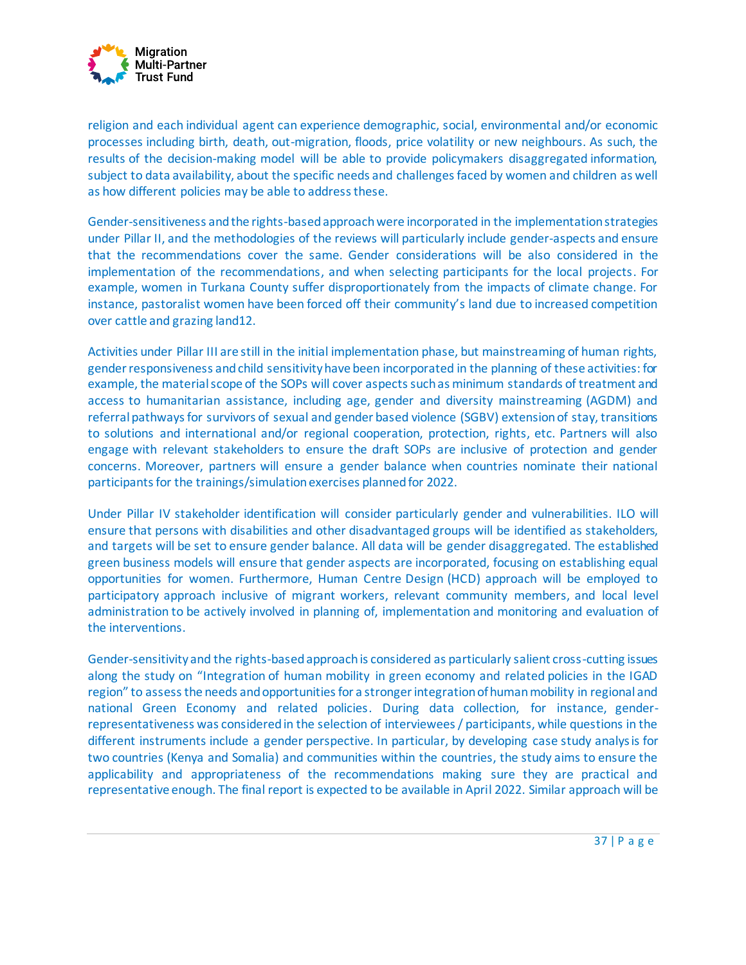

religion and each individual agent can experience demographic, social, environmental and/or economic processes including birth, death, out-migration, floods, price volatility or new neighbours. As such, the results of the decision-making model will be able to provide policymakers disaggregated information, subject to data availability, about the specific needs and challenges faced by women and children as well as how different policies may be able to address these.

Gender-sensitiveness and the rights-based approach were incorporated in the implementation strategies under Pillar II, and the methodologies of the reviews will particularly include gender-aspects and ensure that the recommendations cover the same. Gender considerations will be also considered in the implementation of the recommendations, and when selecting participants for the local projects. For example, women in Turkana County suffer disproportionately from the impacts of climate change. For instance, pastoralist women have been forced off their community's land due to increased competition over cattle and grazing land12.

Activities under Pillar III are still in the initial implementation phase, but mainstreaming of human rights, gender responsiveness and child sensitivity have been incorporated in the planning of these activities: for example, the material scope of the SOPs will cover aspects such as minimum standards of treatment and access to humanitarian assistance, including age, gender and diversity mainstreaming (AGDM) and referral pathways for survivors of sexual and gender based violence (SGBV) extension of stay, transitions to solutions and international and/or regional cooperation, protection, rights, etc. Partners will also engage with relevant stakeholders to ensure the draft SOPs are inclusive of protection and gender concerns. Moreover, partners will ensure a gender balance when countries nominate their national participants for the trainings/simulation exercises planned for 2022.

Under Pillar IV stakeholder identification will consider particularly gender and vulnerabilities. ILO will ensure that persons with disabilities and other disadvantaged groups will be identified as stakeholders, and targets will be set to ensure gender balance. All data will be gender disaggregated. The established green business models will ensure that gender aspects are incorporated, focusing on establishing equal opportunities for women. Furthermore, Human Centre Design (HCD) approach will be employed to participatory approach inclusive of migrant workers, relevant community members, and local level administration to be actively involved in planning of, implementation and monitoring and evaluation of the interventions.

Gender-sensitivity and the rights-based approach is considered as particularly salient cross-cutting issues along the study on "Integration of human mobility in green economy and related policies in the IGAD region" to assess the needs and opportunities for a stronger integration of human mobility in regional and national Green Economy and related policies. During data collection, for instance, genderrepresentativeness was considered in the selection of interviewees / participants, while questions in the different instruments include a gender perspective. In particular, by developing case study analysis for two countries (Kenya and Somalia) and communities within the countries, the study aims to ensure the applicability and appropriateness of the recommendations making sure they are practical and representative enough. The final report is expected to be available in April 2022. Similar approach will be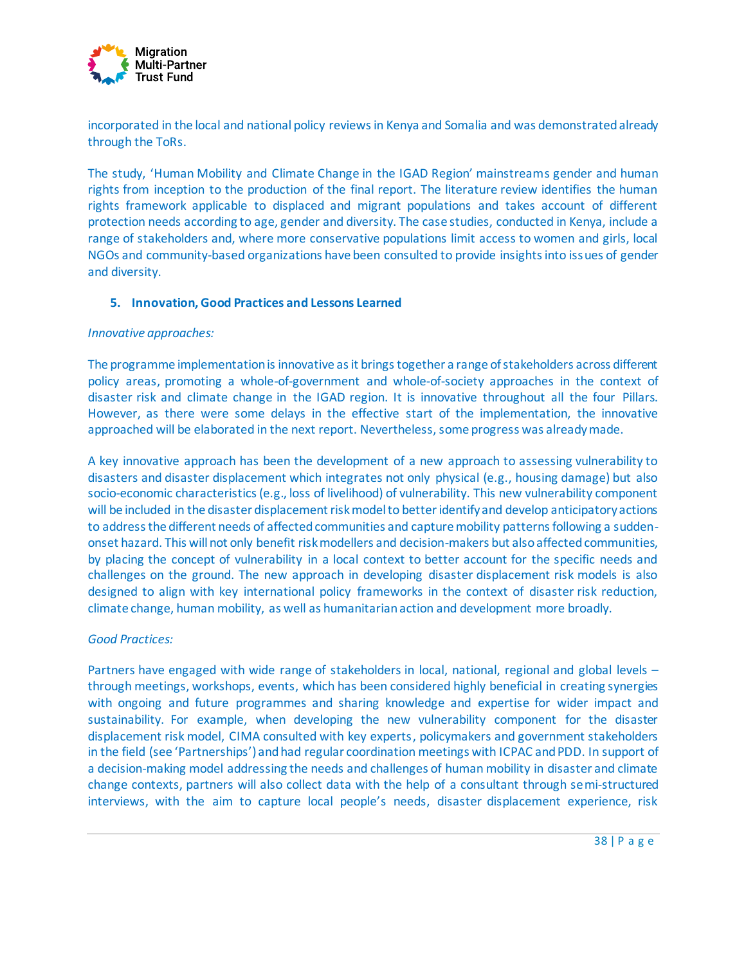

incorporated in the local and national policy reviews in Kenya and Somalia and was demonstrated already through the ToRs.

The study, 'Human Mobility and Climate Change in the IGAD Region' mainstreams gender and human rights from inception to the production of the final report. The literature review identifies the human rights framework applicable to displaced and migrant populations and takes account of different protection needs according to age, gender and diversity. The case studies, conducted in Kenya, include a range of stakeholders and, where more conservative populations limit access to women and girls, local NGOs and community-based organizations have been consulted to provide insights into issues of gender and diversity.

#### **5. Innovation, Good Practices and Lessons Learned**

#### *Innovative approaches:*

The programme implementation is innovative as it brings together a range of stakeholders across different policy areas, promoting a whole-of-government and whole-of-society approaches in the context of disaster risk and climate change in the IGAD region. It is innovative throughout all the four Pillars. However, as there were some delays in the effective start of the implementation, the innovative approached will be elaborated in the next report. Nevertheless, some progress was already made.

A key innovative approach has been the development of a new approach to assessing vulnerability to disasters and disaster displacement which integrates not only physical (e.g., housing damage) but also socio-economic characteristics (e.g., loss of livelihood) of vulnerability. This new vulnerability component will be included in the disaster displacement risk model to better identify and develop anticipatory actions to address the different needs of affected communities and capture mobility patterns following a suddenonset hazard. This will not only benefit risk modellers and decision-makers but also affected communities, by placing the concept of vulnerability in a local context to better account for the specific needs and challenges on the ground. The new approach in developing disaster displacement risk models is also designed to align with key international policy frameworks in the context of disaster risk reduction, climate change, human mobility, as well as humanitarian action and development more broadly.

# *Good Practices:*

Partners have engaged with wide range of stakeholders in local, national, regional and global levels – through meetings, workshops, events, which has been considered highly beneficial in creating synergies with ongoing and future programmes and sharing knowledge and expertise for wider impact and sustainability. For example, when developing the new vulnerability component for the disaster displacement risk model, CIMA consulted with key experts, policymakers and government stakeholders in the field (see 'Partnerships') and had regular coordination meetings with ICPAC and PDD. In support of a decision-making model addressing the needs and challenges of human mobility in disaster and climate change contexts, partners will also collect data with the help of a consultant through semi-structured interviews, with the aim to capture local people's needs, disaster displacement experience, risk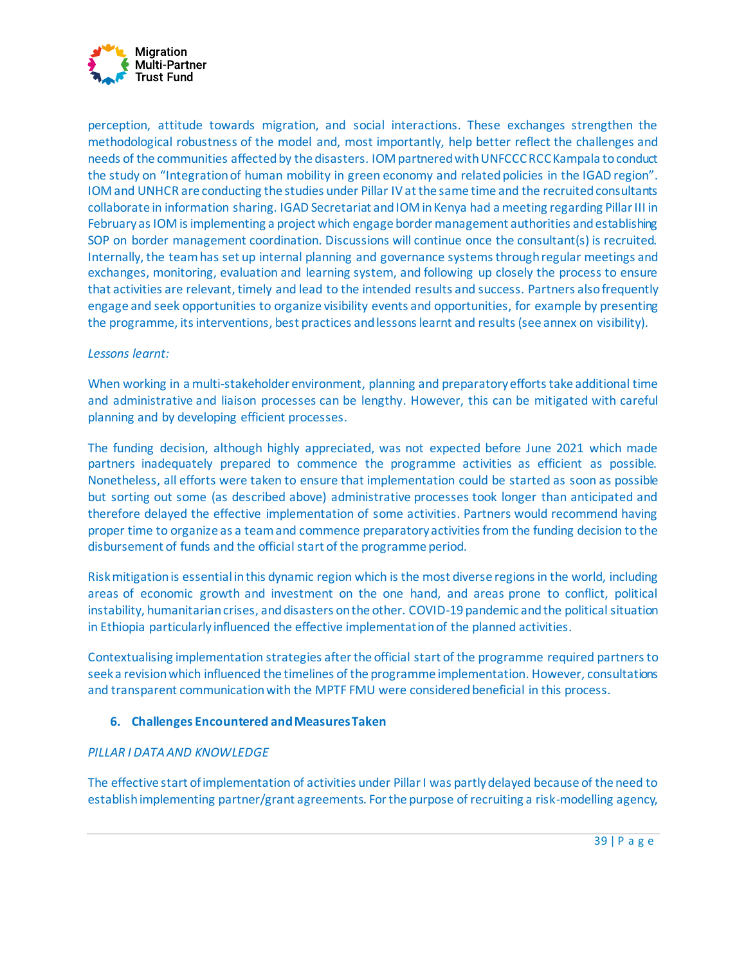

perception, attitude towards migration, and social interactions. These exchanges strengthen the methodological robustness of the model and, most importantly, help better reflect the challenges and needs of the communities affected by the disasters. IOM partnered with UNFCCC RCC Kampala to conduct the study on "Integration of human mobility in green economy and related policies in the IGAD region". IOM and UNHCR are conducting the studies under Pillar IV at the same time and the recruited consultants collaborate in information sharing. IGAD Secretariat and IOM in Kenya had a meeting regarding Pillar III in February as IOM is implementing a project which engage border management authorities and establishing SOP on border management coordination. Discussions will continue once the consultant(s) is recruited. Internally, the team has set up internal planning and governance systems through regular meetings and exchanges, monitoring, evaluation and learning system, and following up closely the process to ensure that activities are relevant, timely and lead to the intended results and success. Partners also frequently engage and seek opportunities to organize visibility events and opportunities, for example by presenting the programme, its interventions, best practices and lessons learnt and results(see annex on visibility).

#### *Lessons learnt:*

When working in a multi-stakeholder environment, planning and preparatory efforts take additional time and administrative and liaison processes can be lengthy. However, this can be mitigated with careful planning and by developing efficient processes.

The funding decision, although highly appreciated, was not expected before June 2021 which made partners inadequately prepared to commence the programme activities as efficient as possible. Nonetheless, all efforts were taken to ensure that implementation could be started as soon as possible but sorting out some (as described above) administrative processes took longer than anticipated and therefore delayed the effective implementation of some activities. Partners would recommend having proper time to organize as a team and commence preparatory activities from the funding decision to the disbursement of funds and the official start of the programme period.

Risk mitigation is essential in this dynamic region which is the most diverse regions in the world, including areas of economic growth and investment on the one hand, and areas prone to conflict, political instability, humanitarian crises, and disasters on the other. COVID-19 pandemic and the political situation in Ethiopia particularly influenced the effective implementation of the planned activities.

Contextualising implementation strategies after the official start of the programme required partners to seek a revision which influenced the timelines of the programme implementation. However, consultations and transparent communicationwith the MPTF FMU were considered beneficial in this process.

#### **6. Challenges Encountered and Measures Taken**

#### *PILLAR I DATA AND KNOWLEDGE*

The effective start of implementation of activities under Pillar I was partly delayed because of the need to establish implementing partner/grant agreements. For the purpose of recruiting a risk-modelling agency,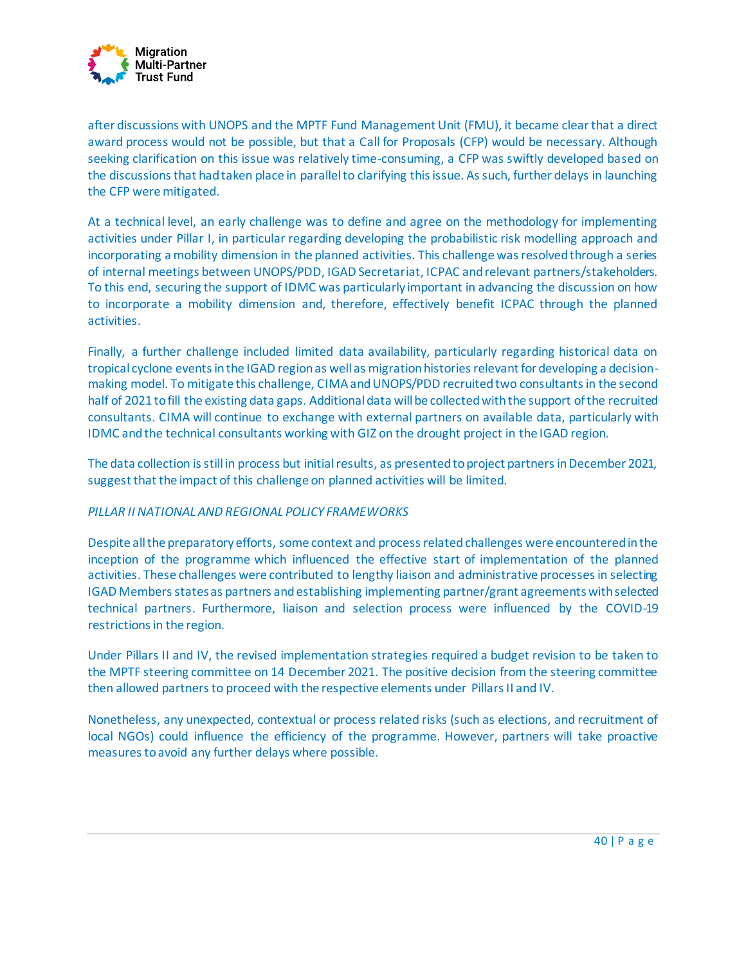

after discussions with UNOPS and the MPTF Fund Management Unit (FMU), it became clear that a direct award process would not be possible, but that a Call for Proposals (CFP) would be necessary. Although seeking clarification on this issue was relatively time-consuming, a CFP was swiftly developed based on the discussions that had taken place in parallel to clarifying this issue. As such, further delays in launching the CFP were mitigated.

At a technical level, an early challenge was to define and agree on the methodology for implementing activities under Pillar I, in particular regarding developing the probabilistic risk modelling approach and incorporating a mobility dimension in the planned activities. This challenge was resolved through a series of internal meetings between UNOPS/PDD, IGAD Secretariat, ICPAC and relevant partners/stakeholders. To this end, securing the support of IDMC was particularly important in advancing the discussion on how to incorporate a mobility dimension and, therefore, effectively benefit ICPAC through the planned activities.

Finally, a further challenge included limited data availability, particularly regarding historical data on tropical cyclone events in the IGAD region as well as migration histories relevant for developing a decisionmaking model. To mitigate this challenge, CIMA and UNOPS/PDD recruited two consultants in the second half of 2021 to fill the existing data gaps. Additional data will be collected with the support of the recruited consultants. CIMA will continue to exchange with external partners on available data, particularly with IDMC and the technical consultants working with GIZ on the drought project in the IGAD region.

The data collection is still in process but initial results, as presented to project partners in December 2021, suggest that the impact of this challenge on planned activities will be limited.

#### *PILLAR II NATIONAL AND REGIONAL POLICY FRAMEWORKS*

Despite all the preparatory efforts, some context and process related challenges were encountered in the inception of the programme which influenced the effective start of implementation of the planned activities. These challenges were contributed to lengthy liaison and administrative processes in selecting IGAD Members states as partners and establishing implementing partner/grant agreementswith selected technical partners. Furthermore, liaison and selection process were influenced by the COVID-19 restrictions in the region.

Under Pillars II and IV, the revised implementation strategies required a budget revision to be taken to the MPTF steering committee on 14 December 2021. The positive decision from the steering committee then allowed partners to proceed with the respective elements under Pillars II and IV.

Nonetheless, any unexpected, contextual or process related risks (such as elections, and recruitment of local NGOs) could influence the efficiency of the programme. However, partners will take proactive measures to avoid any further delays where possible.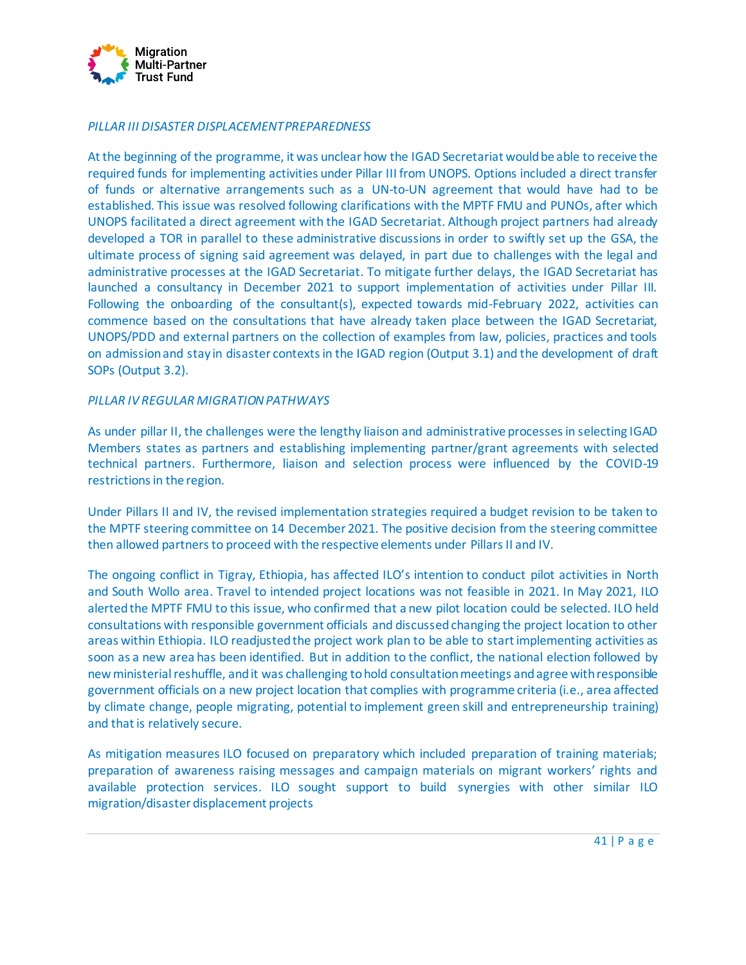

#### *PILLAR III DISASTER DISPLACEMENT PREPAREDNESS*

At the beginning of the programme, it was unclear how the IGAD Secretariat would be able to receive the required funds for implementing activities under Pillar III from UNOPS. Options included a direct transfer of funds or alternative arrangements such as a UN-to-UN agreement that would have had to be established. This issue was resolved following clarifications with the MPTF FMU and PUNOs, after which UNOPS facilitated a direct agreement with the IGAD Secretariat. Although project partners had already developed a TOR in parallel to these administrative discussions in order to swiftly set up the GSA, the ultimate process of signing said agreement was delayed, in part due to challenges with the legal and administrative processes at the IGAD Secretariat. To mitigate further delays, the IGAD Secretariat has launched a consultancy in December 2021 to support implementation of activities under Pillar III. Following the onboarding of the consultant(s), expected towards mid-February 2022, activities can commence based on the consultations that have already taken place between the IGAD Secretariat, UNOPS/PDD and external partners on the collection of examples from law, policies, practices and tools on admission and stay in disaster contexts in the IGAD region (Output 3.1) and the development of draft SOPs (Output 3.2).

#### *PILLAR IV REGULAR MIGRATION PATHWAYS*

As under pillar II, the challenges were the lengthy liaison and administrative processes in selecting IGAD Members states as partners and establishing implementing partner/grant agreements with selected technical partners. Furthermore, liaison and selection process were influenced by the COVID-19 restrictions in the region.

Under Pillars II and IV, the revised implementation strategies required a budget revision to be taken to the MPTF steering committee on 14 December 2021. The positive decision from the steering committee then allowed partners to proceed with the respective elements under Pillars II and IV.

The ongoing conflict in Tigray, Ethiopia, has affected ILO's intention to conduct pilot activities in North and South Wollo area. Travel to intended project locations was not feasible in 2021. In May 2021, ILO alerted the MPTF FMU to this issue, who confirmed that a new pilot location could be selected. ILO held consultations with responsible government officials and discussed changing the project location to other areas within Ethiopia. ILO readjusted the project work plan to be able to start implementing activities as soon as a new area has been identified. But in addition to the conflict, the national election followed by new ministerial reshuffle, and it was challenging to hold consultation meetings and agree with responsible government officials on a new project location that complies with programme criteria (i.e., area affected by climate change, people migrating, potential to implement green skill and entrepreneurship training) and that is relatively secure.

As mitigation measures ILO focused on preparatory which included preparation of training materials; preparation of awareness raising messages and campaign materials on migrant workers' rights and available protection services. ILO sought support to build synergies with other similar ILO migration/disaster displacement projects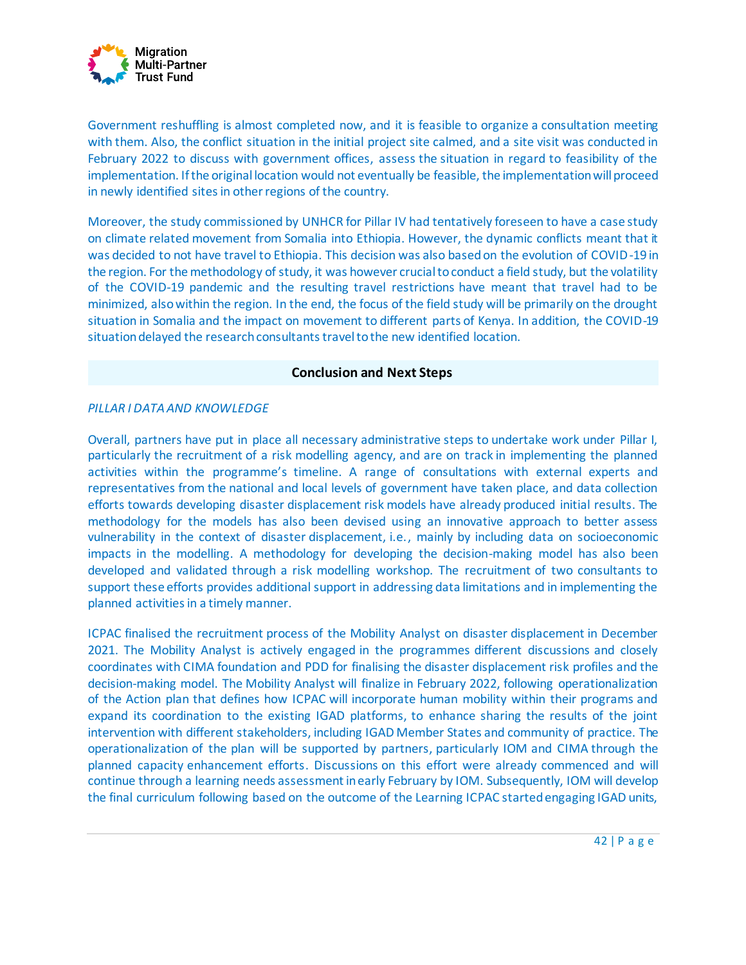

Government reshuffling is almost completed now, and it is feasible to organize a consultation meeting with them. Also, the conflict situation in the initial project site calmed, and a site visit was conducted in February 2022 to discuss with government offices, assess the situation in regard to feasibility of the implementation. If the original location would not eventually be feasible, the implementation will proceed in newly identified sites in other regions of the country.

Moreover, the study commissioned by UNHCR for Pillar IV had tentatively foreseen to have a case study on climate related movement from Somalia into Ethiopia. However, the dynamic conflicts meant that it was decided to not have travel to Ethiopia. This decision was also based on the evolution of COVID-19 in the region. For the methodology of study, it was however crucial to conduct a field study, but the volatility of the COVID-19 pandemic and the resulting travel restrictions have meant that travel had to be minimized, also within the region. In the end, the focus of the field study will be primarily on the drought situation in Somalia and the impact on movement to different parts of Kenya. In addition, the COVID-19 situation delayed the research consultants travel to the new identified location.

# **Conclusion and Next Steps**

# *PILLAR I DATA AND KNOWLEDGE*

Overall, partners have put in place all necessary administrative steps to undertake work under Pillar I, particularly the recruitment of a risk modelling agency, and are on track in implementing the planned activities within the programme's timeline. A range of consultations with external experts and representatives from the national and local levels of government have taken place, and data collection efforts towards developing disaster displacement risk models have already produced initial results. The methodology for the models has also been devised using an innovative approach to better assess vulnerability in the context of disaster displacement, i.e., mainly by including data on socioeconomic impacts in the modelling. A methodology for developing the decision-making model has also been developed and validated through a risk modelling workshop. The recruitment of two consultants to support these efforts provides additional support in addressing data limitations and in implementing the planned activities in a timely manner.

ICPAC finalised the recruitment process of the Mobility Analyst on disaster displacement in December 2021. The Mobility Analyst is actively engaged in the programmes different discussions and closely coordinates with CIMA foundation and PDD for finalising the disaster displacement risk profiles and the decision-making model. The Mobility Analyst will finalize in February 2022, following operationalization of the Action plan that defines how ICPAC will incorporate human mobility within their programs and expand its coordination to the existing IGAD platforms, to enhance sharing the results of the joint intervention with different stakeholders, including IGAD Member States and community of practice. The operationalization of the plan will be supported by partners, particularly IOM and CIMA through the planned capacity enhancement efforts. Discussions on this effort were already commenced and will continue through a learning needs assessment in early February by IOM. Subsequently, IOM will develop the final curriculum following based on the outcome of the Learning ICPAC started engaging IGAD units,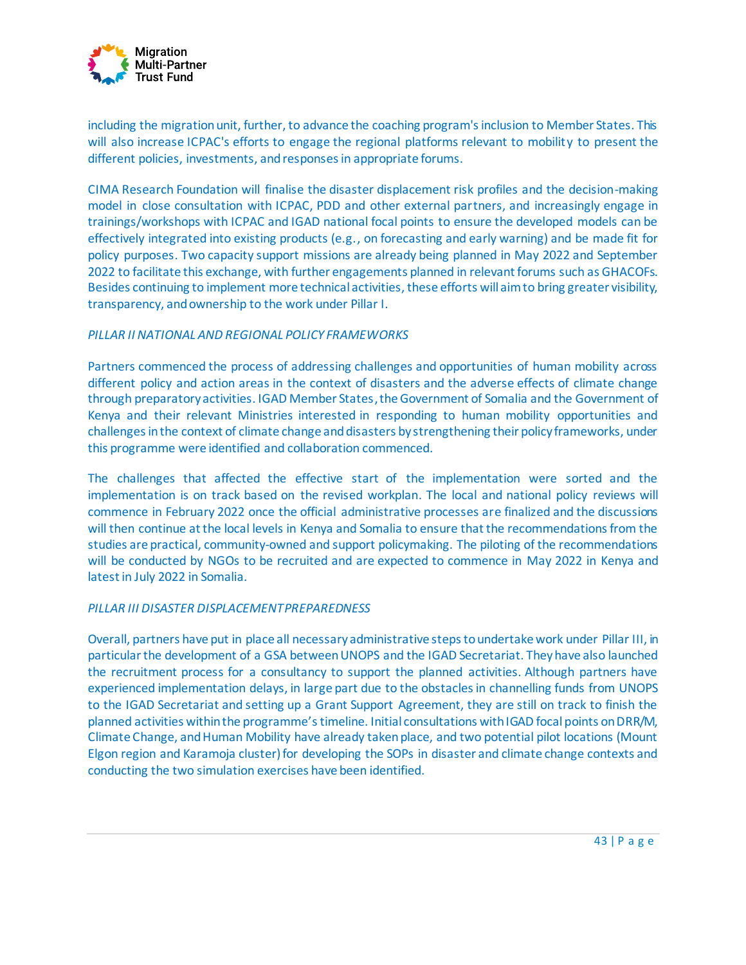

including the migration unit, further, to advance the coaching program's inclusion to Member States. This will also increase ICPAC's efforts to engage the regional platforms relevant to mobility to present the different policies, investments, and responses in appropriate forums.

CIMA Research Foundation will finalise the disaster displacement risk profiles and the decision-making model in close consultation with ICPAC, PDD and other external partners, and increasingly engage in trainings/workshops with ICPAC and IGAD national focal points to ensure the developed models can be effectively integrated into existing products (e.g., on forecasting and early warning) and be made fit for policy purposes. Two capacity support missions are already being planned in May 2022 and September 2022 to facilitate this exchange, with further engagements planned in relevant forums such as GHACOFs. Besides continuing to implement more technical activities, these efforts will aim to bring greater visibility, transparency, and ownership to the work under Pillar I.

# *PILLAR II NATIONAL AND REGIONAL POLICY FRAMEWORKS*

Partners commenced the process of addressing challenges and opportunities of human mobility across different policy and action areas in the context of disasters and the adverse effects of climate change through preparatory activities. IGAD Member States, theGovernment of Somalia and the Government of Kenya and their relevant Ministries interested in responding to human mobility opportunities and challenges in the context of climate change and disasters by strengthening their policy frameworks, under this programme were identified and collaboration commenced.

The challenges that affected the effective start of the implementation were sorted and the implementation is on track based on the revised workplan. The local and national policy reviews will commence in February 2022 once the official administrative processes are finalized and the discussions will then continue at the local levels in Kenya and Somalia to ensure that the recommendations from the studies are practical, community-owned and support policymaking. The piloting of the recommendations will be conducted by NGOs to be recruited and are expected to commence in May 2022 in Kenya and latest in July 2022 in Somalia.

#### *PILLAR III DISASTER DISPLACEMENT PREPAREDNESS*

Overall, partners have put in place all necessary administrative steps to undertake work under Pillar III, in particular the development of a GSA between UNOPS and the IGAD Secretariat. They have also launched the recruitment process for a consultancy to support the planned activities. Although partners have experienced implementation delays, in large part due to the obstacles in channelling funds from UNOPS to the IGAD Secretariat and setting up a Grant Support Agreement, they are still on track to finish the planned activities within the programme's timeline. Initial consultations with IGAD focal points on DRR/M, Climate Change, and Human Mobility have already taken place, and two potential pilot locations (Mount Elgon region and Karamoja cluster) for developing the SOPs in disaster and climate change contexts and conducting the two simulation exercises have been identified.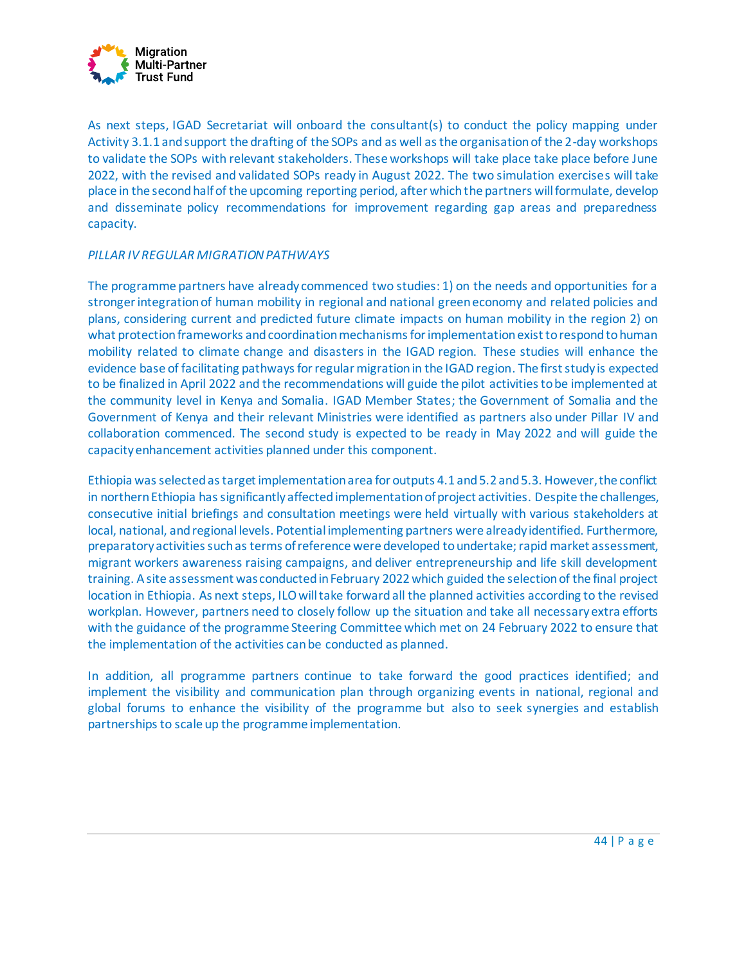

As next steps, IGAD Secretariat will onboard the consultant(s) to conduct the policy mapping under Activity 3.1.1 and support the drafting of the SOPs and as well as the organisation of the 2-day workshops to validate the SOPs with relevant stakeholders. These workshops will take place take place before June 2022, with the revised and validated SOPs ready in August 2022. The two simulation exercises will take place in the second half of the upcoming reporting period, after which the partners will formulate, develop and disseminate policy recommendations for improvement regarding gap areas and preparedness capacity.

# *PILLAR IV REGULAR MIGRATION PATHWAYS*

The programme partners have already commenced two studies: 1) on the needs and opportunities for a stronger integration of human mobility in regional and national green economy and related policies and plans, considering current and predicted future climate impacts on human mobility in the region 2) on what protection frameworks and coordination mechanisms for implementation exist to respond to human mobility related to climate change and disasters in the IGAD region. These studies will enhance the evidence base of facilitating pathways for regular migration in the IGAD region. The first study is expected to be finalized in April 2022 and the recommendations will guide the pilot activities to be implemented at the community level in Kenya and Somalia. IGAD Member States; the Government of Somalia and the Government of Kenya and their relevant Ministries were identified as partners also under Pillar IV and collaboration commenced. The second study is expected to be ready in May 2022 and will guide the capacity enhancement activities planned under this component.

Ethiopia was selected as target implementation area for outputs 4.1 and 5.2 and 5.3. However, the conflict in northern Ethiopia has significantly affected implementation of project activities. Despite the challenges, consecutive initial briefings and consultation meetings were held virtually with various stakeholders at local, national, and regional levels. Potential implementing partners were already identified. Furthermore, preparatory activities such as terms of reference were developed to undertake; rapid market assessment, migrant workers awareness raising campaigns, and deliver entrepreneurship and life skill development training. Asite assessment was conducted in February 2022 which guided the selection of the final project location in Ethiopia. As next steps, ILO will take forward all the planned activities according to the revised workplan. However, partners need to closely follow up the situation and take all necessary extra efforts with the guidance of the programme Steering Committee which met on 24 February 2022 to ensure that the implementation of the activities can be conducted as planned.

In addition, all programme partners continue to take forward the good practices identified; and implement the visibility and communication plan through organizing events in national, regional and global forums to enhance the visibility of the programme but also to seek synergies and establish partnerships to scale up the programme implementation.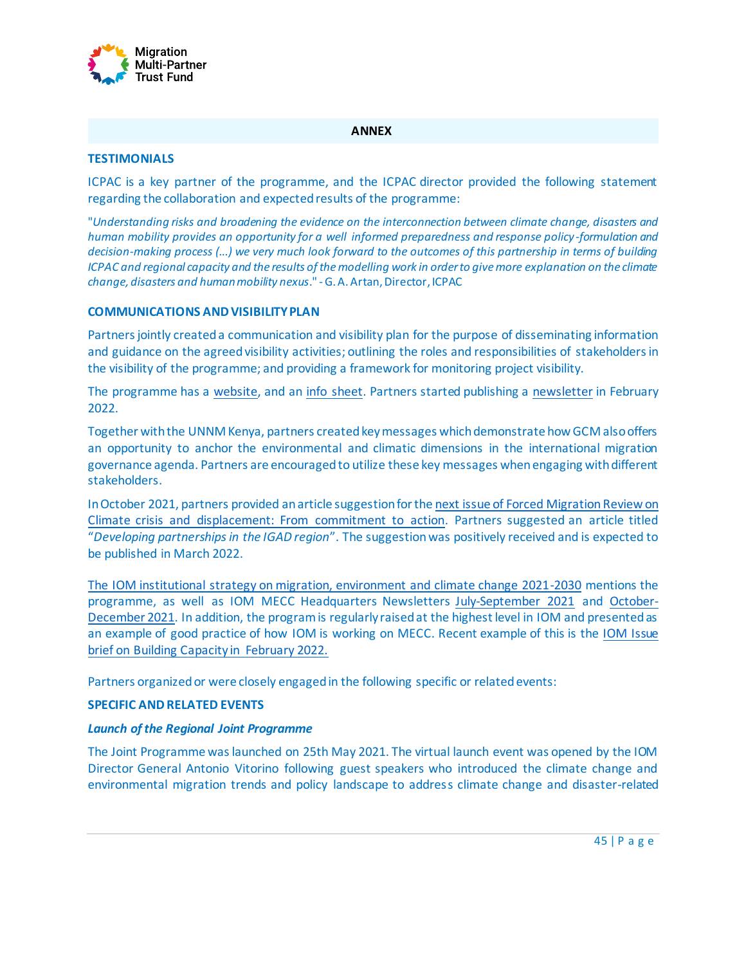

#### **ANNEX**

#### **TESTIMONIALS**

ICPAC is a key partner of the programme, and the ICPAC director provided the following statement regarding the collaboration and expected results of the programme:

"*Understanding risks and broadening the evidence on the interconnection between climate change, disasters and human mobility provides an opportunity for a well informed preparedness and response policy -formulation and decision-making process (...) we very much look forward to the outcomes of this partnership in terms of building ICPAC and regional capacity and the results of the modelling work in order to give more explanation on the climate change, disasters and human mobility nexus*." -G. A. Artan, Director, ICPAC

#### **COMMUNICATIONS AND VISIBILITY PLAN**

Partners jointly created a communication and visibility plan for the purpose of disseminating information and guidance on the agreed visibility activities; outlining the roles and responsibilities of stakeholders in the visibility of the programme; and providing a framework for monitoring project visibility.

The programme has a [website,](https://environmentalmigration.iom.int/addressing-drivers-and-facilitating-safe-orderly-and-regular-migration-contexts-disasters-and-climate-change-igad-region) and an info [sheet.](https://environmentalmigration.iom.int/sites/g/files/tmzbdl1411/files/documents/mdcc-infosheet.pdf) Partners started publishing a [newsletter](https://mailchi.mp/7472b064d115/newsletter-joint-programme-migration-disasters-and-climate-change-in-the-igad-region) in February 2022.

Together with the UNNM Kenya, partners created key messages which demonstrate how GCM also offers an opportunity to anchor the environmental and climatic dimensions in the international migration governance agenda. Partners are encouraged to utilize these key messages when engaging with different stakeholders.

In October 2021, partners provided an article suggestion for th[e next issue of Forced Migration Review](https://www.fmreview.org/issue69) on [Climate crisis and displacement: From commitment to action.](https://www.fmreview.org/issue69) Partners suggested an article titled "*Developing partnerships in the IGAD region*". The suggestion was positively received and is expected to be published in March 2022.

[The IOM institutional strategy on migration, environment and climate change 2021-2030](https://publications.iom.int/system/files/pdf/IOM-Institutional-Strategy-MECCC_0.pdf) mentions the programme, as well as IOM MECC Headquarters Newsletters [July-September 2021](https://us10.campaign-archive.com/?u=de24e8e8ad97c261502582454&id=8c919f8de4) and [October-](https://mailchi.mp/1199247986ec/iom-environmental-migration-newsletter-october-december-11365425?e=410f103927)[December 2021.](https://mailchi.mp/1199247986ec/iom-environmental-migration-newsletter-october-december-11365425?e=410f103927) In addition, the program is regularly raised at the highest level in IOM and presented as an example of good practice of how IOM is working on MECC. Recent example of this is the [IOM Issue](https://publications.iom.int/books/iom-issue-brief-building-capacity)  [brief on Building Capacity in February 2022.](https://publications.iom.int/books/iom-issue-brief-building-capacity)

Partners organized or were closely engaged in the following specific or related events:

#### **SPECIFIC AND RELATED EVENTS**

#### *Launch of the Regional Joint Programme*

The Joint Programme was launched on 25th May 2021. The virtual launch event was opened by the IOM Director General Antonio Vitorino following guest speakers who introduced the climate change and environmental migration trends and policy landscape to address climate change and disaster-related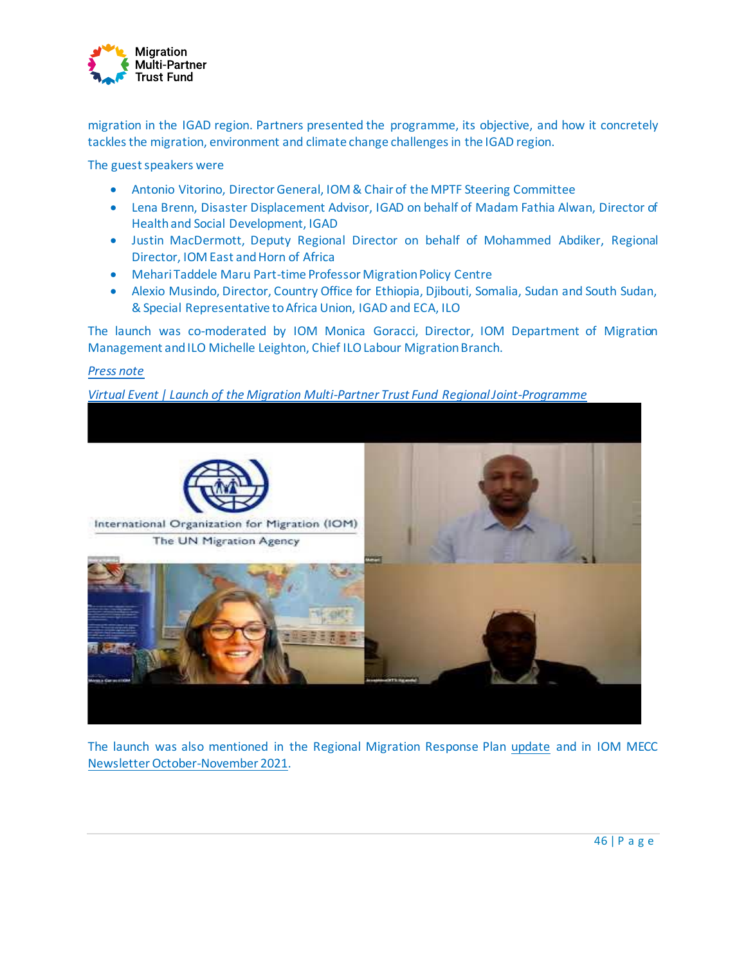

migration in the IGAD region. Partners presented the programme, its objective, and how it concretely tackles the migration, environment and climate change challenges in the IGAD region.

The guest speakers were

- Antonio Vitorino, Director General, IOM & Chair of the MPTF Steering Committee
- Lena Brenn, Disaster Displacement Advisor, IGAD on behalf of Madam Fathia Alwan, Director of Health and Social Development, IGAD
- Justin MacDermott, Deputy Regional Director on behalf of Mohammed Abdiker, Regional Director, IOM East and Horn of Africa
- Mehari Taddele Maru Part-time Professor Migration Policy Centre
- Alexio Musindo, Director, Country Office for Ethiopia, Djibouti, Somalia, Sudan and South Sudan, & Special Representative to Africa Union, IGAD and ECA, ILO

The launch was co-moderated by IOM Monica Goracci, Director, IOM Department of Migration Management and ILO Michelle Leighton, Chief ILO Labour Migration Branch.

#### *[Press note](https://eastandhornofafrica.iom.int/news/un-agencies-igad-secretariat-launch-regional-initiative-address-migration-and-climate-change-east-africa)*

#### *[Virtual Event | Launch of the Migration Multi-Partner Trust Fund](https://www.youtube.com/watch?v=rRjgAwbTV6g) Regional Joint-Programme*



The launch was also mentioned in the Regional Migration Response Plan [update](https://ronairobi.iom.int/sites/ronairobi/files/documents/MRP%202021%20Quarterly%20Update_Q2_April%20to%20June%202021.pdf) and in IOM MECC [Newsletter](https://mailchi.mp/bd17d6427668/iom-environmental-migration-newsletter-april-june) October-November 2021.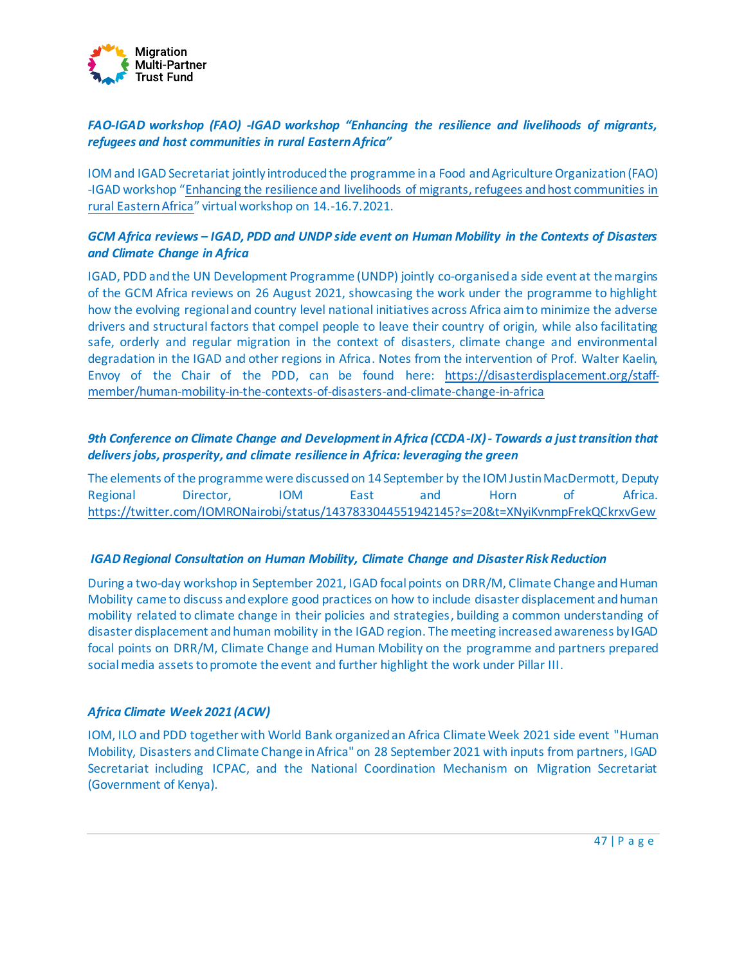

# *FAO-IGAD workshop (FAO) -IGAD workshop "Enhancing the resilience and livelihoods of migrants, refugees and host communities in rural Eastern Africa"*

IOM and IGAD Secretariat jointly introduced the programme in a Food and Agriculture Organization (FAO) -IGAD workshop "[Enhancing the resilience and livelihoods of migrants, refugees and host communities in](https://www.fao.org/africa/news/detail-news/en/c/1415762/)  [rural Eastern Africa](https://www.fao.org/africa/news/detail-news/en/c/1415762/)" virtual workshop on 14.-16.7.2021.

# *GCM Africa reviews – IGAD, PDD and UNDP side event on Human Mobility in the Contexts of Disasters and Climate Change in Africa*

IGAD, PDD and the UN Development Programme (UNDP) jointly co-organised a side event at the margins of the GCM Africa reviews on 26 August 2021, showcasing the work under the programme to highlight how the evolving regional and country level national initiatives across Africa aim to minimize the adverse drivers and structural factors that compel people to leave their country of origin, while also facilitating safe, orderly and regular migration in the context of disasters, climate change and environmental degradation in the IGAD and other regions in Africa. Notes from the intervention of Prof. Walter Kaelin, Envoy of the Chair of the PDD, can be found here: [https://disasterdisplacement.org/staff](https://disasterdisplacement.org/staff-member/human-mobility-in-the-contexts-of-disasters-and-climate-change-in-africa)[member/human-mobility-in-the-contexts-of-disasters-and-climate-change-in-africa](https://disasterdisplacement.org/staff-member/human-mobility-in-the-contexts-of-disasters-and-climate-change-in-africa)

# *9th Conference on Climate Change and Development in Africa (CCDA-IX) - Towards a just transition that delivers jobs, prosperity, and climate resilience in Africa: leveraging the green*

The elements of the programme were discussed on 14 September by the IOM Justin MacDermott, Deputy Regional Director, IOM East and Horn of Africa. <https://twitter.com/IOMRONairobi/status/1437833044551942145?s=20&t=XNyiKvnmpFrekQCkrxvGew>

#### *IGAD Regional Consultation on Human Mobility, Climate Change and Disaster Risk Reduction*

During a two-day workshop in September 2021, IGAD focal points on DRR/M, Climate Change and Human Mobility came to discuss and explore good practices on how to include disaster displacement and human mobility related to climate change in their policies and strategies, building a common understanding of disaster displacement and human mobility in the IGAD region. The meeting increased awareness by IGAD focal points on DRR/M, Climate Change and Human Mobility on the programme and partners prepared social media assets to promote the event and further highlight the work under Pillar III.

#### *Africa Climate Week 2021 (ACW)*

IOM, ILO and PDD together with World Bank organized an Africa Climate Week 2021 side event "Human Mobility, Disasters and Climate Change in Africa" on 28 September 2021 with inputs from partners, IGAD Secretariat including ICPAC, and the National Coordination Mechanism on Migration Secretariat (Government of Kenya).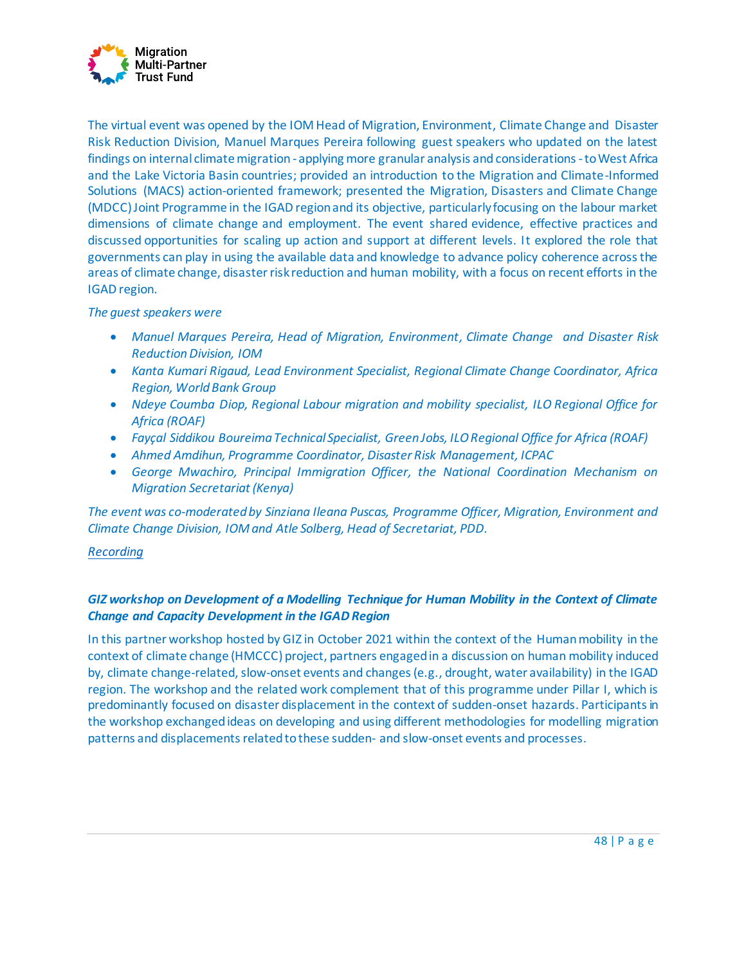

The virtual event was opened by the IOM Head of Migration, Environment, Climate Change and Disaster Risk Reduction Division, Manuel Marques Pereira following guest speakers who updated on the latest findings on internal climate migration - applying more granular analysis and considerations -to West Africa and the Lake Victoria Basin countries; provided an introduction to the Migration and Climate-Informed Solutions (MACS) action-oriented framework; presented the Migration, Disasters and Climate Change (MDCC) Joint Programme in the IGAD region and its objective, particularly focusing on the labour market dimensions of climate change and employment. The event shared evidence, effective practices and discussed opportunities for scaling up action and support at different levels. It explored the role that governments can play in using the available data and knowledge to advance policy coherence across the areas of climate change, disaster risk reduction and human mobility, with a focus on recent efforts in the IGAD region.

#### *The guest speakers were*

- *Manuel Marques Pereira, Head of Migration, Environment, Climate Change and Disaster Risk Reduction Division, IOM*
- *Kanta Kumari Rigaud, Lead Environment Specialist, Regional Climate Change Coordinator, Africa Region, World Bank Group*
- *Ndeye Coumba Diop, Regional Labour migration and mobility specialist, ILO Regional Office for Africa (ROAF)*
- *Fayçal Siddikou Boureima Technical Specialist, Green Jobs, ILO Regional Office for Africa (ROAF)*
- *Ahmed Amdihun, Programme Coordinator, Disaster Risk Management, ICPAC*
- *George Mwachiro, Principal Immigration Officer, the National Coordination Mechanism on Migration Secretariat (Kenya)*

*The event was co-moderated by Sinziana Ileana Puscas, Programme Officer, Migration, Environment and Climate Change Division, IOM and Atle Solberg, Head of Secretariat, PDD.*

#### *[Recording](https://environmentalmigration.iom.int/human-mobility-disasters-and-climate-change-africa)*

# *GIZ workshop on Development of a Modelling Technique for Human Mobility in the Context of Climate Change and Capacity Development in the IGAD Region*

In this partner workshop hosted by GIZ in October 2021 within the context of the Human mobility in the context of climate change (HMCCC) project, partners engaged in a discussion on human mobility induced by, climate change-related, slow-onset events and changes (e.g., drought, water availability) in the IGAD region. The workshop and the related work complement that of this programme under Pillar I, which is predominantly focused on disaster displacement in the context of sudden-onset hazards. Participants in the workshop exchanged ideas on developing and using different methodologies for modelling migration patterns and displacements related to these sudden- and slow-onset events and processes.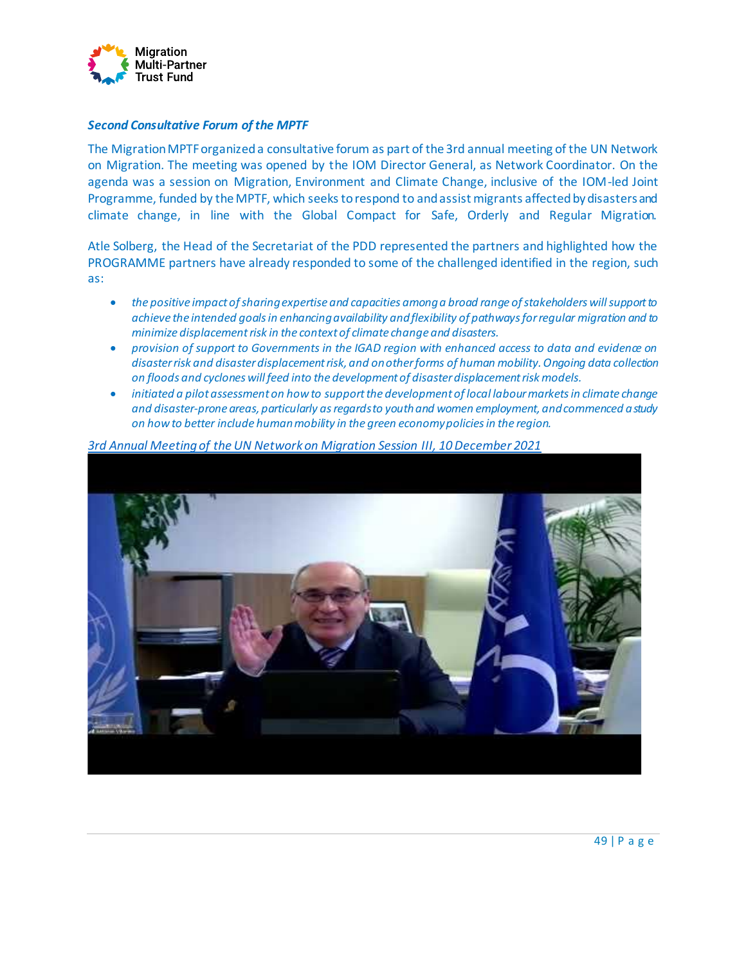

#### *Second Consultative Forum of the MPTF*

The Migration MPTF organized a consultative forum as part of the 3rd annual meeting of the UN Network on Migration. The meeting was opened by the IOM Director General, as Network Coordinator. On the agenda was a session on Migration, Environment and Climate Change, inclusive of the IOM-led Joint Programme, funded by the MPTF, which seeks to respond to and assist migrants affected by disasters and climate change, in line with the Global Compact for Safe, Orderly and Regular Migration.

Atle Solberg, the Head of the Secretariat of the PDD represented the partners and highlighted how the PROGRAMME partners have already responded to some of the challenged identified in the region, such as:

- *the positive impact of sharing expertise and capacities among a broad range of stakeholders will support to achieve the intended goals in enhancing availability and flexibility of pathways for regular migration and to minimize displacement risk in the context of climate change and disasters.*
- *provision of support to Governments in the IGAD region with enhanced access to data and evidence on disaster risk and disaster displacement risk, and on other forms of human mobility. Ongoing data collection on floods and cyclones will feed into the development of disaster displacement risk models.*
- *initiated a pilot assessment on how to support the development of local labour markets in climate change and disaster-prone areas, particularly as regards to youth and women employment, and commenced a study on how to better include human mobility in the green economy policies in the region.*



*[3rd Annual Meeting of the UN Network on Migration Session III, 10 December 2021](https://youtu.be/S-84BzDKWO8)*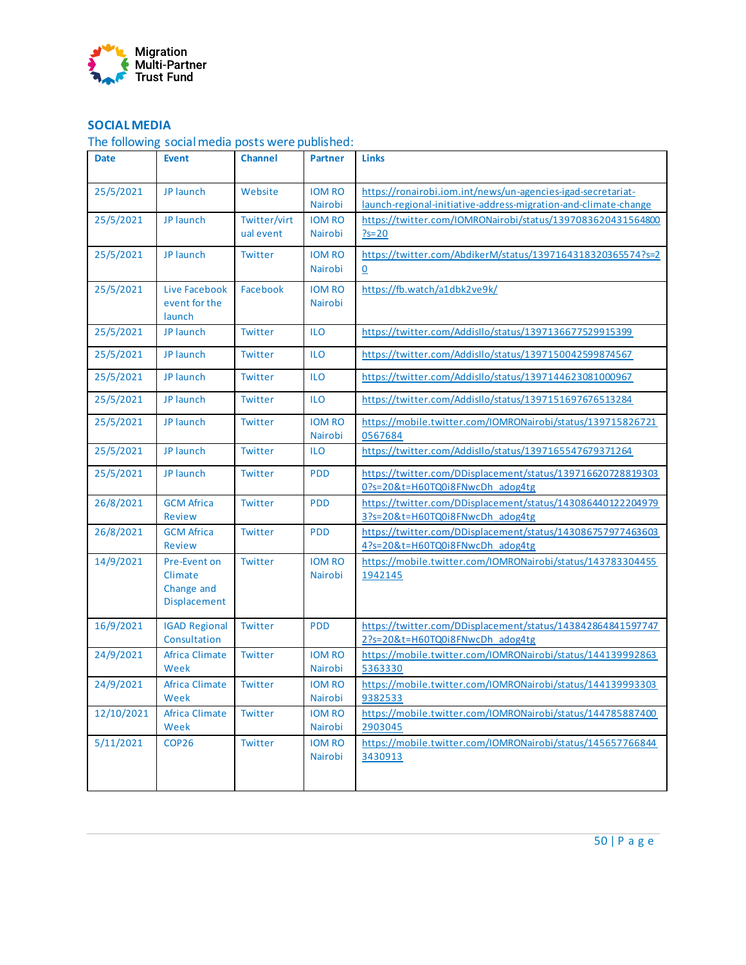

# **SOCIAL MEDIA**

The following social media posts were published:

| <b>Date</b> | <b>Event</b>                                                 | <b>Channel</b>            | <b>Partner</b>                  | <b>Links</b>                                                                                                                    |
|-------------|--------------------------------------------------------------|---------------------------|---------------------------------|---------------------------------------------------------------------------------------------------------------------------------|
| 25/5/2021   | JP launch                                                    | Website                   | <b>IOM RO</b><br>Nairobi        | https://ronairobi.iom.int/news/un-agencies-igad-secretariat-<br>launch-regional-initiative-address-migration-and-climate-change |
| 25/5/2021   | JP launch                                                    | Twitter/virt<br>ual event | <b>IOM RO</b><br>Nairobi        | https://twitter.com/IOMRONairobi/status/1397083620431564800<br>$?s = 20$                                                        |
| 25/5/2021   | JP launch                                                    | Twitter                   | <b>IOM RO</b><br><b>Nairobi</b> | https://twitter.com/AbdikerM/status/1397164318320365574?s=2<br>$\Omega$                                                         |
| 25/5/2021   | Live Facebook<br>event for the<br>launch                     | Facebook                  | <b>IOM RO</b><br>Nairobi        | https://fb.watch/a1dbk2ve9k/                                                                                                    |
| 25/5/2021   | JP launch                                                    | Twitter                   | <b>ILO</b>                      | https://twitter.com/Addisllo/status/1397136677529915399                                                                         |
| 25/5/2021   | JP launch                                                    | Twitter                   | <b>ILO</b>                      | https://twitter.com/AddisIlo/status/1397150042599874567                                                                         |
| 25/5/2021   | JP launch                                                    | Twitter                   | <b>ILO</b>                      | https://twitter.com/Addisllo/status/1397144623081000967                                                                         |
| 25/5/2021   | JP launch                                                    | Twitter                   | <b>ILO</b>                      | https://twitter.com/AddisIlo/status/1397151697676513284                                                                         |
| 25/5/2021   | JP launch                                                    | Twitter                   | <b>IOM RO</b><br>Nairobi        | https://mobile.twitter.com/IOMRONairobi/status/139715826721<br>0567684                                                          |
| 25/5/2021   | JP launch                                                    | Twitter                   | <b>ILO</b>                      | https://twitter.com/Addisllo/status/1397165547679371264                                                                         |
| 25/5/2021   | JP launch                                                    | Twitter                   | <b>PDD</b>                      | https://twitter.com/DDisplacement/status/139716620728819303<br>0?s=20&t=H60TQ0i8FNwcDh adog4tg                                  |
| 26/8/2021   | <b>GCM Africa</b><br><b>Review</b>                           | Twitter                   | <b>PDD</b>                      | https://twitter.com/DDisplacement/status/143086440122204979<br>3?s=20&t=H60TQ0i8FNwcDh adog4tg                                  |
| 26/8/2021   | <b>GCM Africa</b><br><b>Review</b>                           | Twitter                   | <b>PDD</b>                      | https://twitter.com/DDisplacement/status/143086757977463603<br>4?s=20&t=H60TQ0i8FNwcDh adog4tg                                  |
| 14/9/2021   | Pre-Event on<br>Climate<br>Change and<br><b>Displacement</b> | Twitter                   | <b>IOM RO</b><br>Nairobi        | https://mobile.twitter.com/IOMRONairobi/status/143783304455<br>1942145                                                          |
| 16/9/2021   | <b>IGAD Regional</b><br>Consultation                         | Twitter                   | <b>PDD</b>                      | https://twitter.com/DDisplacement/status/143842864841597747<br>2?s=20&t=H60TQ0i8FNwcDh adog4tg                                  |
| 24/9/2021   | <b>Africa Climate</b><br>Week                                | Twitter                   | <b>IOM RO</b><br>Nairobi        | https://mobile.twitter.com/IOMRONairobi/status/144139992863<br>5363330                                                          |
| 24/9/2021   | <b>Africa Climate</b><br>Week                                | Twitter                   | <b>IOM RO</b><br>Nairobi        | https://mobile.twitter.com/IOMRONairobi/status/144139993303<br>9382533                                                          |
| 12/10/2021  | <b>Africa Climate</b><br>Week                                | Twitter                   | <b>IOM RO</b><br>Nairobi        | https://mobile.twitter.com/IOMRONairobi/status/144785887400<br>2903045                                                          |
| 5/11/2021   | COP <sub>26</sub>                                            | Twitter                   | <b>IOM RO</b><br>Nairobi        | https://mobile.twitter.com/IOMRONairobi/status/145657766844<br>3430913                                                          |